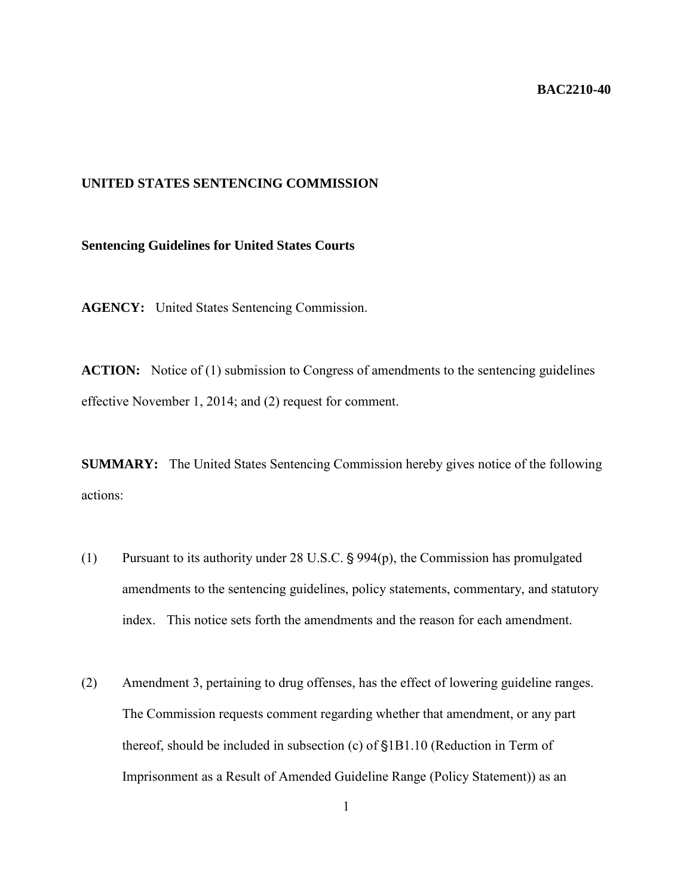## **BAC2210-40**

## **UNITED STATES SENTENCING COMMISSION**

## **Sentencing Guidelines for United States Courts**

**AGENCY:** United States Sentencing Commission.

**ACTION:** Notice of (1) submission to Congress of amendments to the sentencing guidelines effective November 1, 2014; and (2) request for comment.

**SUMMARY:** The United States Sentencing Commission hereby gives notice of the following actions:

- (1) Pursuant to its authority under 28 U.S.C.  $\S 994(p)$ , the Commission has promulgated amendments to the sentencing guidelines, policy statements, commentary, and statutory index. This notice sets forth the amendments and the reason for each amendment.
- (2) Amendment 3, pertaining to drug offenses, has the effect of lowering guideline ranges. The Commission requests comment regarding whether that amendment, or any part thereof, should be included in subsection (c) of §1B1.10 (Reduction in Term of Imprisonment as a Result of Amended Guideline Range (Policy Statement)) as an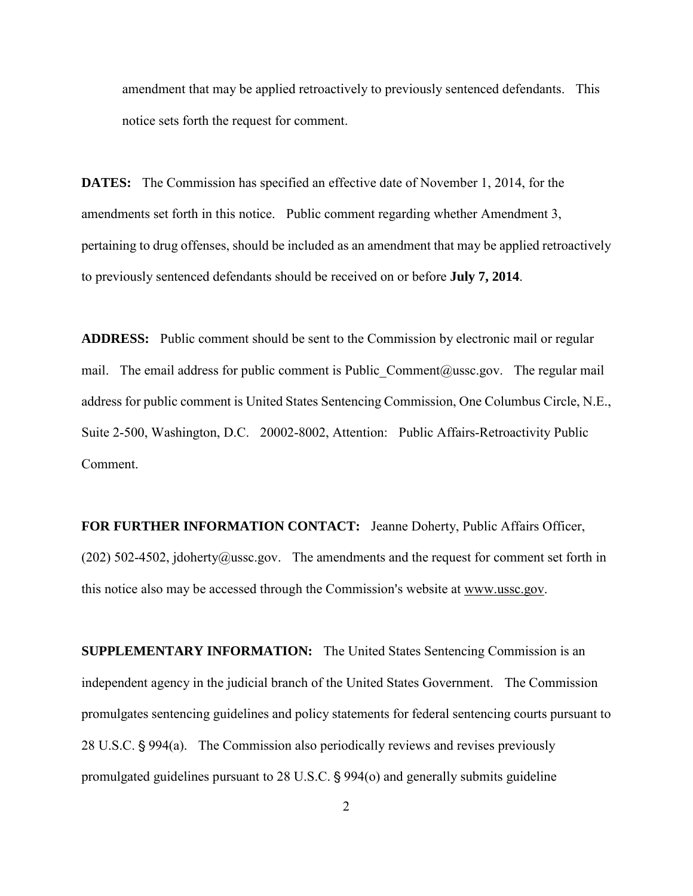amendment that may be applied retroactively to previously sentenced defendants. This notice sets forth the request for comment.

**DATES:** The Commission has specified an effective date of November 1, 2014, for the amendments set forth in this notice. Public comment regarding whether Amendment 3, pertaining to drug offenses, should be included as an amendment that may be applied retroactively to previously sentenced defendants should be received on or before **July 7, 2014**.

**ADDRESS:** Public comment should be sent to the Commission by electronic mail or regular mail. The email address for public comment is Public Comment  $@$ ussc.gov. The regular mail address for public comment is United States Sentencing Commission, One Columbus Circle, N.E., Suite 2-500, Washington, D.C. 20002-8002, Attention: Public Affairs-Retroactivity Public Comment.

**FOR FURTHER INFORMATION CONTACT:** Jeanne Doherty, Public Affairs Officer, (202) 502-4502, jdoherty@ussc.gov. The amendments and the request for comment set forth in this notice also may be accessed through the Commission's website at www.ussc.gov.

**SUPPLEMENTARY INFORMATION:** The United States Sentencing Commission is an independent agency in the judicial branch of the United States Government. The Commission promulgates sentencing guidelines and policy statements for federal sentencing courts pursuant to 28 U.S.C. § 994(a). The Commission also periodically reviews and revises previously promulgated guidelines pursuant to  $28$  U.S.C.  $\S$  994(o) and generally submits guideline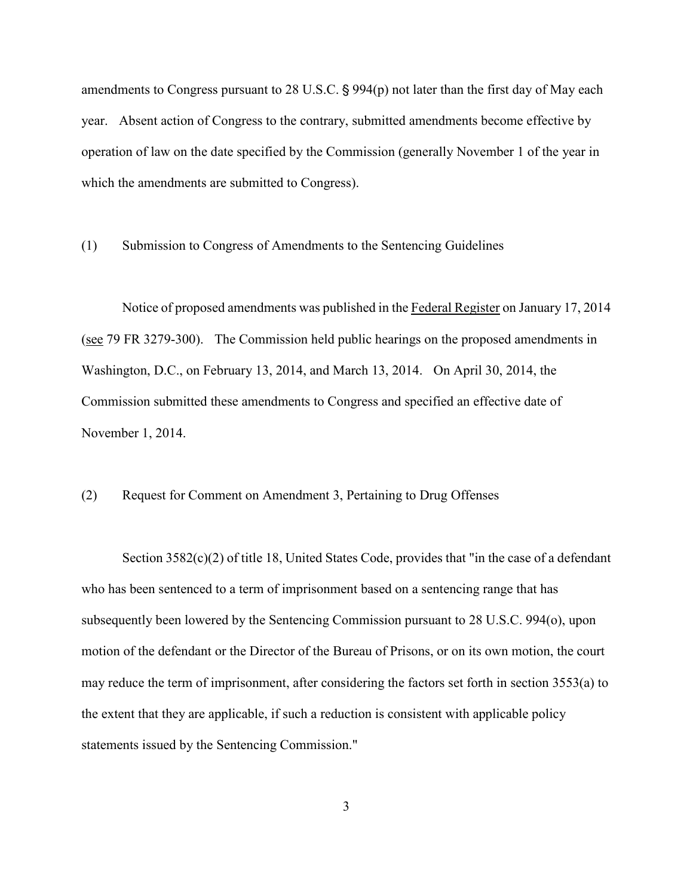amendments to Congress pursuant to 28 U.S.C.  $\S$  994(p) not later than the first day of May each year. Absent action of Congress to the contrary, submitted amendments become effective by operation of law on the date specified by the Commission (generally November 1 of the year in which the amendments are submitted to Congress).

(1) Submission to Congress of Amendments to the Sentencing Guidelines

Notice of proposed amendments was published in the Federal Register on January 17, 2014 (see 79 FR 3279-300). The Commission held public hearings on the proposed amendments in Washington, D.C., on February 13, 2014, and March 13, 2014. On April 30, 2014, the Commission submitted these amendments to Congress and specified an effective date of November 1, 2014.

(2) Request for Comment on Amendment 3, Pertaining to Drug Offenses

Section  $3582(c)(2)$  of title 18, United States Code, provides that "in the case of a defendant" who has been sentenced to a term of imprisonment based on a sentencing range that has subsequently been lowered by the Sentencing Commission pursuant to 28 U.S.C. 994(o), upon motion of the defendant or the Director of the Bureau of Prisons, or on its own motion, the court may reduce the term of imprisonment, after considering the factors set forth in section 3553(a) to the extent that they are applicable, if such a reduction is consistent with applicable policy statements issued by the Sentencing Commission."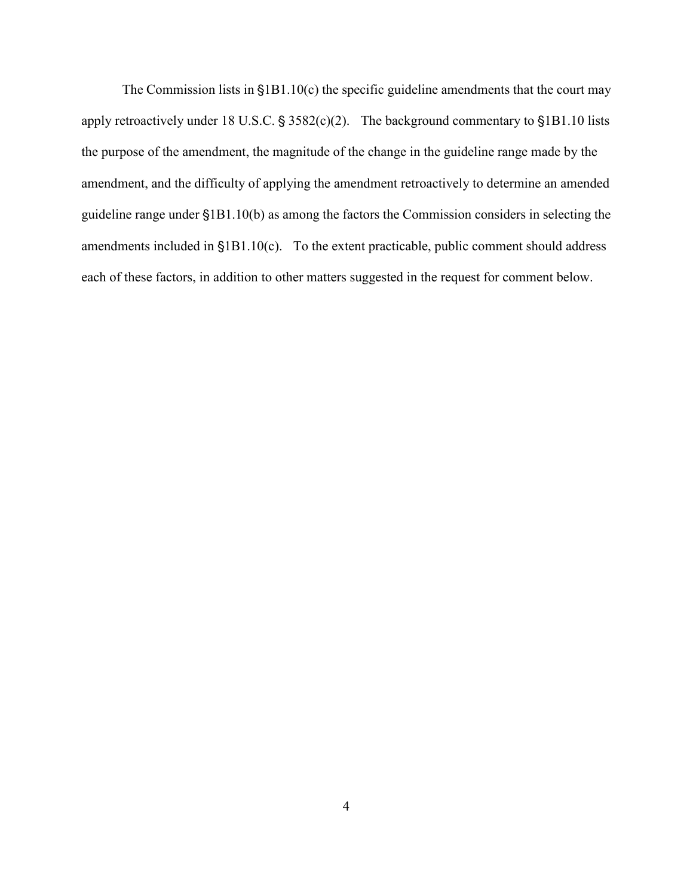The Commission lists in  $$1B1.10(c)$  the specific guideline amendments that the court may apply retroactively under 18 U.S.C.  $\S 3582(c)(2)$ . The background commentary to  $\S 1B1.10$  lists the purpose of the amendment, the magnitude of the change in the guideline range made by the amendment, and the difficulty of applying the amendment retroactively to determine an amended guideline range under '1B1.10(b) as among the factors the Commission considers in selecting the amendments included in  $$1B1.10(c)$ . To the extent practicable, public comment should address each of these factors, in addition to other matters suggested in the request for comment below.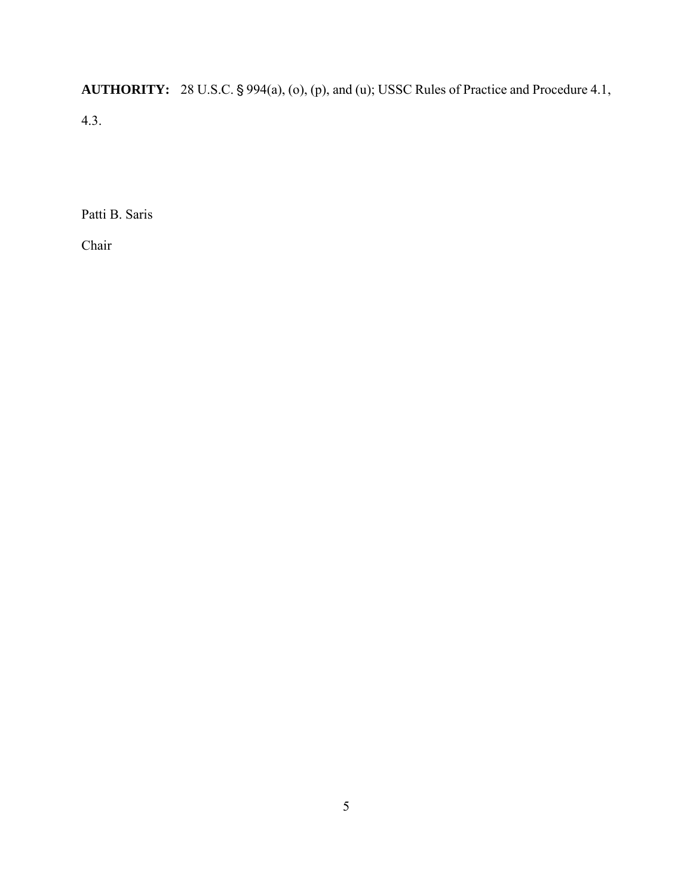**AUTHORITY:** 28 U.S.C. § 994(a), (o), (p), and (u); USSC Rules of Practice and Procedure 4.1, 4.3.

Patti B. Saris

Chair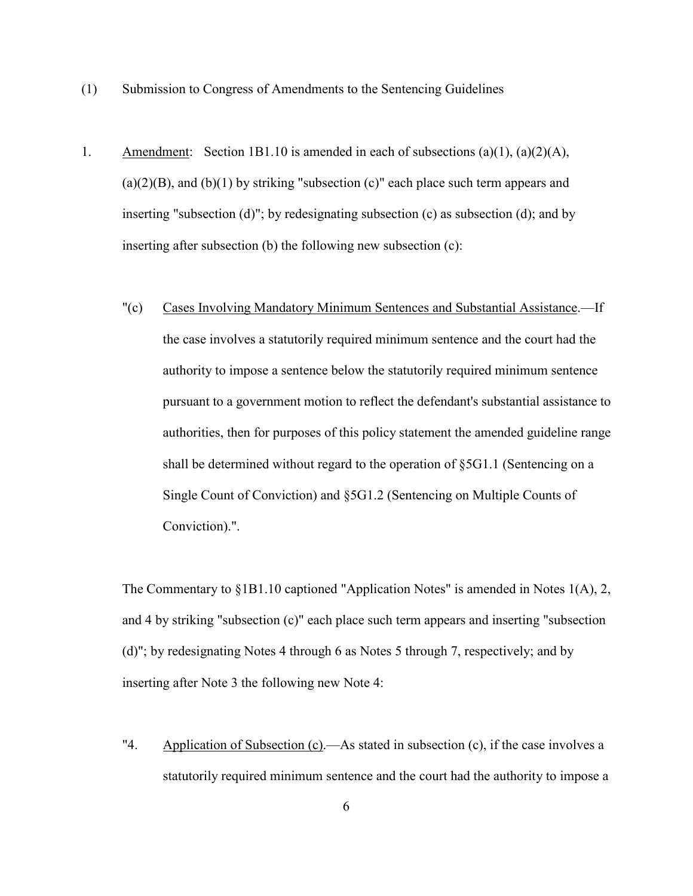- (1) Submission to Congress of Amendments to the Sentencing Guidelines
- 1. Amendment: Section 1B1.10 is amended in each of subsections (a)(1), (a)(2)(A),  $(a)(2)(B)$ , and  $(b)(1)$  by striking "subsection  $(c)$ " each place such term appears and inserting "subsection (d)"; by redesignating subsection (c) as subsection (d); and by inserting after subsection (b) the following new subsection (c):
	- "(c) Cases Involving Mandatory Minimum Sentences and Substantial Assistance.—If the case involves a statutorily required minimum sentence and the court had the authority to impose a sentence below the statutorily required minimum sentence pursuant to a government motion to reflect the defendant's substantial assistance to authorities, then for purposes of this policy statement the amended guideline range shall be determined without regard to the operation of §5G1.1 (Sentencing on a Single Count of Conviction) and §5G1.2 (Sentencing on Multiple Counts of Conviction).".

The Commentary to §1B1.10 captioned "Application Notes" is amended in Notes 1(A), 2, and 4 by striking "subsection (c)" each place such term appears and inserting "subsection (d)"; by redesignating Notes 4 through 6 as Notes 5 through 7, respectively; and by inserting after Note 3 the following new Note 4:

"4. Application of Subsection (c).—As stated in subsection (c), if the case involves a statutorily required minimum sentence and the court had the authority to impose a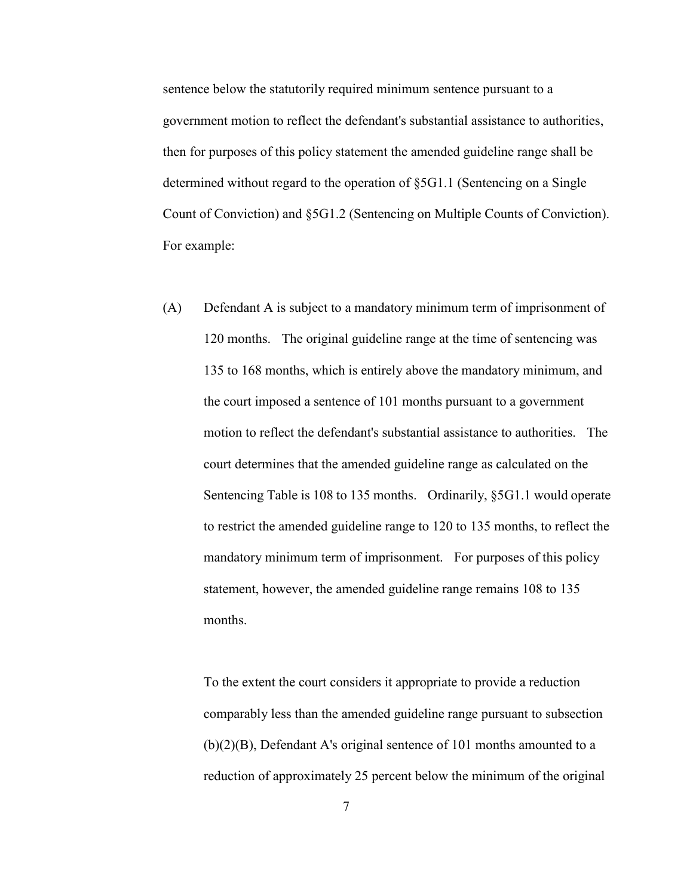sentence below the statutorily required minimum sentence pursuant to a government motion to reflect the defendant's substantial assistance to authorities, then for purposes of this policy statement the amended guideline range shall be determined without regard to the operation of §5G1.1 (Sentencing on a Single Count of Conviction) and §5G1.2 (Sentencing on Multiple Counts of Conviction). For example:

(A) Defendant A is subject to a mandatory minimum term of imprisonment of 120 months. The original guideline range at the time of sentencing was 135 to 168 months, which is entirely above the mandatory minimum, and the court imposed a sentence of 101 months pursuant to a government motion to reflect the defendant's substantial assistance to authorities. The court determines that the amended guideline range as calculated on the Sentencing Table is 108 to 135 months. Ordinarily, §5G1.1 would operate to restrict the amended guideline range to 120 to 135 months, to reflect the mandatory minimum term of imprisonment. For purposes of this policy statement, however, the amended guideline range remains 108 to 135 months.

To the extent the court considers it appropriate to provide a reduction comparably less than the amended guideline range pursuant to subsection (b)(2)(B), Defendant A's original sentence of 101 months amounted to a reduction of approximately 25 percent below the minimum of the original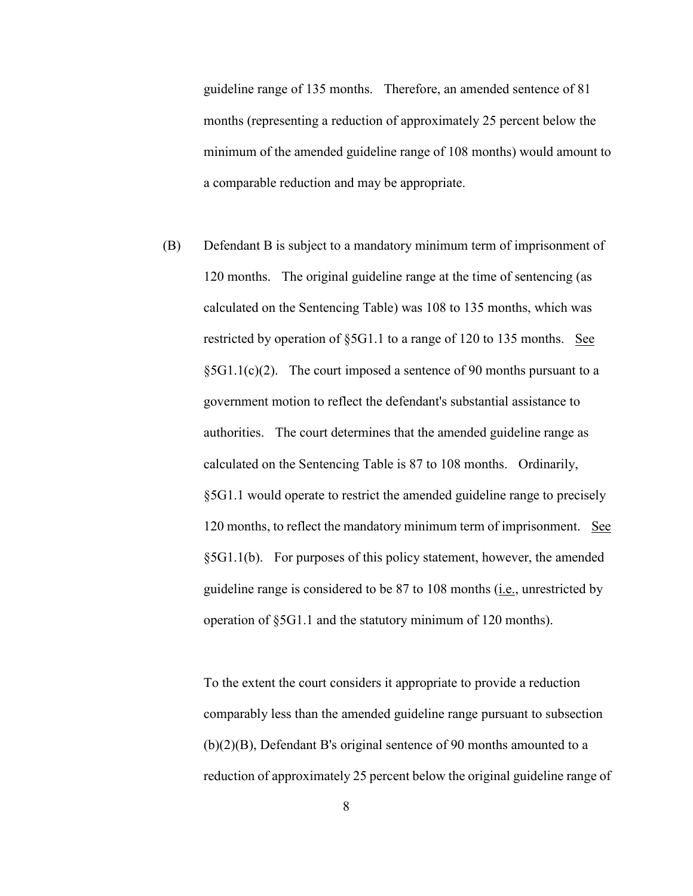guideline range of 135 months. Therefore, an amended sentence of 81 months (representing a reduction of approximately 25 percent below the minimum of the amended guideline range of 108 months) would amount to a comparable reduction and may be appropriate.

(B) Defendant B is subject to a mandatory minimum term of imprisonment of 120 months. The original guideline range at the time of sentencing (as calculated on the Sentencing Table) was 108 to 135 months, which was restricted by operation of §5G1.1 to a range of 120 to 135 months. See  $\S 5G1.1(c)(2)$ . The court imposed a sentence of 90 months pursuant to a government motion to reflect the defendant's substantial assistance to authorities. The court determines that the amended guideline range as calculated on the Sentencing Table is 87 to 108 months. Ordinarily, §5G1.1 would operate to restrict the amended guideline range to precisely 120 months, to reflect the mandatory minimum term of imprisonment. See §5G1.1(b). For purposes of this policy statement, however, the amended guideline range is considered to be 87 to 108 months (i.e., unrestricted by operation of §5G1.1 and the statutory minimum of 120 months).

To the extent the court considers it appropriate to provide a reduction comparably less than the amended guideline range pursuant to subsection (b)(2)(B), Defendant B's original sentence of 90 months amounted to a reduction of approximately 25 percent below the original guideline range of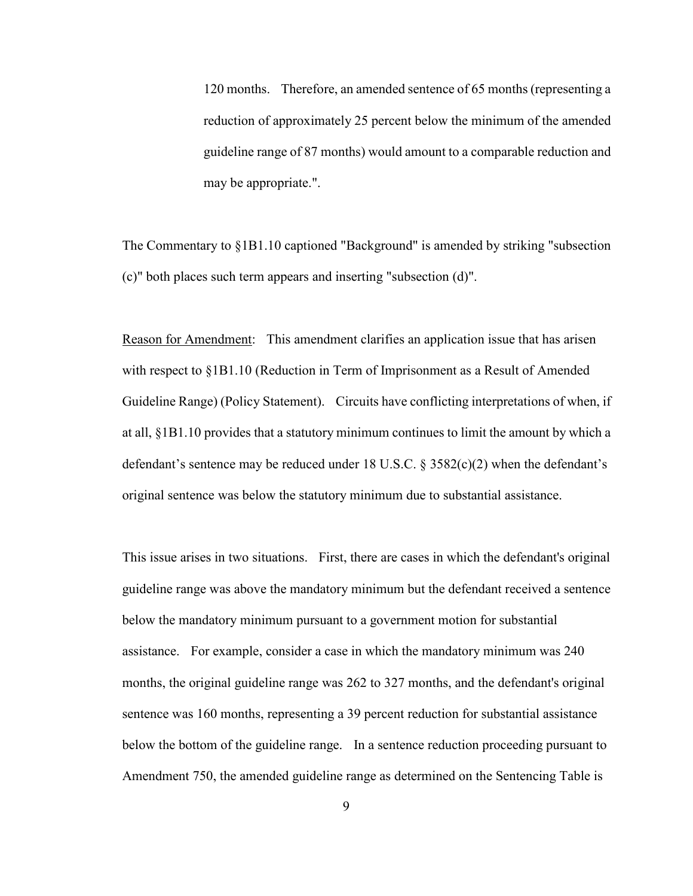120 months. Therefore, an amended sentence of 65 months (representing a reduction of approximately 25 percent below the minimum of the amended guideline range of 87 months) would amount to a comparable reduction and may be appropriate.".

The Commentary to §1B1.10 captioned "Background" is amended by striking "subsection (c)" both places such term appears and inserting "subsection (d)".

Reason for Amendment: This amendment clarifies an application issue that has arisen with respect to §1B1.10 (Reduction in Term of Imprisonment as a Result of Amended Guideline Range) (Policy Statement). Circuits have conflicting interpretations of when, if at all, §1B1.10 provides that a statutory minimum continues to limit the amount by which a defendant's sentence may be reduced under 18 U.S.C. § 3582(c)(2) when the defendant's original sentence was below the statutory minimum due to substantial assistance.

This issue arises in two situations. First, there are cases in which the defendant's original guideline range was above the mandatory minimum but the defendant received a sentence below the mandatory minimum pursuant to a government motion for substantial assistance. For example, consider a case in which the mandatory minimum was 240 months, the original guideline range was 262 to 327 months, and the defendant's original sentence was 160 months, representing a 39 percent reduction for substantial assistance below the bottom of the guideline range. In a sentence reduction proceeding pursuant to Amendment 750, the amended guideline range as determined on the Sentencing Table is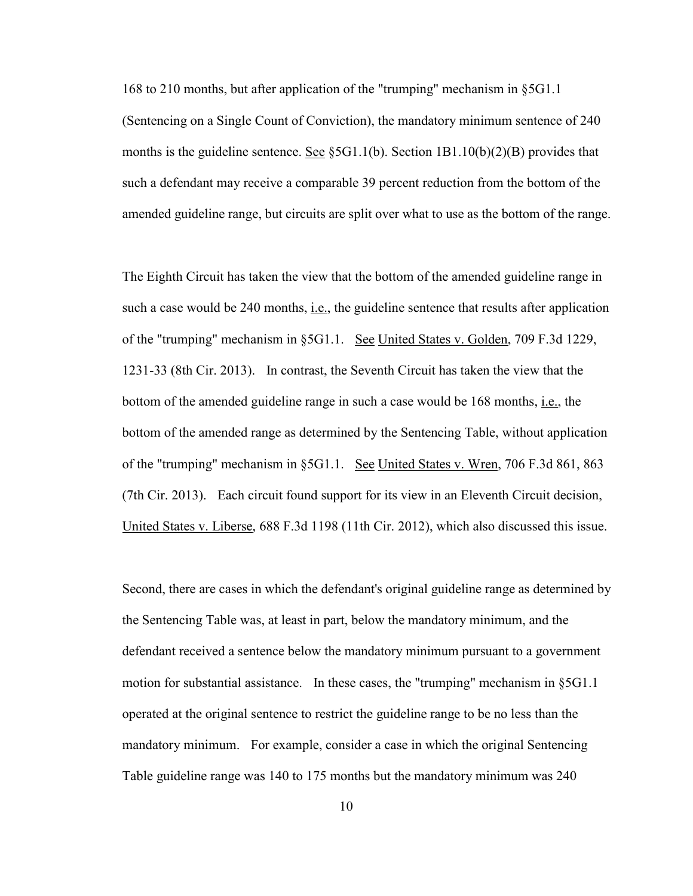168 to 210 months, but after application of the "trumping" mechanism in §5G1.1 (Sentencing on a Single Count of Conviction), the mandatory minimum sentence of 240 months is the guideline sentence. See  $\S 5G1.1(b)$ . Section 1B1.10(b)(2)(B) provides that such a defendant may receive a comparable 39 percent reduction from the bottom of the amended guideline range, but circuits are split over what to use as the bottom of the range.

The Eighth Circuit has taken the view that the bottom of the amended guideline range in such a case would be  $240$  months, i.e., the guideline sentence that results after application of the "trumping" mechanism in §5G1.1. See United States v. Golden, 709 F.3d 1229, 1231-33 (8th Cir. 2013). In contrast, the Seventh Circuit has taken the view that the bottom of the amended guideline range in such a case would be 168 months, i.e., the bottom of the amended range as determined by the Sentencing Table, without application of the "trumping" mechanism in §5G1.1. See United States v. Wren, 706 F.3d 861, 863 (7th Cir. 2013). Each circuit found support for its view in an Eleventh Circuit decision, United States v. Liberse, 688 F.3d 1198 (11th Cir. 2012), which also discussed this issue.

Second, there are cases in which the defendant's original guideline range as determined by the Sentencing Table was, at least in part, below the mandatory minimum, and the defendant received a sentence below the mandatory minimum pursuant to a government motion for substantial assistance. In these cases, the "trumping" mechanism in  $\S5G1.1$ operated at the original sentence to restrict the guideline range to be no less than the mandatory minimum. For example, consider a case in which the original Sentencing Table guideline range was 140 to 175 months but the mandatory minimum was 240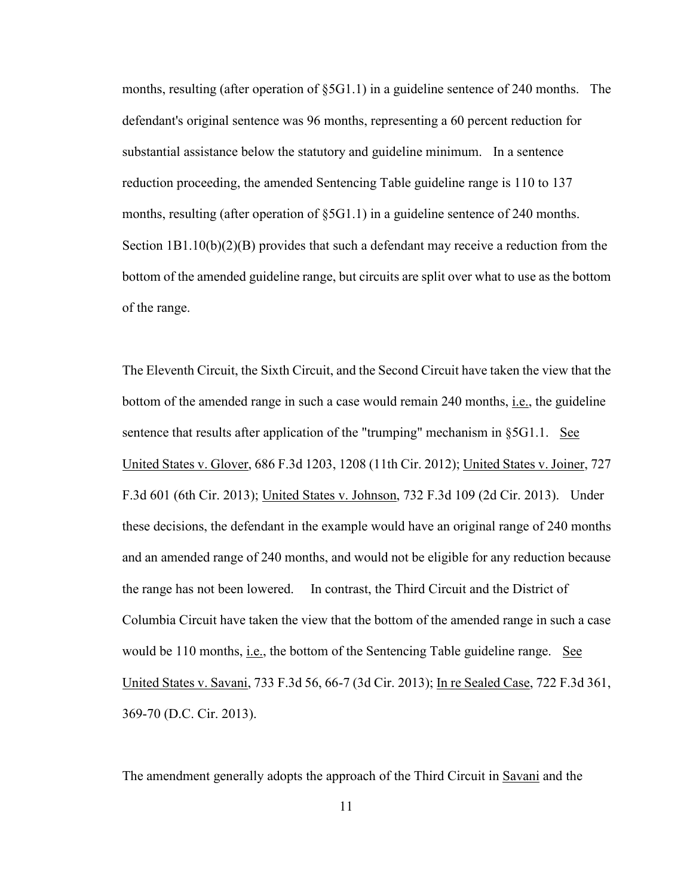months, resulting (after operation of §5G1.1) in a guideline sentence of 240 months. The defendant's original sentence was 96 months, representing a 60 percent reduction for substantial assistance below the statutory and guideline minimum. In a sentence reduction proceeding, the amended Sentencing Table guideline range is 110 to 137 months, resulting (after operation of §5G1.1) in a guideline sentence of 240 months. Section  $1B1.10(b)(2)(B)$  provides that such a defendant may receive a reduction from the bottom of the amended guideline range, but circuits are split over what to use as the bottom of the range.

The Eleventh Circuit, the Sixth Circuit, and the Second Circuit have taken the view that the bottom of the amended range in such a case would remain 240 months, i.e., the guideline sentence that results after application of the "trumping" mechanism in §5G1.1. See United States v. Glover, 686 F.3d 1203, 1208 (11th Cir. 2012); United States v. Joiner, 727 F.3d 601 (6th Cir. 2013); United States v. Johnson, 732 F.3d 109 (2d Cir. 2013). Under these decisions, the defendant in the example would have an original range of 240 months and an amended range of 240 months, and would not be eligible for any reduction because the range has not been lowered. In contrast, the Third Circuit and the District of Columbia Circuit have taken the view that the bottom of the amended range in such a case would be 110 months, i.e., the bottom of the Sentencing Table guideline range. See United States v. Savani, 733 F.3d 56, 66-7 (3d Cir. 2013); In re Sealed Case, 722 F.3d 361, 369-70 (D.C. Cir. 2013).

The amendment generally adopts the approach of the Third Circuit in Savani and the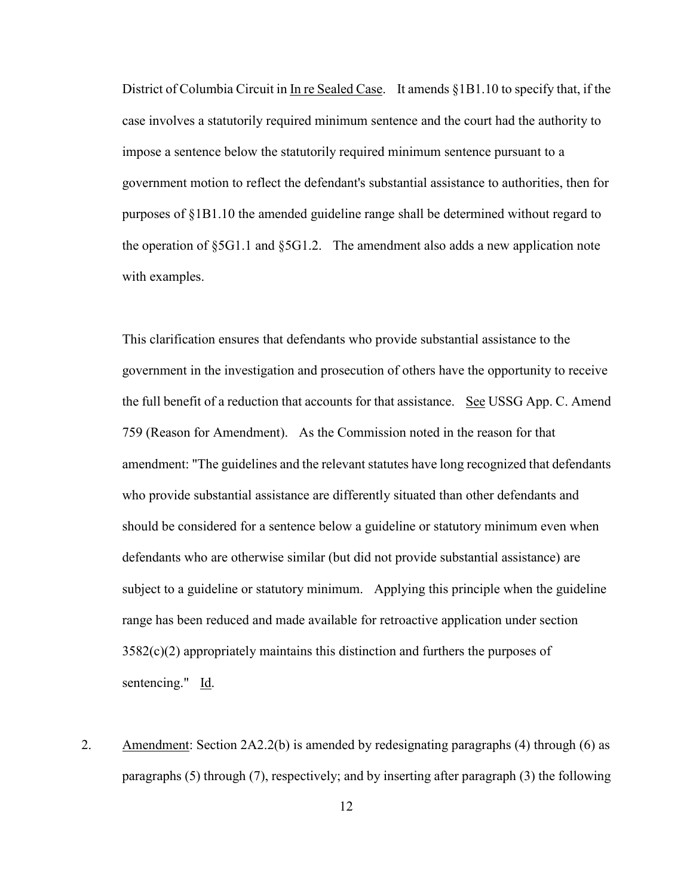District of Columbia Circuit in In re Sealed Case. It amends §1B1.10 to specify that, if the case involves a statutorily required minimum sentence and the court had the authority to impose a sentence below the statutorily required minimum sentence pursuant to a government motion to reflect the defendant's substantial assistance to authorities, then for purposes of §1B1.10 the amended guideline range shall be determined without regard to the operation of §5G1.1 and §5G1.2. The amendment also adds a new application note with examples.

This clarification ensures that defendants who provide substantial assistance to the government in the investigation and prosecution of others have the opportunity to receive the full benefit of a reduction that accounts for that assistance. See USSG App. C. Amend 759 (Reason for Amendment). As the Commission noted in the reason for that amendment: "The guidelines and the relevant statutes have long recognized that defendants who provide substantial assistance are differently situated than other defendants and should be considered for a sentence below a guideline or statutory minimum even when defendants who are otherwise similar (but did not provide substantial assistance) are subject to a guideline or statutory minimum. Applying this principle when the guideline range has been reduced and made available for retroactive application under section 3582(c)(2) appropriately maintains this distinction and furthers the purposes of sentencing." Id.

2. Amendment: Section 2A2.2(b) is amended by redesignating paragraphs (4) through (6) as paragraphs (5) through (7), respectively; and by inserting after paragraph (3) the following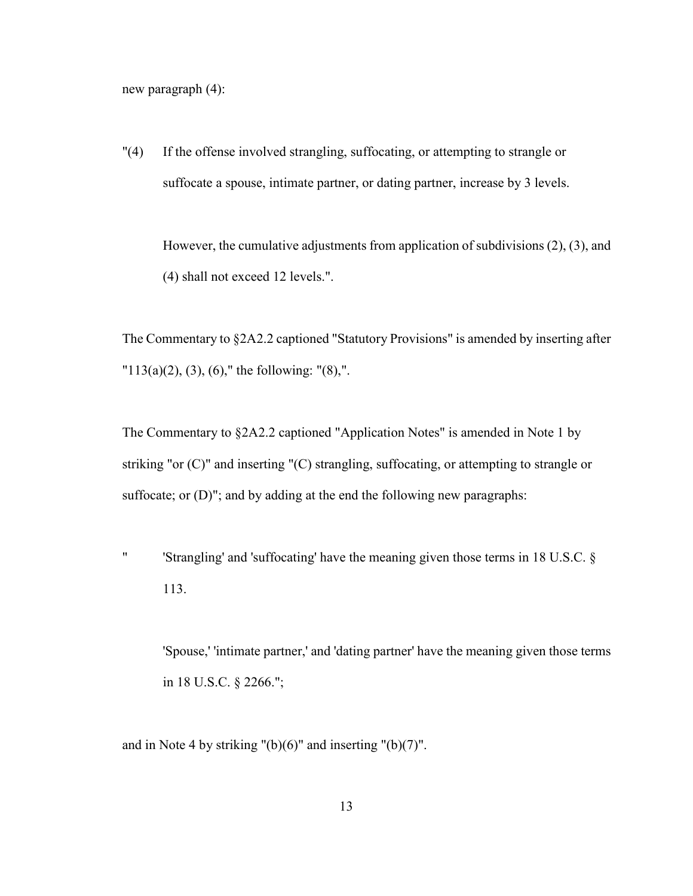new paragraph (4):

"(4) If the offense involved strangling, suffocating, or attempting to strangle or suffocate a spouse, intimate partner, or dating partner, increase by 3 levels.

However, the cumulative adjustments from application of subdivisions (2), (3), and (4) shall not exceed 12 levels.".

The Commentary to §2A2.2 captioned "Statutory Provisions" is amended by inserting after  $"113(a)(2), (3), (6),"$  the following:  $"(8),"$ .

The Commentary to §2A2.2 captioned "Application Notes" is amended in Note 1 by striking "or (C)" and inserting "(C) strangling, suffocating, or attempting to strangle or suffocate; or (D)"; and by adding at the end the following new paragraphs:

" 'Strangling' and 'suffocating' have the meaning given those terms in 18 U.S.C. § 113.

'Spouse,' 'intimate partner,' and 'dating partner' have the meaning given those terms in 18 U.S.C. § 2266.";

and in Note 4 by striking  $"({\rm b})(6)"$  and inserting  $"({\rm b})(7)"$ .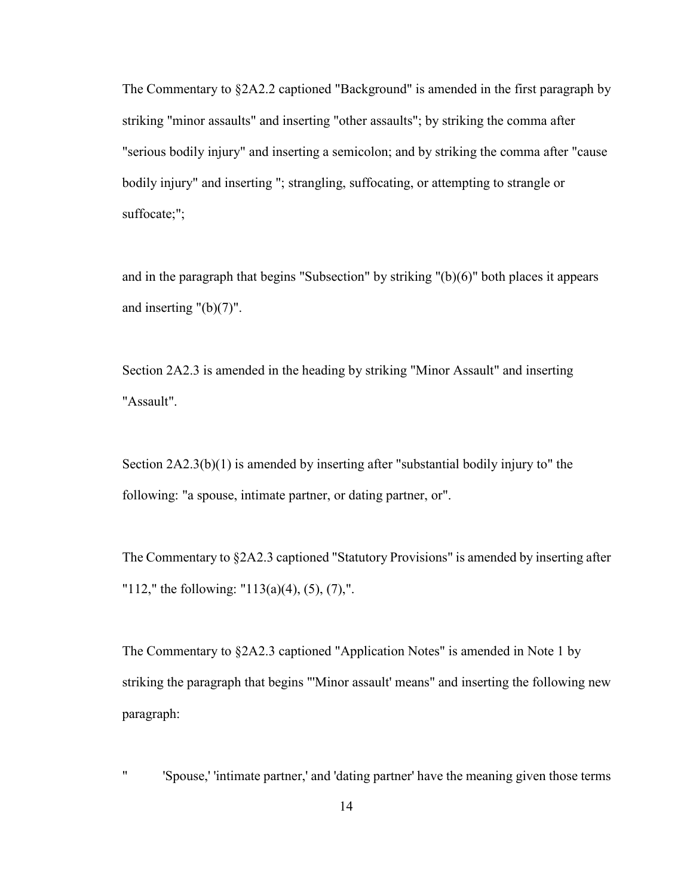The Commentary to §2A2.2 captioned "Background" is amended in the first paragraph by striking "minor assaults" and inserting "other assaults"; by striking the comma after "serious bodily injury" and inserting a semicolon; and by striking the comma after "cause bodily injury" and inserting "; strangling, suffocating, or attempting to strangle or suffocate;";

and in the paragraph that begins "Subsection" by striking "(b)(6)" both places it appears and inserting "(b)(7)".

Section 2A2.3 is amended in the heading by striking "Minor Assault" and inserting "Assault".

Section 2A2.3(b)(1) is amended by inserting after "substantial bodily injury to" the following: "a spouse, intimate partner, or dating partner, or".

The Commentary to §2A2.3 captioned "Statutory Provisions" is amended by inserting after "112," the following: "113(a)(4), (5), (7),".

The Commentary to §2A2.3 captioned "Application Notes" is amended in Note 1 by striking the paragraph that begins "'Minor assault' means" and inserting the following new paragraph:

" 'Spouse,' 'intimate partner,' and 'dating partner' have the meaning given those terms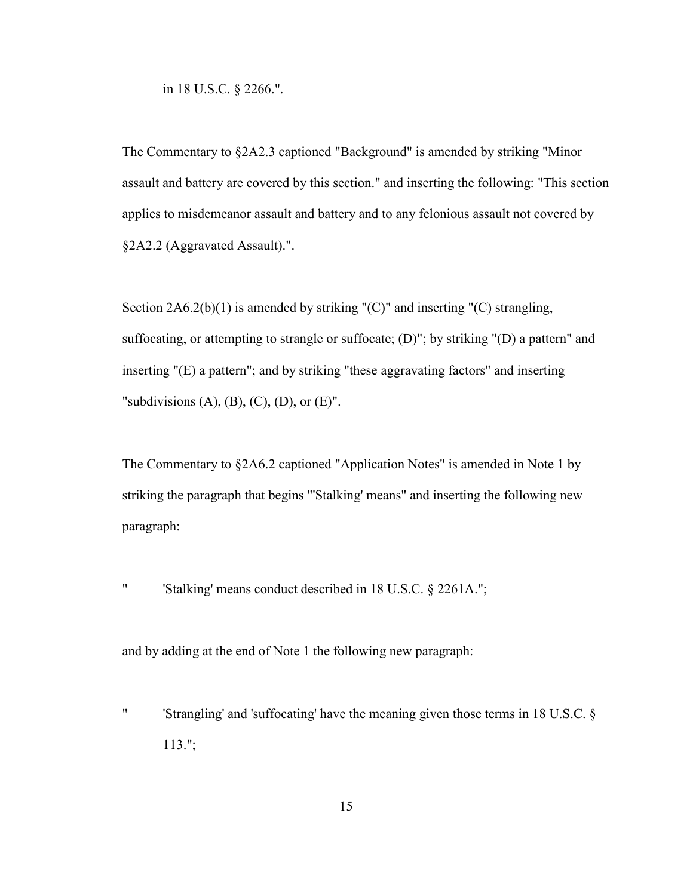in 18 U.S.C. § 2266.".

The Commentary to §2A2.3 captioned "Background" is amended by striking "Minor assault and battery are covered by this section." and inserting the following: "This section applies to misdemeanor assault and battery and to any felonious assault not covered by §2A2.2 (Aggravated Assault).".

Section 2A6.2(b)(1) is amended by striking "(C)" and inserting "(C) strangling, suffocating, or attempting to strangle or suffocate; (D)"; by striking "(D) a pattern" and inserting "(E) a pattern"; and by striking "these aggravating factors" and inserting "subdivisions  $(A)$ ,  $(B)$ ,  $(C)$ ,  $(D)$ , or  $(E)$ ".

The Commentary to §2A6.2 captioned "Application Notes" is amended in Note 1 by striking the paragraph that begins "'Stalking' means" and inserting the following new paragraph:

" 'Stalking' means conduct described in 18 U.S.C. § 2261A.";

and by adding at the end of Note 1 the following new paragraph:

" 'Strangling' and 'suffocating' have the meaning given those terms in 18 U.S.C. § 113.";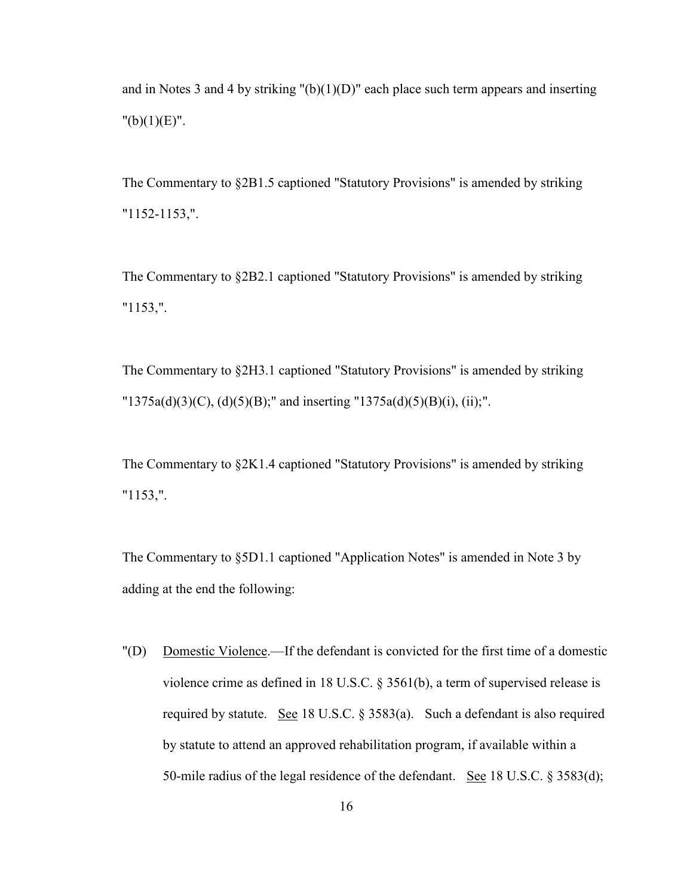and in Notes 3 and 4 by striking "(b)(1)(D)" each place such term appears and inserting  $"({\rm b})(1)({\rm E})".$ 

The Commentary to §2B1.5 captioned "Statutory Provisions" is amended by striking "1152-1153,".

The Commentary to §2B2.1 captioned "Statutory Provisions" is amended by striking "1153,".

The Commentary to §2H3.1 captioned "Statutory Provisions" is amended by striking  $"1375a(d)(3)(C)$ , (d)(5)(B);" and inserting  $"1375a(d)(5)(B)(i)$ , (ii);".

The Commentary to §2K1.4 captioned "Statutory Provisions" is amended by striking "1153,".

The Commentary to §5D1.1 captioned "Application Notes" is amended in Note 3 by adding at the end the following:

"(D) Domestic Violence.—If the defendant is convicted for the first time of a domestic violence crime as defined in 18 U.S.C. § 3561(b), a term of supervised release is required by statute. See 18 U.S.C. § 3583(a). Such a defendant is also required by statute to attend an approved rehabilitation program, if available within a 50-mile radius of the legal residence of the defendant. See 18 U.S.C. § 3583(d);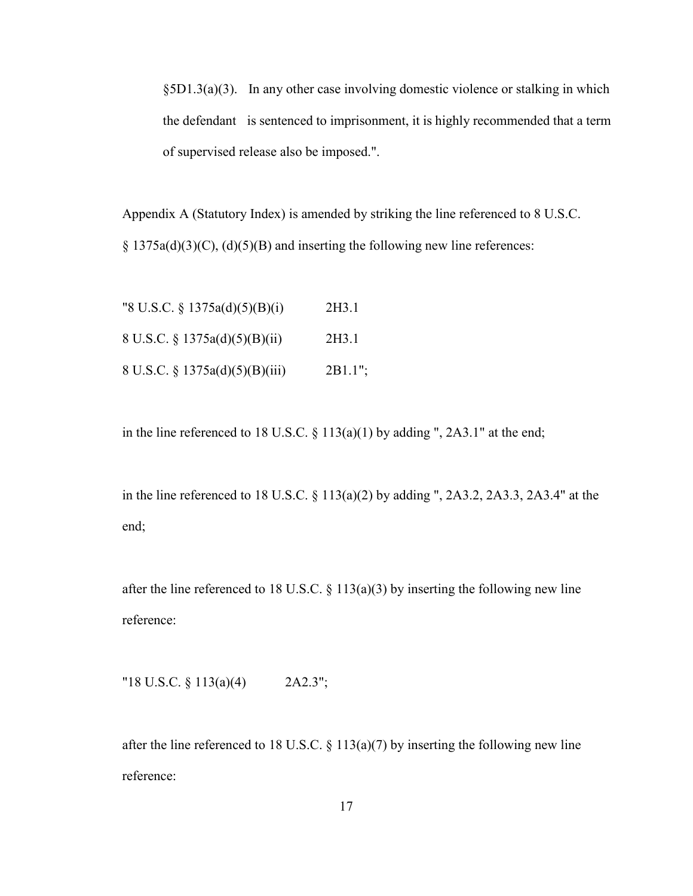§5D1.3(a)(3). In any other case involving domestic violence or stalking in which the defendant is sentenced to imprisonment, it is highly recommended that a term of supervised release also be imposed.".

Appendix A (Statutory Index) is amended by striking the line referenced to 8 U.S.C.  $\S$  1375a(d)(3)(C), (d)(5)(B) and inserting the following new line references:

| "8 U.S.C. $\S$ 1375a(d)(5)(B)(i) | 2H3.1      |
|----------------------------------|------------|
| 8 U.S.C. § 1375a(d)(5)(B)(ii)    | 2H3 1      |
| 8 U.S.C. § 1375a(d)(5)(B)(iii)   | $2B1.1$ "; |

in the line referenced to 18 U.S.C.  $\S$  113(a)(1) by adding ", 2A3.1" at the end;

in the line referenced to 18 U.S.C. § 113(a)(2) by adding ", 2A3.2, 2A3.3, 2A3.4" at the end;

after the line referenced to 18 U.S.C.  $\S$  113(a)(3) by inserting the following new line reference:

"18 U.S.C. § 113(a)(4) 2A2.3";

after the line referenced to 18 U.S.C.  $\S$  113(a)(7) by inserting the following new line reference: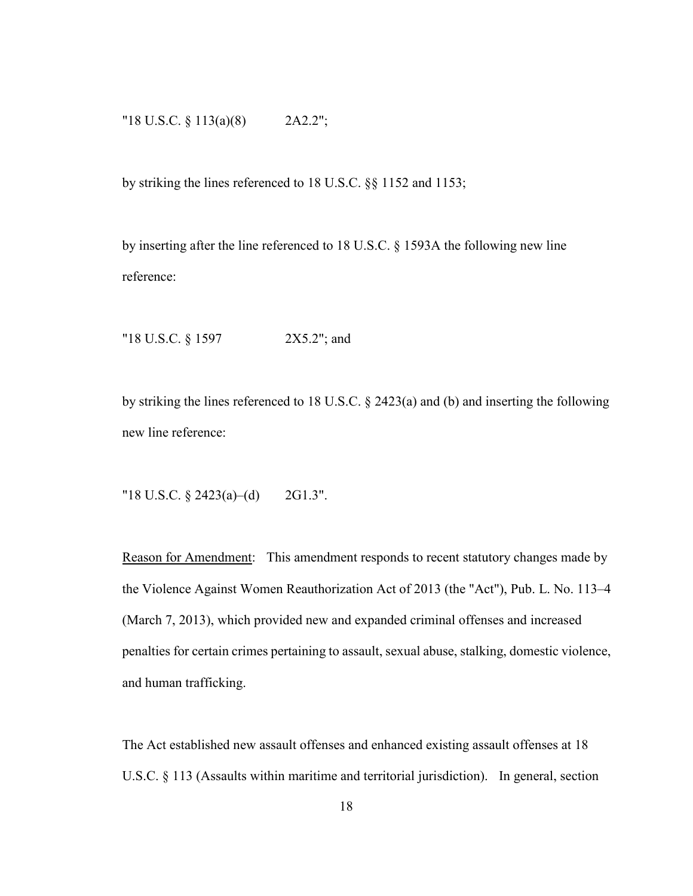## "18 U.S.C. § 113(a)(8) 2A2.2";

by striking the lines referenced to 18 U.S.C. §§ 1152 and 1153;

by inserting after the line referenced to 18 U.S.C. § 1593A the following new line reference:

"18 U.S.C. § 1597 2X5.2"; and

by striking the lines referenced to 18 U.S.C. § 2423(a) and (b) and inserting the following new line reference:

"18 U.S.C. § 2423(a)–(d) 2G1.3".

Reason for Amendment: This amendment responds to recent statutory changes made by the Violence Against Women Reauthorization Act of 2013 (the "Act"), Pub. L. No. 113–4 (March 7, 2013), which provided new and expanded criminal offenses and increased penalties for certain crimes pertaining to assault, sexual abuse, stalking, domestic violence, and human trafficking.

The Act established new assault offenses and enhanced existing assault offenses at 18 U.S.C. § 113 (Assaults within maritime and territorial jurisdiction). In general, section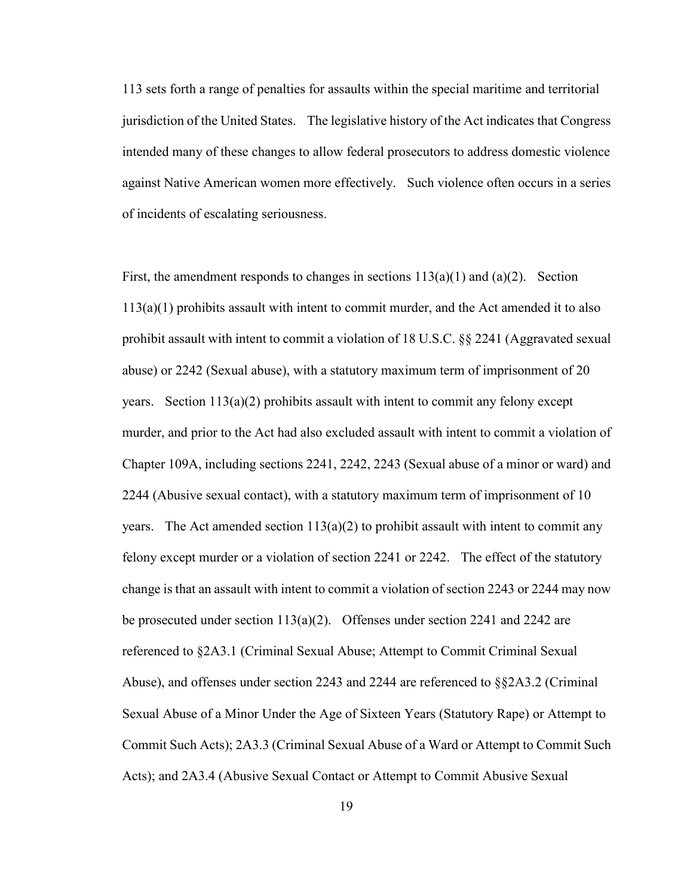113 sets forth a range of penalties for assaults within the special maritime and territorial jurisdiction of the United States. The legislative history of the Act indicates that Congress intended many of these changes to allow federal prosecutors to address domestic violence against Native American women more effectively. Such violence often occurs in a series of incidents of escalating seriousness.

First, the amendment responds to changes in sections  $113(a)(1)$  and  $(a)(2)$ . Section  $113(a)(1)$  prohibits assault with intent to commit murder, and the Act amended it to also prohibit assault with intent to commit a violation of 18 U.S.C. §§ 2241 (Aggravated sexual abuse) or 2242 (Sexual abuse), with a statutory maximum term of imprisonment of 20 years. Section  $113(a)(2)$  prohibits assault with intent to commit any felony except murder, and prior to the Act had also excluded assault with intent to commit a violation of Chapter 109A, including sections 2241, 2242, 2243 (Sexual abuse of a minor or ward) and 2244 (Abusive sexual contact), with a statutory maximum term of imprisonment of 10 years. The Act amended section  $113(a)(2)$  to prohibit assault with intent to commit any felony except murder or a violation of section 2241 or 2242. The effect of the statutory change is that an assault with intent to commit a violation of section 2243 or 2244 may now be prosecuted under section 113(a)(2). Offenses under section 2241 and 2242 are referenced to §2A3.1 (Criminal Sexual Abuse; Attempt to Commit Criminal Sexual Abuse), and offenses under section 2243 and 2244 are referenced to §§2A3.2 (Criminal Sexual Abuse of a Minor Under the Age of Sixteen Years (Statutory Rape) or Attempt to Commit Such Acts); 2A3.3 (Criminal Sexual Abuse of a Ward or Attempt to Commit Such Acts); and 2A3.4 (Abusive Sexual Contact or Attempt to Commit Abusive Sexual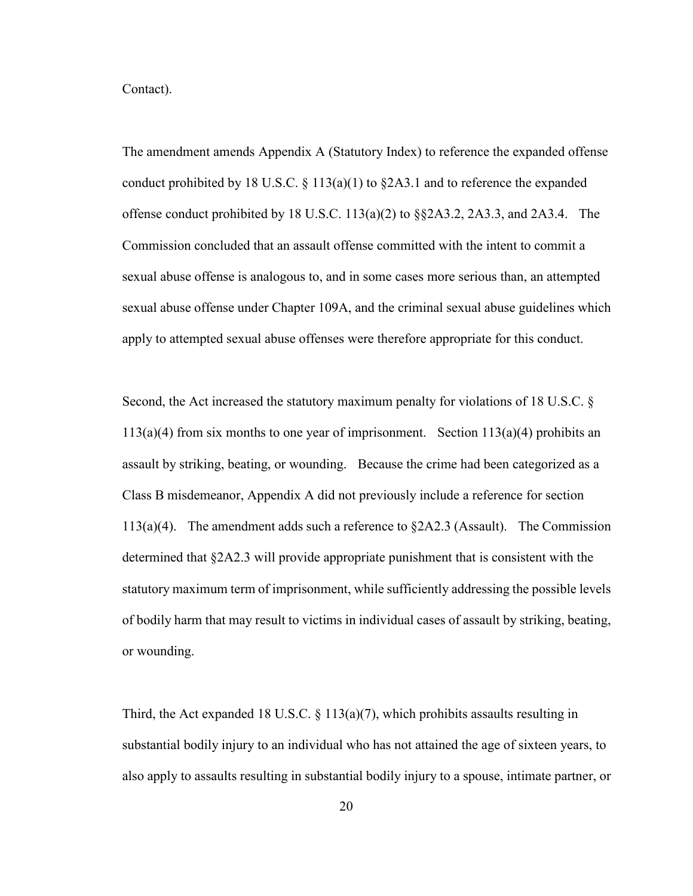Contact).

The amendment amends Appendix A (Statutory Index) to reference the expanded offense conduct prohibited by 18 U.S.C. § 113(a)(1) to §2A3.1 and to reference the expanded offense conduct prohibited by 18 U.S.C.  $113(a)(2)$  to  $\S$  $\S$ 2A3.2, 2A3.3, and 2A3.4. The Commission concluded that an assault offense committed with the intent to commit a sexual abuse offense is analogous to, and in some cases more serious than, an attempted sexual abuse offense under Chapter 109A, and the criminal sexual abuse guidelines which apply to attempted sexual abuse offenses were therefore appropriate for this conduct.

Second, the Act increased the statutory maximum penalty for violations of 18 U.S.C. §  $113(a)(4)$  from six months to one year of imprisonment. Section  $113(a)(4)$  prohibits an assault by striking, beating, or wounding. Because the crime had been categorized as a Class B misdemeanor, Appendix A did not previously include a reference for section 113(a)(4). The amendment adds such a reference to §2A2.3 (Assault). The Commission determined that §2A2.3 will provide appropriate punishment that is consistent with the statutory maximum term of imprisonment, while sufficiently addressing the possible levels of bodily harm that may result to victims in individual cases of assault by striking, beating, or wounding.

Third, the Act expanded 18 U.S.C.  $\S$  113(a)(7), which prohibits assaults resulting in substantial bodily injury to an individual who has not attained the age of sixteen years, to also apply to assaults resulting in substantial bodily injury to a spouse, intimate partner, or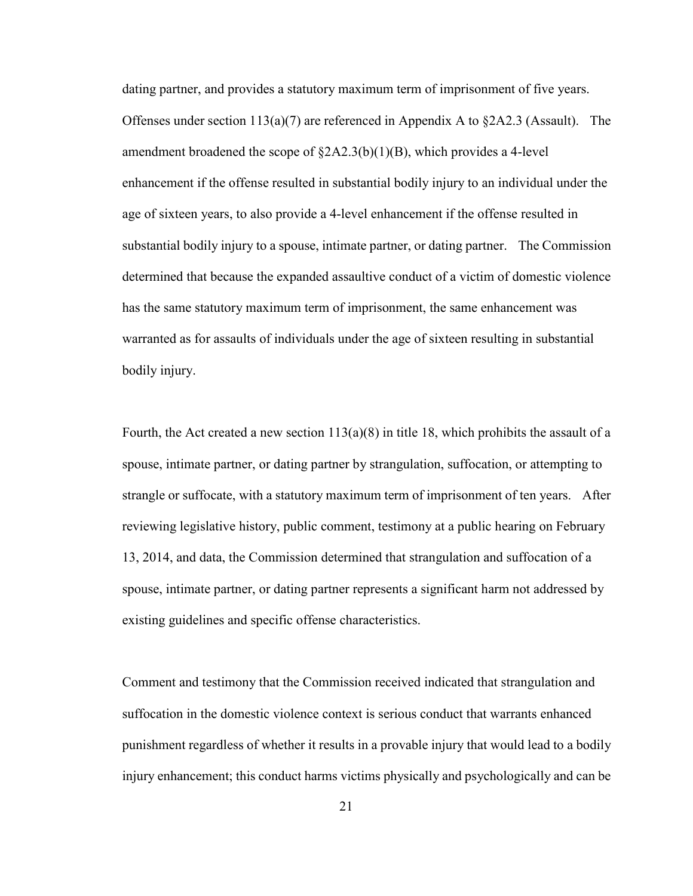dating partner, and provides a statutory maximum term of imprisonment of five years. Offenses under section  $113(a)(7)$  are referenced in Appendix A to  $\S 2A2.3$  (Assault). The amendment broadened the scope of  $\&2A2.3(b)(1)(B)$ , which provides a 4-level enhancement if the offense resulted in substantial bodily injury to an individual under the age of sixteen years, to also provide a 4-level enhancement if the offense resulted in substantial bodily injury to a spouse, intimate partner, or dating partner. The Commission determined that because the expanded assaultive conduct of a victim of domestic violence has the same statutory maximum term of imprisonment, the same enhancement was warranted as for assaults of individuals under the age of sixteen resulting in substantial bodily injury.

Fourth, the Act created a new section  $113(a)(8)$  in title 18, which prohibits the assault of a spouse, intimate partner, or dating partner by strangulation, suffocation, or attempting to strangle or suffocate, with a statutory maximum term of imprisonment of ten years. After reviewing legislative history, public comment, testimony at a public hearing on February 13, 2014, and data, the Commission determined that strangulation and suffocation of a spouse, intimate partner, or dating partner represents a significant harm not addressed by existing guidelines and specific offense characteristics.

Comment and testimony that the Commission received indicated that strangulation and suffocation in the domestic violence context is serious conduct that warrants enhanced punishment regardless of whether it results in a provable injury that would lead to a bodily injury enhancement; this conduct harms victims physically and psychologically and can be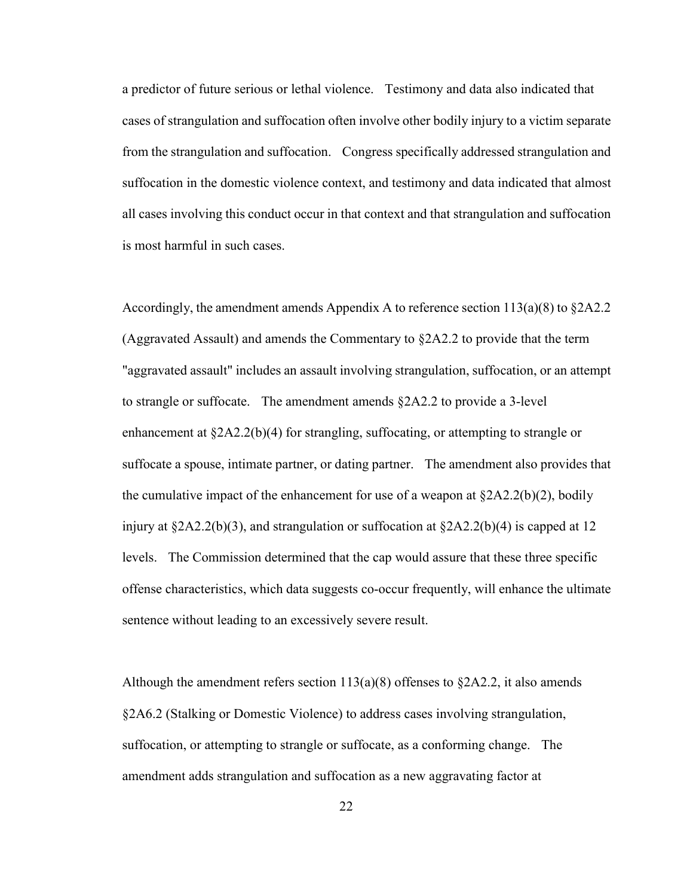a predictor of future serious or lethal violence. Testimony and data also indicated that cases of strangulation and suffocation often involve other bodily injury to a victim separate from the strangulation and suffocation. Congress specifically addressed strangulation and suffocation in the domestic violence context, and testimony and data indicated that almost all cases involving this conduct occur in that context and that strangulation and suffocation is most harmful in such cases.

Accordingly, the amendment amends Appendix A to reference section  $113(a)(8)$  to  $\S 2A2.2$ (Aggravated Assault) and amends the Commentary to  $\S 2A2.2$  to provide that the term "aggravated assault" includes an assault involving strangulation, suffocation, or an attempt to strangle or suffocate. The amendment amends §2A2.2 to provide a 3-level enhancement at  $\S 2A2.2(b)(4)$  for strangling, suffocating, or attempting to strangle or suffocate a spouse, intimate partner, or dating partner. The amendment also provides that the cumulative impact of the enhancement for use of a weapon at  $\frac{\delta 2A2.2(b)(2)}{2}$ , bodily injury at  $\S 2A2.2(b)(3)$ , and strangulation or suffocation at  $\S 2A2.2(b)(4)$  is capped at 12 levels. The Commission determined that the cap would assure that these three specific offense characteristics, which data suggests co-occur frequently, will enhance the ultimate sentence without leading to an excessively severe result.

Although the amendment refers section  $113(a)(8)$  offenses to  $\S 2A2.2$ , it also amends §2A6.2 (Stalking or Domestic Violence) to address cases involving strangulation, suffocation, or attempting to strangle or suffocate, as a conforming change. The amendment adds strangulation and suffocation as a new aggravating factor at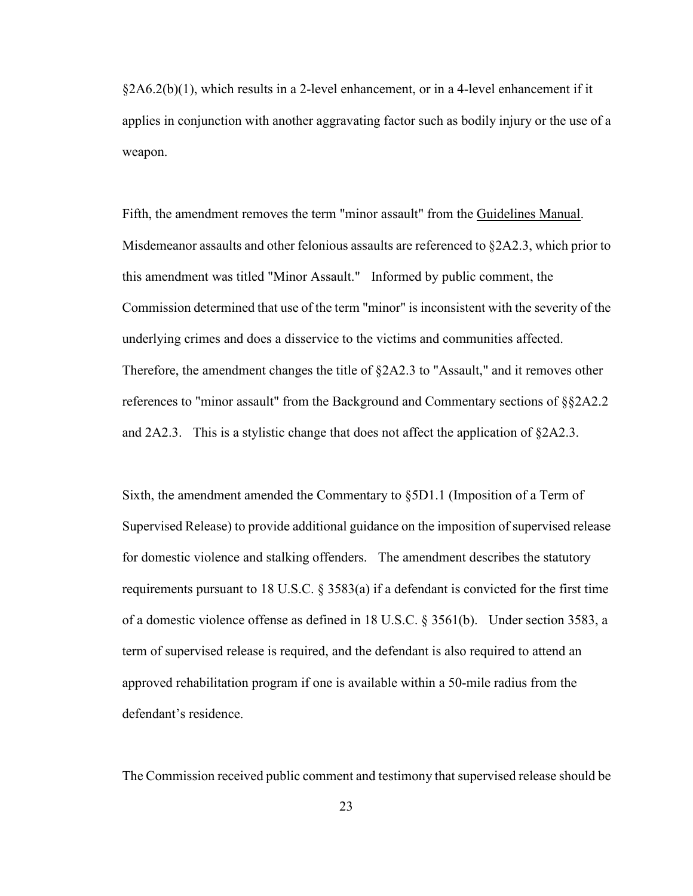$\&2A6.2(b)(1)$ , which results in a 2-level enhancement, or in a 4-level enhancement if it applies in conjunction with another aggravating factor such as bodily injury or the use of a weapon.

Fifth, the amendment removes the term "minor assault" from the Guidelines Manual. Misdemeanor assaults and other felonious assaults are referenced to §2A2.3, which prior to this amendment was titled "Minor Assault." Informed by public comment, the Commission determined that use of the term "minor" is inconsistent with the severity of the underlying crimes and does a disservice to the victims and communities affected. Therefore, the amendment changes the title of §2A2.3 to "Assault," and it removes other references to "minor assault" from the Background and Commentary sections of §§2A2.2 and  $2A2.3$ . This is a stylistic change that does not affect the application of  $\S 2A2.3$ .

Sixth, the amendment amended the Commentary to §5D1.1 (Imposition of a Term of Supervised Release) to provide additional guidance on the imposition of supervised release for domestic violence and stalking offenders. The amendment describes the statutory requirements pursuant to 18 U.S.C.  $\S$  3583(a) if a defendant is convicted for the first time of a domestic violence offense as defined in 18 U.S.C. § 3561(b). Under section 3583, a term of supervised release is required, and the defendant is also required to attend an approved rehabilitation program if one is available within a 50-mile radius from the defendant's residence.

The Commission received public comment and testimony that supervised release should be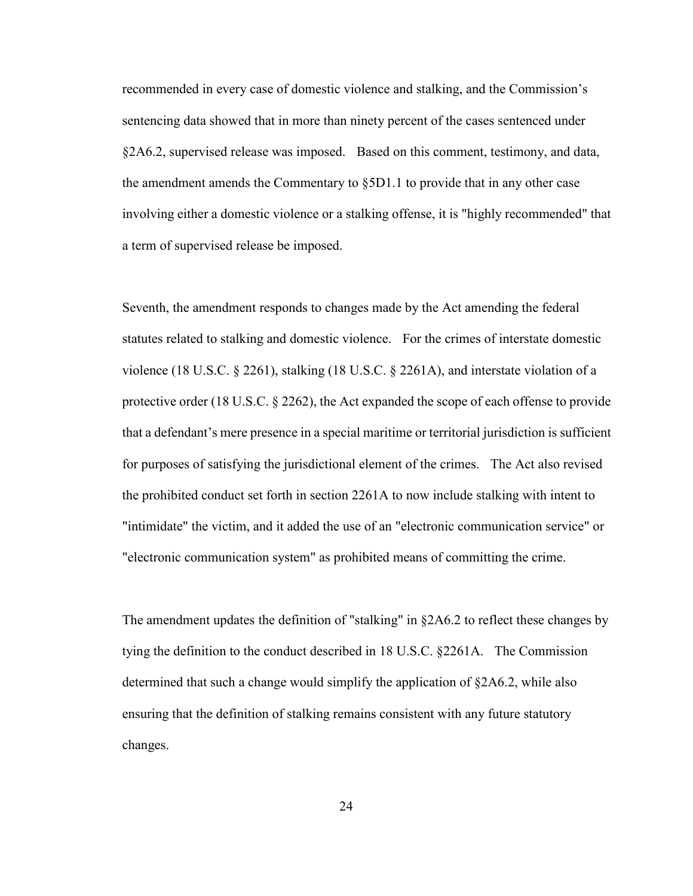recommended in every case of domestic violence and stalking, and the Commission's sentencing data showed that in more than ninety percent of the cases sentenced under §2A6.2, supervised release was imposed. Based on this comment, testimony, and data, the amendment amends the Commentary to  $\S5D1.1$  to provide that in any other case involving either a domestic violence or a stalking offense, it is "highly recommended" that a term of supervised release be imposed.

Seventh, the amendment responds to changes made by the Act amending the federal statutes related to stalking and domestic violence. For the crimes of interstate domestic violence (18 U.S.C. § 2261), stalking (18 U.S.C. § 2261A), and interstate violation of a protective order (18 U.S.C. § 2262), the Act expanded the scope of each offense to provide that a defendant's mere presence in a special maritime or territorial jurisdiction is sufficient for purposes of satisfying the jurisdictional element of the crimes. The Act also revised the prohibited conduct set forth in section 2261A to now include stalking with intent to "intimidate" the victim, and it added the use of an "electronic communication service" or "electronic communication system" as prohibited means of committing the crime.

The amendment updates the definition of "stalking" in §2A6.2 to reflect these changes by tying the definition to the conduct described in 18 U.S.C. §2261A. The Commission determined that such a change would simplify the application of §2A6.2, while also ensuring that the definition of stalking remains consistent with any future statutory changes.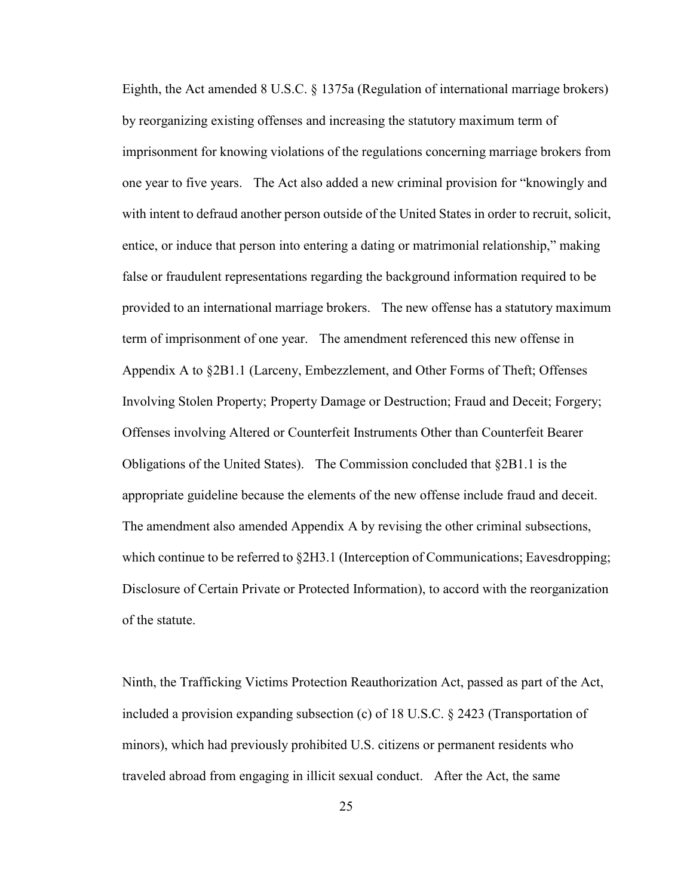Eighth, the Act amended 8 U.S.C. § 1375a (Regulation of international marriage brokers) by reorganizing existing offenses and increasing the statutory maximum term of imprisonment for knowing violations of the regulations concerning marriage brokers from one year to five years. The Act also added a new criminal provision for "knowingly and with intent to defraud another person outside of the United States in order to recruit, solicit, entice, or induce that person into entering a dating or matrimonial relationship," making false or fraudulent representations regarding the background information required to be provided to an international marriage brokers. The new offense has a statutory maximum term of imprisonment of one year. The amendment referenced this new offense in Appendix A to §2B1.1 (Larceny, Embezzlement, and Other Forms of Theft; Offenses Involving Stolen Property; Property Damage or Destruction; Fraud and Deceit; Forgery; Offenses involving Altered or Counterfeit Instruments Other than Counterfeit Bearer Obligations of the United States). The Commission concluded that §2B1.1 is the appropriate guideline because the elements of the new offense include fraud and deceit. The amendment also amended Appendix A by revising the other criminal subsections, which continue to be referred to §2H3.1 (Interception of Communications; Eavesdropping; Disclosure of Certain Private or Protected Information), to accord with the reorganization of the statute.

Ninth, the Trafficking Victims Protection Reauthorization Act, passed as part of the Act, included a provision expanding subsection (c) of 18 U.S.C. § 2423 (Transportation of minors), which had previously prohibited U.S. citizens or permanent residents who traveled abroad from engaging in illicit sexual conduct. After the Act, the same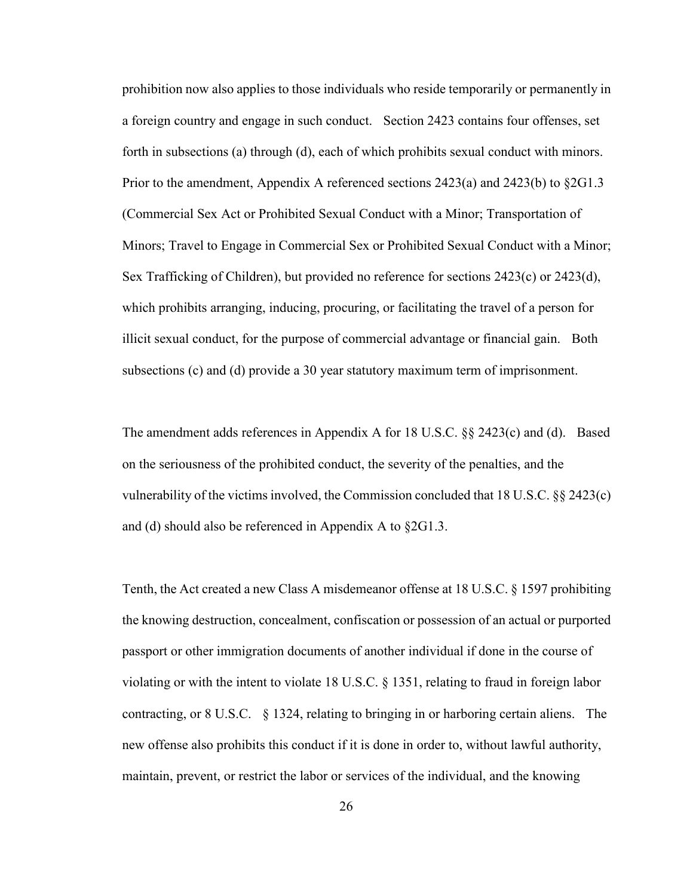prohibition now also applies to those individuals who reside temporarily or permanently in a foreign country and engage in such conduct. Section 2423 contains four offenses, set forth in subsections (a) through (d), each of which prohibits sexual conduct with minors. Prior to the amendment, Appendix A referenced sections  $2423(a)$  and  $2423(b)$  to  $\S 2G1.3$ (Commercial Sex Act or Prohibited Sexual Conduct with a Minor; Transportation of Minors; Travel to Engage in Commercial Sex or Prohibited Sexual Conduct with a Minor; Sex Trafficking of Children), but provided no reference for sections 2423(c) or 2423(d), which prohibits arranging, inducing, procuring, or facilitating the travel of a person for illicit sexual conduct, for the purpose of commercial advantage or financial gain. Both subsections (c) and (d) provide a 30 year statutory maximum term of imprisonment.

The amendment adds references in Appendix A for 18 U.S.C. §§ 2423(c) and (d). Based on the seriousness of the prohibited conduct, the severity of the penalties, and the vulnerability of the victims involved, the Commission concluded that 18 U.S.C. §§ 2423(c) and (d) should also be referenced in Appendix A to §2G1.3.

Tenth, the Act created a new Class A misdemeanor offense at 18 U.S.C. § 1597 prohibiting the knowing destruction, concealment, confiscation or possession of an actual or purported passport or other immigration documents of another individual if done in the course of violating or with the intent to violate 18 U.S.C. § 1351, relating to fraud in foreign labor contracting, or 8 U.S.C. § 1324, relating to bringing in or harboring certain aliens. The new offense also prohibits this conduct if it is done in order to, without lawful authority, maintain, prevent, or restrict the labor or services of the individual, and the knowing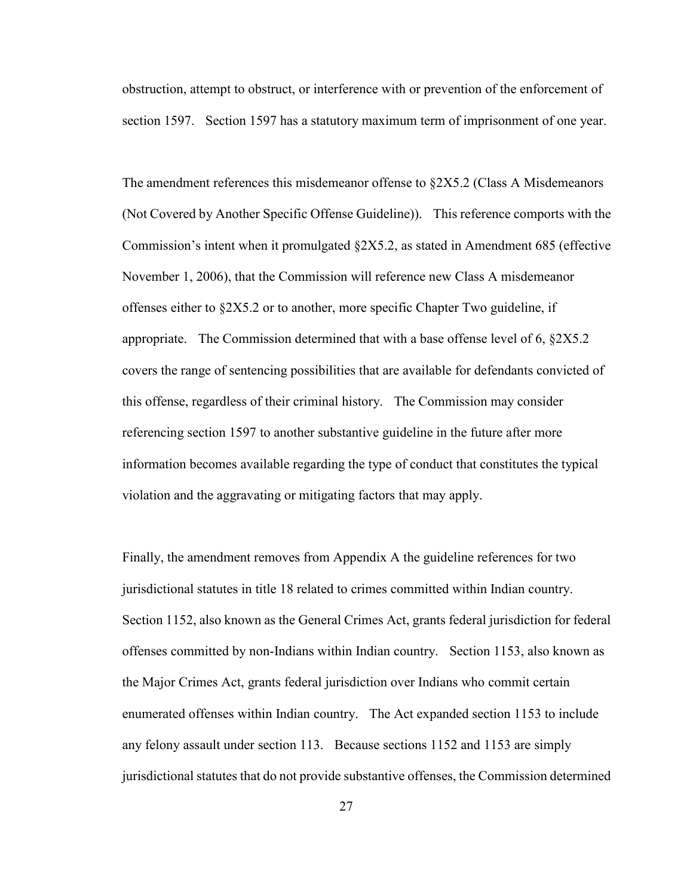obstruction, attempt to obstruct, or interference with or prevention of the enforcement of section 1597. Section 1597 has a statutory maximum term of imprisonment of one year.

The amendment references this misdemeanor offense to §2X5.2 (Class A Misdemeanors (Not Covered by Another Specific Offense Guideline)). This reference comports with the Commission's intent when it promulgated §2X5.2, as stated in Amendment 685 (effective November 1, 2006), that the Commission will reference new Class A misdemeanor offenses either to §2X5.2 or to another, more specific Chapter Two guideline, if appropriate. The Commission determined that with a base offense level of 6,  $\S 2X5.2$ covers the range of sentencing possibilities that are available for defendants convicted of this offense, regardless of their criminal history. The Commission may consider referencing section 1597 to another substantive guideline in the future after more information becomes available regarding the type of conduct that constitutes the typical violation and the aggravating or mitigating factors that may apply.

Finally, the amendment removes from Appendix A the guideline references for two jurisdictional statutes in title 18 related to crimes committed within Indian country. Section 1152, also known as the General Crimes Act, grants federal jurisdiction for federal offenses committed by non-Indians within Indian country. Section 1153, also known as the Major Crimes Act, grants federal jurisdiction over Indians who commit certain enumerated offenses within Indian country. The Act expanded section 1153 to include any felony assault under section 113. Because sections 1152 and 1153 are simply jurisdictional statutes that do not provide substantive offenses, the Commission determined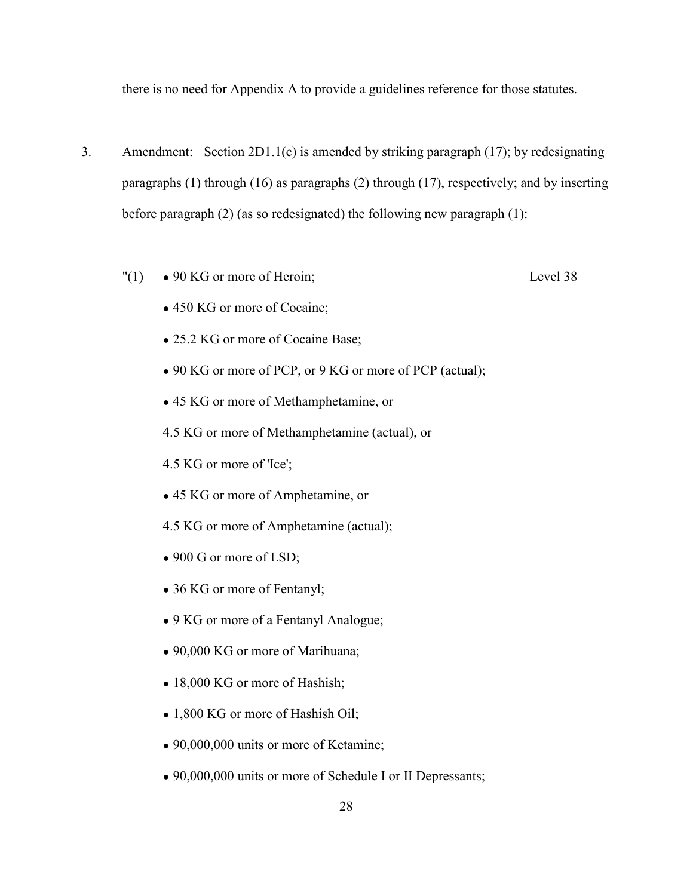there is no need for Appendix A to provide a guidelines reference for those statutes.

- 3. Amendment: Section 2D1.1(c) is amended by striking paragraph (17); by redesignating paragraphs (1) through (16) as paragraphs (2) through (17), respectively; and by inserting before paragraph (2) (as so redesignated) the following new paragraph (1):
	- $"(1) \quad \bullet$  90 KG or more of Heroin; Level 38
		- 450 KG or more of Cocaine;
		- 25.2 KG or more of Cocaine Base;
		- 90 KG or more of PCP, or 9 KG or more of PCP (actual);
		- 45 KG or more of Methamphetamine, or
		- 4.5 KG or more of Methamphetamine (actual), or
		- 4.5 KG or more of 'Ice';
		- 45 KG or more of Amphetamine, or
		- 4.5 KG or more of Amphetamine (actual);
		- 900 G or more of LSD;
		- 36 KG or more of Fentanyl;
		- 9 KG or more of a Fentanyl Analogue;
		- 90,000 KG or more of Marihuana;
		- 18,000 KG or more of Hashish;
		- 1,800 KG or more of Hashish Oil;
		- 90,000,000 units or more of Ketamine;
		- 90,000,000 units or more of Schedule I or II Depressants;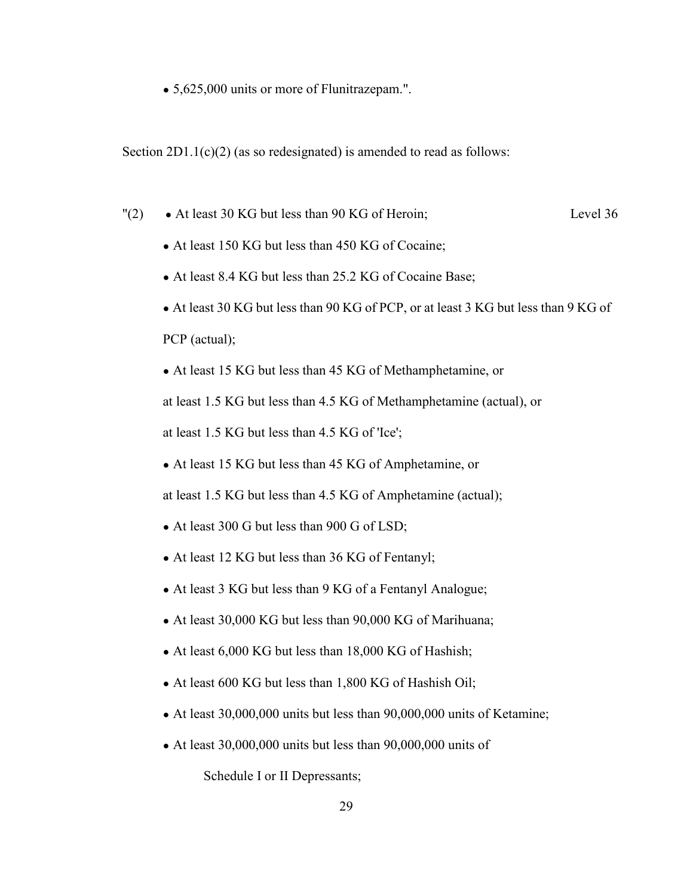• 5,625,000 units or more of Flunitrazepam.".

Section  $2D1.1(c)(2)$  (as so redesignated) is amended to read as follows:

- $"(2) \rightarrow At least 30 KG but less than 90 KG of Heroin; \text{Level 36}$ 
	- At least 150 KG but less than 450 KG of Cocaine;
	- At least 8.4 KG but less than 25.2 KG of Cocaine Base;
	- At least 30 KG but less than 90 KG of PCP, or at least 3 KG but less than 9 KG of PCP (actual);
	- At least 15 KG but less than 45 KG of Methamphetamine, or

at least 1.5 KG but less than 4.5 KG of Methamphetamine (actual), or

at least 1.5 KG but less than 4.5 KG of 'Ice';

• At least 15 KG but less than 45 KG of Amphetamine, or

at least 1.5 KG but less than 4.5 KG of Amphetamine (actual);

- At least 300 G but less than 900 G of LSD;
- At least 12 KG but less than 36 KG of Fentanyl;
- At least 3 KG but less than 9 KG of a Fentanyl Analogue;
- At least 30,000 KG but less than 90,000 KG of Marihuana;
- At least 6,000 KG but less than 18,000 KG of Hashish;
- At least 600 KG but less than 1,800 KG of Hashish Oil;
- $\bullet$  At least 30,000,000 units but less than 90,000,000 units of Ketamine;
- $\bullet$  At least 30,000,000 units but less than 90,000,000 units of

Schedule I or II Depressants;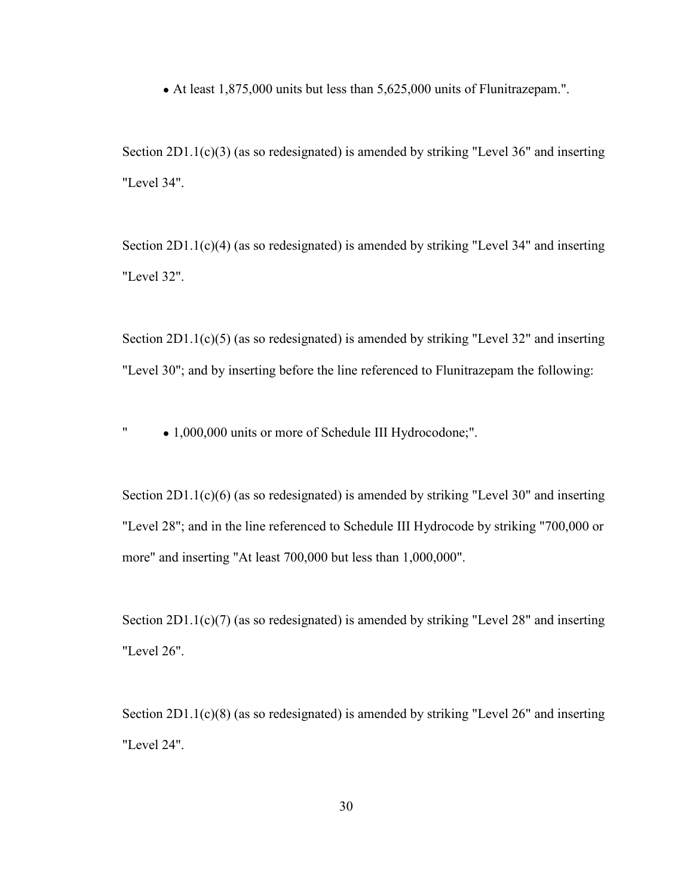• At least 1,875,000 units but less than 5,625,000 units of Flunitrazepam.".

Section 2D1.1(c)(3) (as so redesignated) is amended by striking "Level 36" and inserting "Level 34".

Section 2D1.1(c)(4) (as so redesignated) is amended by striking "Level 34" and inserting "Level 32".

Section 2D1.1(c)(5) (as so redesignated) is amended by striking "Level 32" and inserting "Level 30"; and by inserting before the line referenced to Flunitrazepam the following:

" ● 1,000,000 units or more of Schedule III Hydrocodone;".

Section 2D1.1(c)(6) (as so redesignated) is amended by striking "Level 30" and inserting "Level 28"; and in the line referenced to Schedule III Hydrocode by striking "700,000 or more" and inserting "At least 700,000 but less than 1,000,000".

Section 2D1.1(c)(7) (as so redesignated) is amended by striking "Level 28" and inserting "Level 26".

Section 2D1.1(c)(8) (as so redesignated) is amended by striking "Level 26" and inserting "Level 24".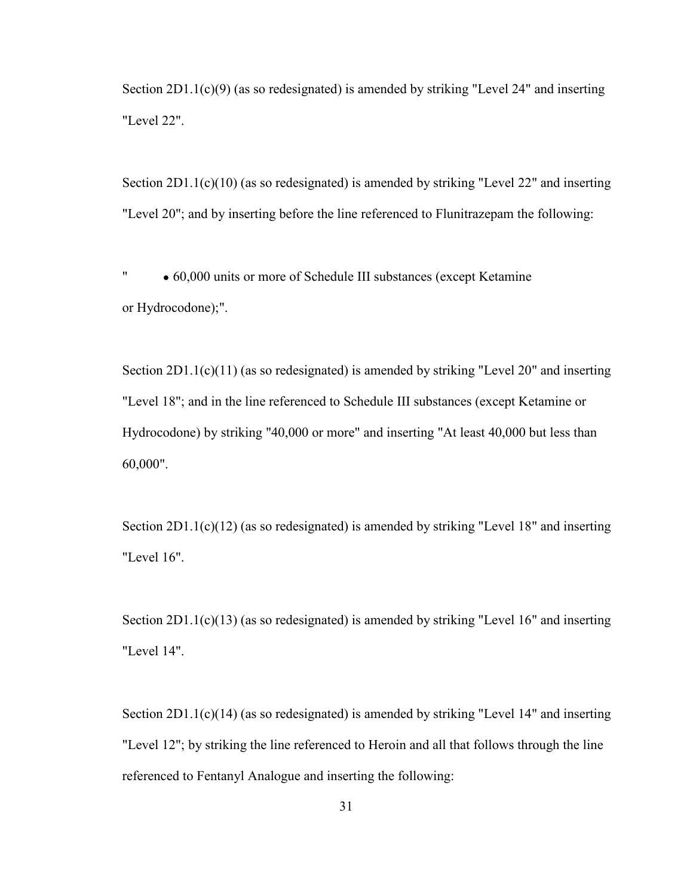Section 2D1.1(c)(9) (as so redesignated) is amended by striking "Level 24" and inserting "Level 22".

Section 2D1.1(c)(10) (as so redesignated) is amended by striking "Level 22" and inserting "Level 20"; and by inserting before the line referenced to Flunitrazepam the following:

" ● 60,000 units or more of Schedule III substances (except Ketamine or Hydrocodone);".

Section 2D1.1(c)(11) (as so redesignated) is amended by striking "Level 20" and inserting "Level 18"; and in the line referenced to Schedule III substances (except Ketamine or Hydrocodone) by striking "40,000 or more" and inserting "At least 40,000 but less than 60,000".

Section 2D1.1(c)(12) (as so redesignated) is amended by striking "Level 18" and inserting "Level 16".

Section 2D1.1(c)(13) (as so redesignated) is amended by striking "Level 16" and inserting "Level 14".

Section 2D1.1(c)(14) (as so redesignated) is amended by striking "Level 14" and inserting "Level 12"; by striking the line referenced to Heroin and all that follows through the line referenced to Fentanyl Analogue and inserting the following: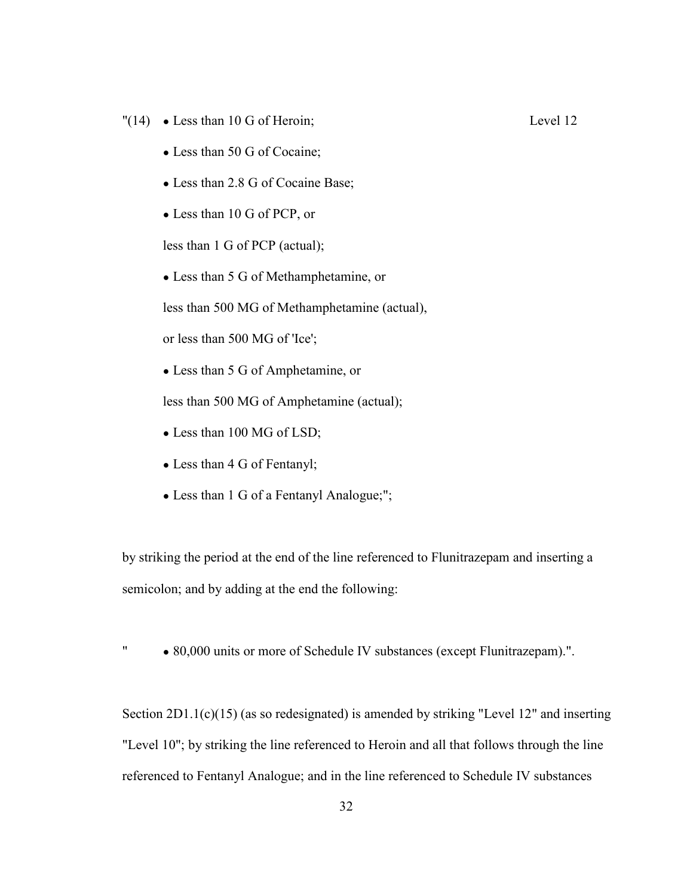- "(14) Less than 10 G of Heroin; Level 12
	- Less than 50 G of Cocaine;
	- Less than 2.8 G of Cocaine Base;
	- Less than 10 G of PCP, or

less than 1 G of PCP (actual);

• Less than 5 G of Methamphetamine, or

less than 500 MG of Methamphetamine (actual),

or less than 500 MG of 'Ice';

• Less than 5 G of Amphetamine, or

less than 500 MG of Amphetamine (actual);

- Less than 100 MG of LSD;
- Less than 4 G of Fentanyl;
- Less than 1 G of a Fentanyl Analogue;";

by striking the period at the end of the line referenced to Flunitrazepam and inserting a semicolon; and by adding at the end the following:

" ● 80,000 units or more of Schedule IV substances (except Flunitrazepam).".

Section 2D1.1(c)(15) (as so redesignated) is amended by striking "Level 12" and inserting "Level 10"; by striking the line referenced to Heroin and all that follows through the line referenced to Fentanyl Analogue; and in the line referenced to Schedule IV substances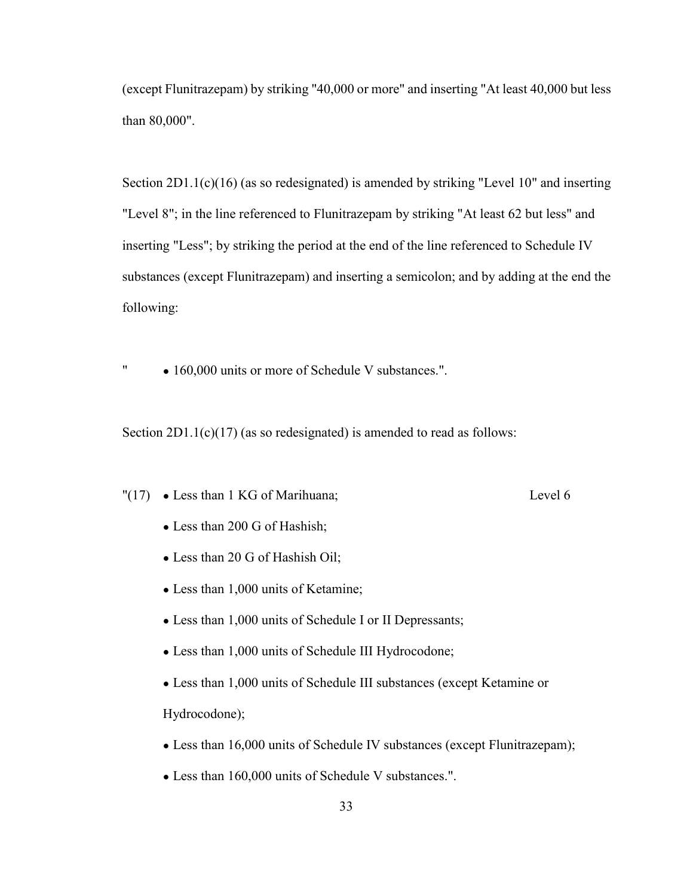(except Flunitrazepam) by striking "40,000 or more" and inserting "At least 40,000 but less than 80,000".

Section 2D1.1(c)(16) (as so redesignated) is amended by striking "Level 10" and inserting "Level 8"; in the line referenced to Flunitrazepam by striking "At least 62 but less" and inserting "Less"; by striking the period at the end of the line referenced to Schedule IV substances (except Flunitrazepam) and inserting a semicolon; and by adding at the end the following:

" • 160,000 units or more of Schedule V substances.".

Section  $2D1.1(c)(17)$  (as so redesignated) is amended to read as follows:

"(17) ● Less than 1 KG of Marihuana; Level 6

- Less than 200 G of Hashish;
- Less than 20 G of Hashish Oil;
- Less than 1,000 units of Ketamine;
- Less than 1,000 units of Schedule I or II Depressants;
- Less than 1,000 units of Schedule III Hydrocodone;
- Less than 1,000 units of Schedule III substances (except Ketamine or Hydrocodone);
- Less than 16,000 units of Schedule IV substances (except Flunitrazepam);
- Less than 160,000 units of Schedule V substances.".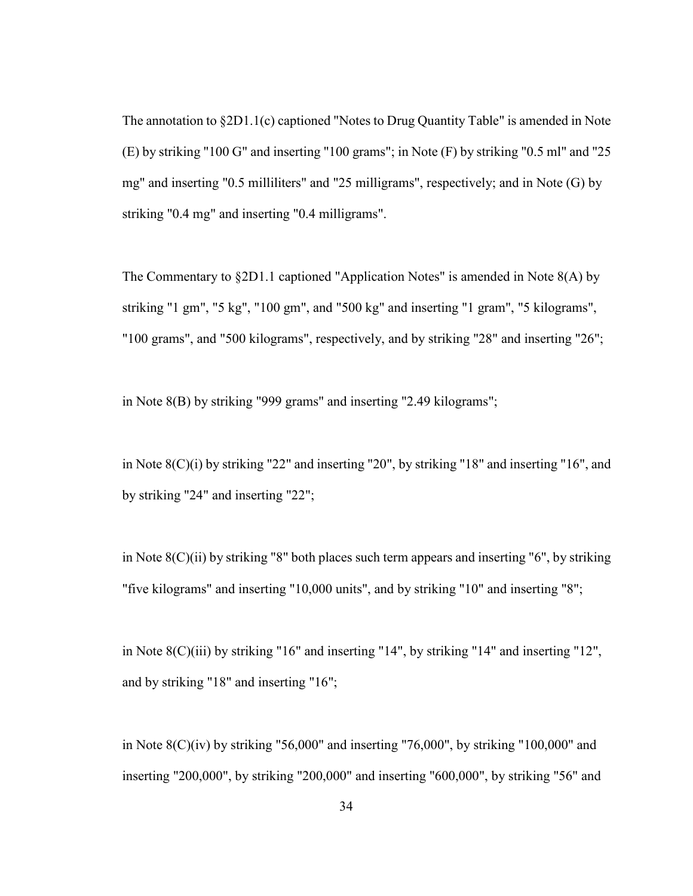The annotation to §2D1.1(c) captioned "Notes to Drug Quantity Table" is amended in Note (E) by striking "100 G" and inserting "100 grams"; in Note (F) by striking "0.5 ml" and "25 mg" and inserting "0.5 milliliters" and "25 milligrams", respectively; and in Note (G) by striking "0.4 mg" and inserting "0.4 milligrams".

The Commentary to §2D1.1 captioned "Application Notes" is amended in Note 8(A) by striking "1 gm", "5 kg", "100 gm", and "500 kg" and inserting "1 gram", "5 kilograms", "100 grams", and "500 kilograms", respectively, and by striking "28" and inserting "26";

in Note 8(B) by striking "999 grams" and inserting "2.49 kilograms";

in Note 8(C)(i) by striking "22" and inserting "20", by striking "18" and inserting "16", and by striking "24" and inserting "22";

in Note 8(C)(ii) by striking "8" both places such term appears and inserting "6", by striking "five kilograms" and inserting "10,000 units", and by striking "10" and inserting "8";

in Note 8(C)(iii) by striking "16" and inserting "14", by striking "14" and inserting "12", and by striking "18" and inserting "16";

in Note 8(C)(iv) by striking "56,000" and inserting "76,000", by striking "100,000" and inserting "200,000", by striking "200,000" and inserting "600,000", by striking "56" and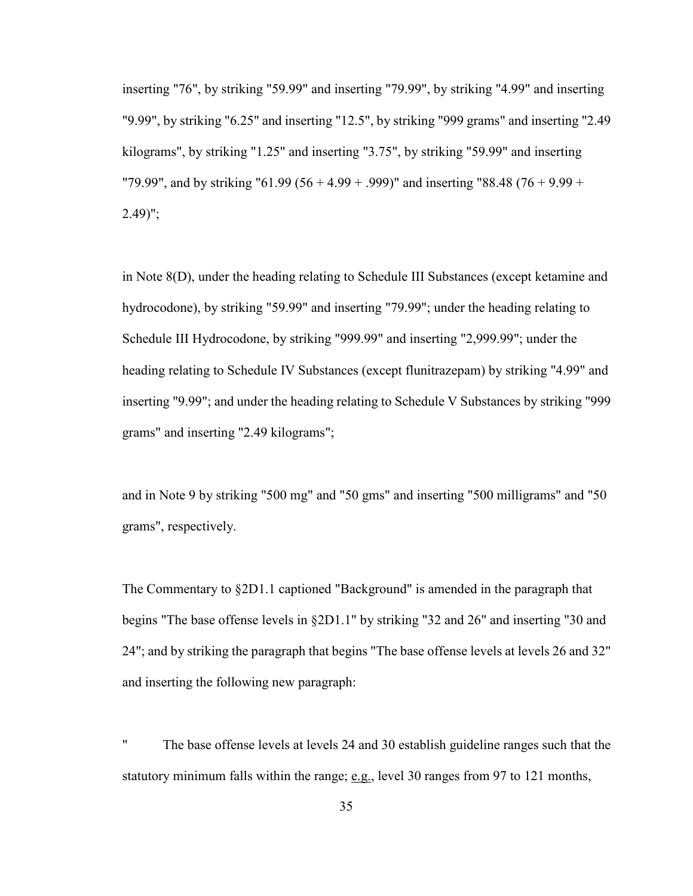inserting "76", by striking "59.99" and inserting "79.99", by striking "4.99" and inserting "9.99", by striking "6.25" and inserting "12.5", by striking "999 grams" and inserting "2.49 kilograms", by striking "1.25" and inserting "3.75", by striking "59.99" and inserting "79.99", and by striking "61.99 (56 + 4.99 + .999)" and inserting "88.48 (76 + 9.99 +  $2.49$ ";

in Note 8(D), under the heading relating to Schedule III Substances (except ketamine and hydrocodone), by striking "59.99" and inserting "79.99"; under the heading relating to Schedule III Hydrocodone, by striking "999.99" and inserting "2,999.99"; under the heading relating to Schedule IV Substances (except flunitrazepam) by striking "4.99" and inserting "9.99"; and under the heading relating to Schedule V Substances by striking "999 grams" and inserting "2.49 kilograms";

and in Note 9 by striking "500 mg" and "50 gms" and inserting "500 milligrams" and "50 grams", respectively.

The Commentary to §2D1.1 captioned "Background" is amended in the paragraph that begins "The base offense levels in §2D1.1" by striking "32 and 26" and inserting "30 and 24"; and by striking the paragraph that begins "The base offense levels at levels 26 and 32" and inserting the following new paragraph:

" The base offense levels at levels 24 and 30 establish guideline ranges such that the statutory minimum falls within the range; e.g., level 30 ranges from 97 to 121 months,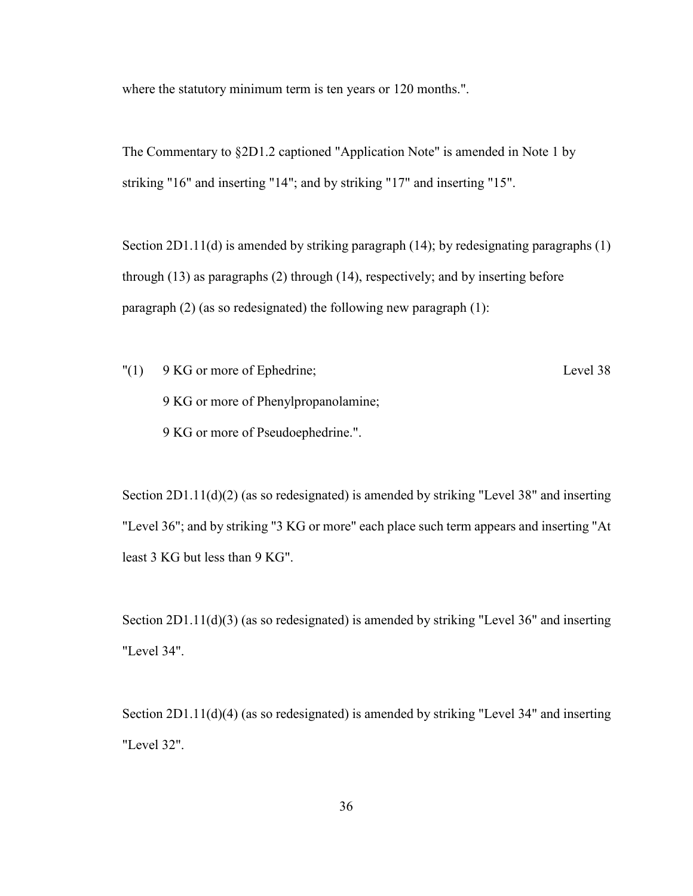where the statutory minimum term is ten years or 120 months.".

The Commentary to §2D1.2 captioned "Application Note" is amended in Note 1 by striking "16" and inserting "14"; and by striking "17" and inserting "15".

Section 2D1.11(d) is amended by striking paragraph (14); by redesignating paragraphs (1) through (13) as paragraphs (2) through (14), respectively; and by inserting before paragraph (2) (as so redesignated) the following new paragraph (1):

"(1) 9 KG or more of Ephedrine; Level 38 9 KG or more of Phenylpropanolamine; 9 KG or more of Pseudoephedrine.".

Section 2D1.11(d)(2) (as so redesignated) is amended by striking "Level 38" and inserting "Level 36"; and by striking "3 KG or more" each place such term appears and inserting "At least 3 KG but less than 9 KG".

Section 2D1.11(d)(3) (as so redesignated) is amended by striking "Level 36" and inserting "Level 34".

Section 2D1.11(d)(4) (as so redesignated) is amended by striking "Level 34" and inserting "Level 32".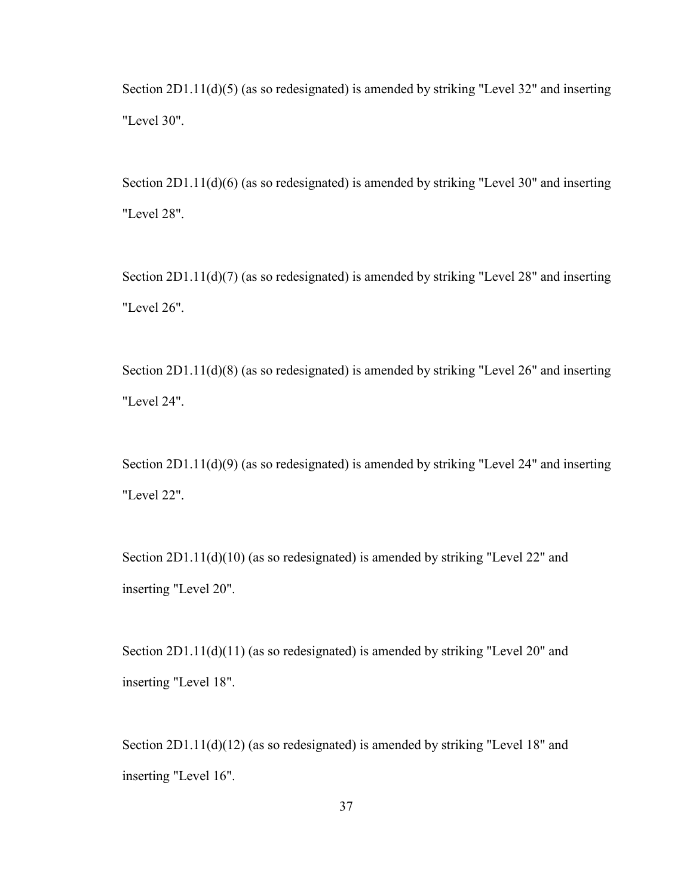Section 2D1.11(d)(5) (as so redesignated) is amended by striking "Level 32" and inserting "Level 30".

Section 2D1.11(d)(6) (as so redesignated) is amended by striking "Level 30" and inserting "Level 28".

Section 2D1.11(d)(7) (as so redesignated) is amended by striking "Level 28" and inserting "Level 26".

Section 2D1.11(d)(8) (as so redesignated) is amended by striking "Level 26" and inserting "Level 24".

Section 2D1.11(d)(9) (as so redesignated) is amended by striking "Level 24" and inserting "Level 22".

Section 2D1.11(d)(10) (as so redesignated) is amended by striking "Level 22" and inserting "Level 20".

Section 2D1.11(d)(11) (as so redesignated) is amended by striking "Level 20" and inserting "Level 18".

Section 2D1.11(d)(12) (as so redesignated) is amended by striking "Level 18" and inserting "Level 16".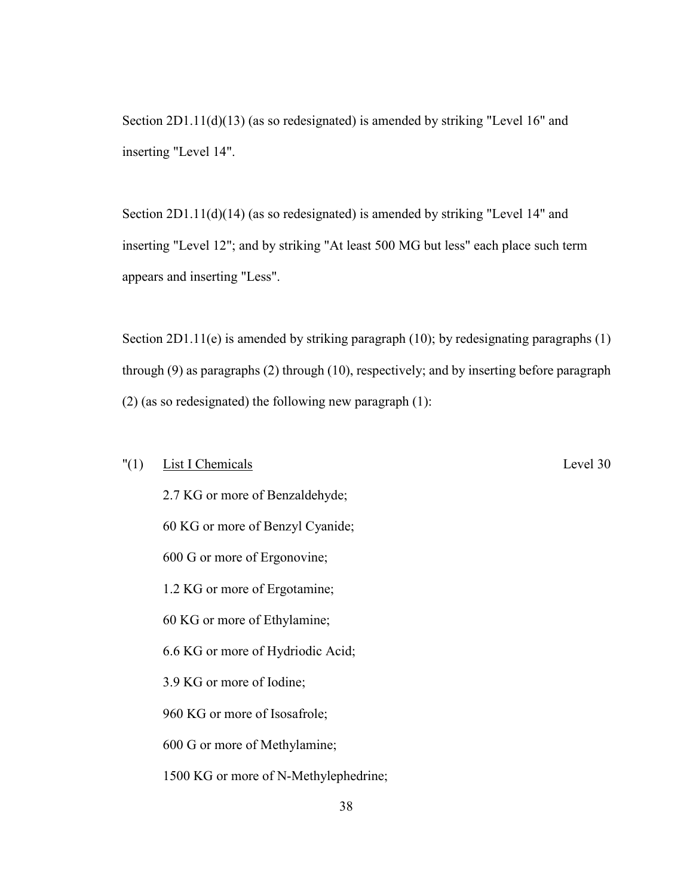Section 2D1.11(d)(13) (as so redesignated) is amended by striking "Level 16" and inserting "Level 14".

Section 2D1.11(d)(14) (as so redesignated) is amended by striking "Level 14" and inserting "Level 12"; and by striking "At least 500 MG but less" each place such term appears and inserting "Less".

Section 2D1.11(e) is amended by striking paragraph (10); by redesignating paragraphs (1) through (9) as paragraphs (2) through (10), respectively; and by inserting before paragraph (2) (as so redesignated) the following new paragraph (1):

## "(1) List I Chemicals Level 30

 2.7 KG or more of Benzaldehyde; 60 KG or more of Benzyl Cyanide; 600 G or more of Ergonovine; 1.2 KG or more of Ergotamine; 60 KG or more of Ethylamine; 6.6 KG or more of Hydriodic Acid; 3.9 KG or more of Iodine; 960 KG or more of Isosafrole; 600 G or more of Methylamine; 1500 KG or more of N-Methylephedrine;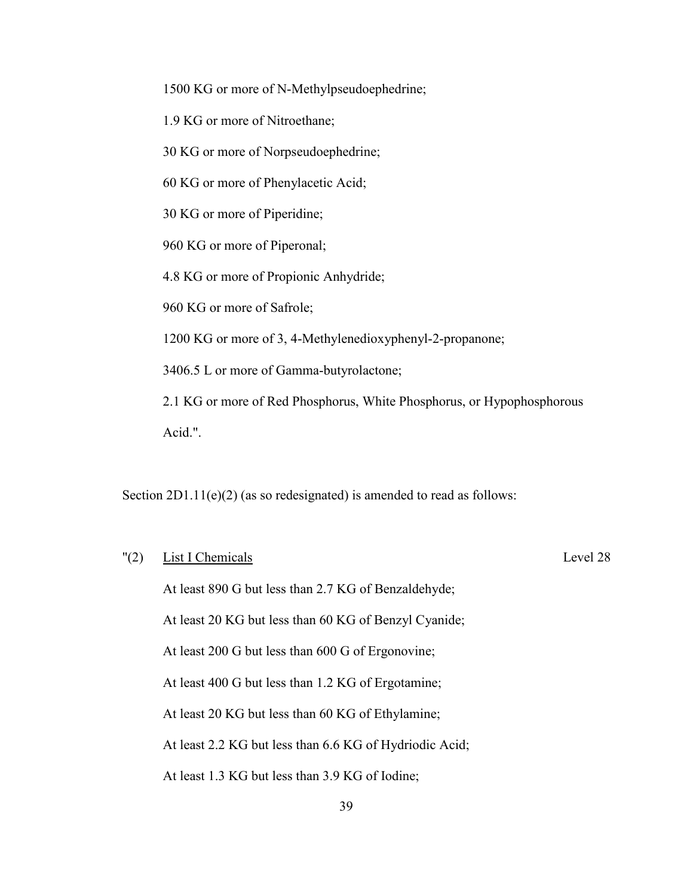1500 KG or more of N-Methylpseudoephedrine;

1.9 KG or more of Nitroethane;

30 KG or more of Norpseudoephedrine;

60 KG or more of Phenylacetic Acid;

30 KG or more of Piperidine;

960 KG or more of Piperonal;

4.8 KG or more of Propionic Anhydride;

960 KG or more of Safrole;

1200 KG or more of 3, 4-Methylenedioxyphenyl-2-propanone;

3406.5 L or more of Gamma-butyrolactone;

2.1 KG or more of Red Phosphorus, White Phosphorus, or Hypophosphorous Acid.".

Section 2D1.11(e)(2) (as so redesignated) is amended to read as follows:

# "(2) List I Chemicals Level 28

At least 890 G but less than 2.7 KG of Benzaldehyde;

At least 20 KG but less than 60 KG of Benzyl Cyanide;

At least 200 G but less than 600 G of Ergonovine;

At least 400 G but less than 1.2 KG of Ergotamine;

At least 20 KG but less than 60 KG of Ethylamine;

At least 2.2 KG but less than 6.6 KG of Hydriodic Acid;

At least 1.3 KG but less than 3.9 KG of Iodine;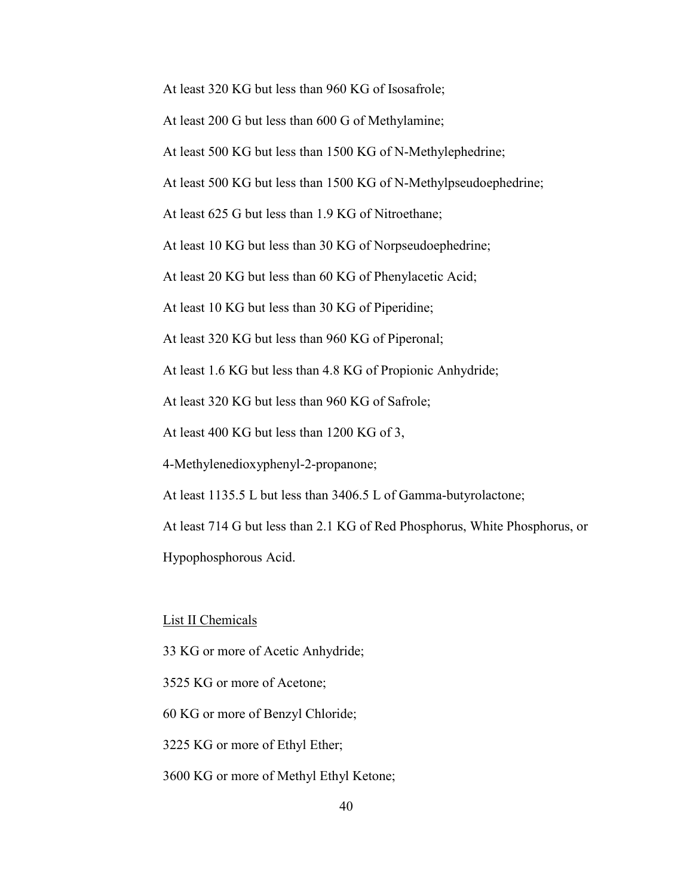At least 320 KG but less than 960 KG of Isosafrole;

At least 200 G but less than 600 G of Methylamine;

At least 500 KG but less than 1500 KG of N-Methylephedrine;

At least 500 KG but less than 1500 KG of N-Methylpseudoephedrine;

At least 625 G but less than 1.9 KG of Nitroethane;

At least 10 KG but less than 30 KG of Norpseudoephedrine;

At least 20 KG but less than 60 KG of Phenylacetic Acid;

At least 10 KG but less than 30 KG of Piperidine;

At least 320 KG but less than 960 KG of Piperonal;

At least 1.6 KG but less than 4.8 KG of Propionic Anhydride;

At least 320 KG but less than 960 KG of Safrole;

At least 400 KG but less than 1200 KG of 3,

4-Methylenedioxyphenyl-2-propanone;

At least 1135.5 L but less than 3406.5 L of Gamma-butyrolactone;

At least 714 G but less than 2.1 KG of Red Phosphorus, White Phosphorus, or Hypophosphorous Acid.

#### List II Chemicals

33 KG or more of Acetic Anhydride;

3525 KG or more of Acetone;

60 KG or more of Benzyl Chloride;

3225 KG or more of Ethyl Ether;

3600 KG or more of Methyl Ethyl Ketone;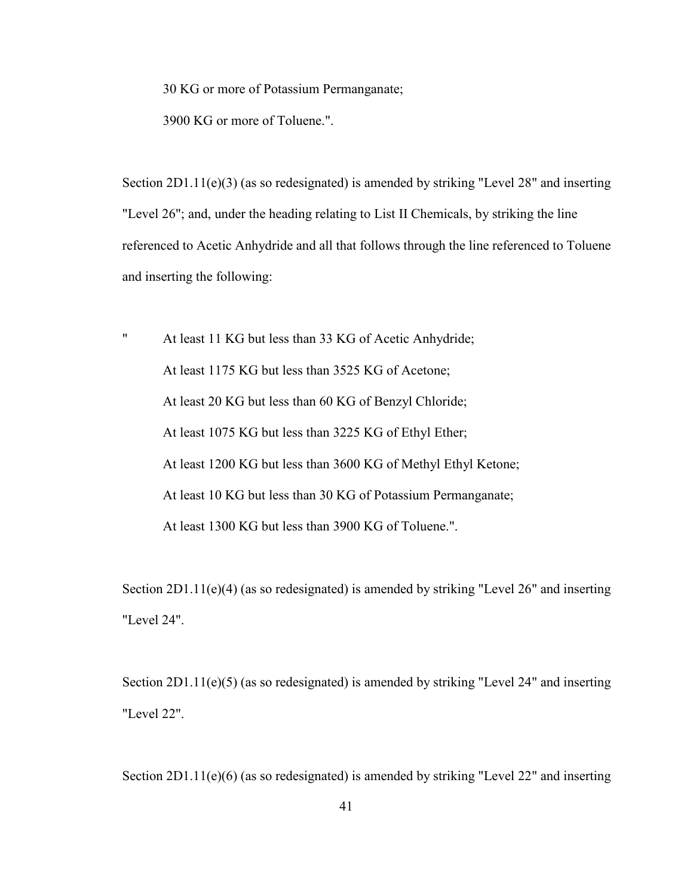30 KG or more of Potassium Permanganate;

3900 KG or more of Toluene.".

Section 2D1.11(e)(3) (as so redesignated) is amended by striking "Level 28" and inserting "Level 26"; and, under the heading relating to List II Chemicals, by striking the line referenced to Acetic Anhydride and all that follows through the line referenced to Toluene and inserting the following:

" At least 11 KG but less than 33 KG of Acetic Anhydride; At least 1175 KG but less than 3525 KG of Acetone; At least 20 KG but less than 60 KG of Benzyl Chloride; At least 1075 KG but less than 3225 KG of Ethyl Ether; At least 1200 KG but less than 3600 KG of Methyl Ethyl Ketone; At least 10 KG but less than 30 KG of Potassium Permanganate; At least 1300 KG but less than 3900 KG of Toluene.".

Section 2D1.11(e)(4) (as so redesignated) is amended by striking "Level 26" and inserting "Level 24".

Section 2D1.11(e)(5) (as so redesignated) is amended by striking "Level 24" and inserting "Level 22".

Section 2D1.11(e)(6) (as so redesignated) is amended by striking "Level 22" and inserting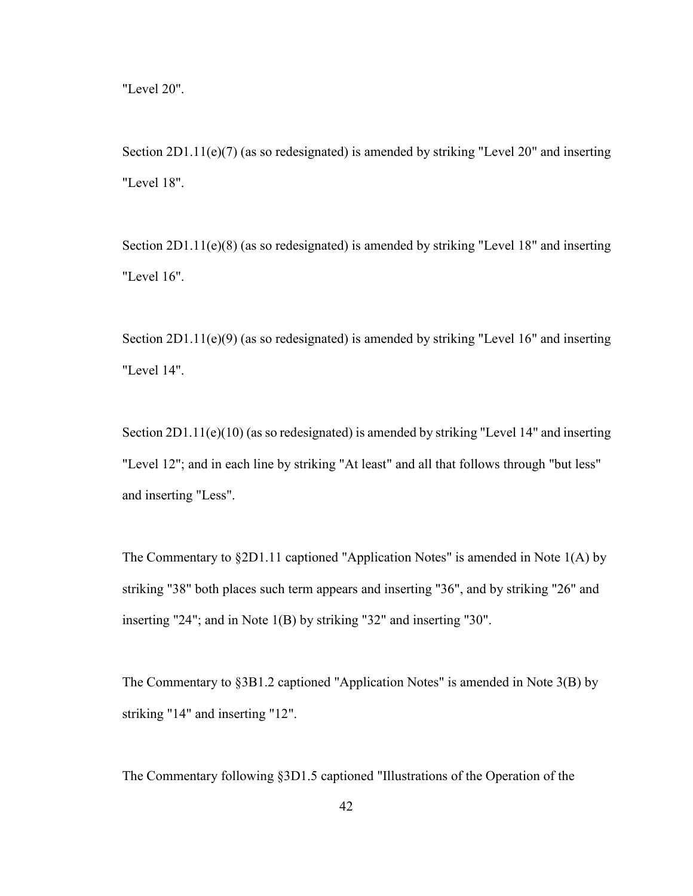Section 2D1.11(e)(7) (as so redesignated) is amended by striking "Level 20" and inserting "Level 18".

Section 2D1.11(e)(8) (as so redesignated) is amended by striking "Level 18" and inserting "Level 16".

Section 2D1.11(e)(9) (as so redesignated) is amended by striking "Level 16" and inserting "Level 14".

Section 2D1.11(e)(10) (as so redesignated) is amended by striking "Level 14" and inserting "Level 12"; and in each line by striking "At least" and all that follows through "but less" and inserting "Less".

The Commentary to §2D1.11 captioned "Application Notes" is amended in Note 1(A) by striking "38" both places such term appears and inserting "36", and by striking "26" and inserting "24"; and in Note 1(B) by striking "32" and inserting "30".

The Commentary to §3B1.2 captioned "Application Notes" is amended in Note 3(B) by striking "14" and inserting "12".

The Commentary following §3D1.5 captioned "Illustrations of the Operation of the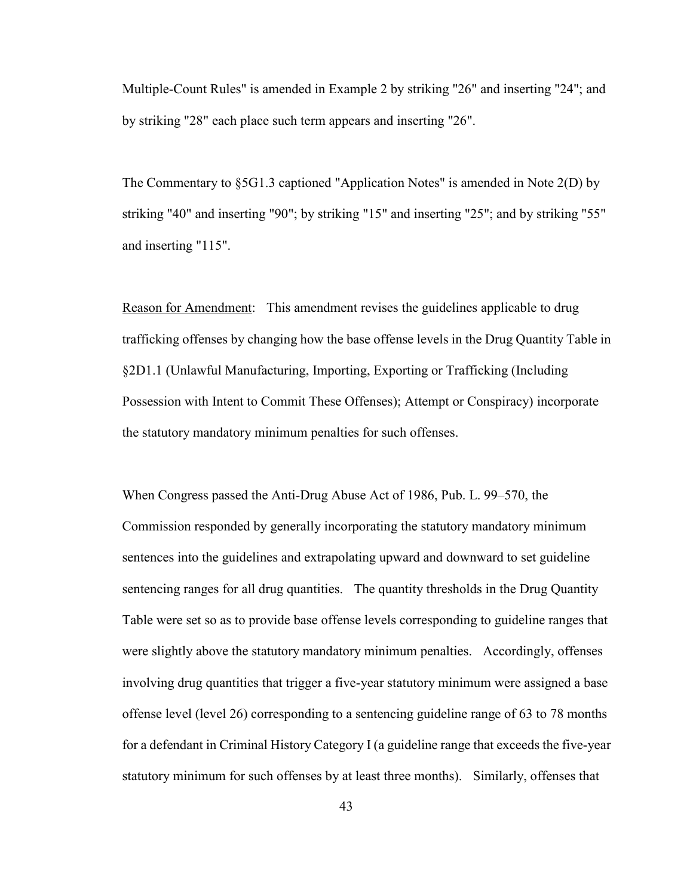Multiple-Count Rules" is amended in Example 2 by striking "26" and inserting "24"; and by striking "28" each place such term appears and inserting "26".

The Commentary to §5G1.3 captioned "Application Notes" is amended in Note 2(D) by striking "40" and inserting "90"; by striking "15" and inserting "25"; and by striking "55" and inserting "115".

Reason for Amendment: This amendment revises the guidelines applicable to drug trafficking offenses by changing how the base offense levels in the Drug Quantity Table in §2D1.1 (Unlawful Manufacturing, Importing, Exporting or Trafficking (Including Possession with Intent to Commit These Offenses); Attempt or Conspiracy) incorporate the statutory mandatory minimum penalties for such offenses.

When Congress passed the Anti-Drug Abuse Act of 1986, Pub. L. 99–570, the Commission responded by generally incorporating the statutory mandatory minimum sentences into the guidelines and extrapolating upward and downward to set guideline sentencing ranges for all drug quantities. The quantity thresholds in the Drug Quantity Table were set so as to provide base offense levels corresponding to guideline ranges that were slightly above the statutory mandatory minimum penalties. Accordingly, offenses involving drug quantities that trigger a five-year statutory minimum were assigned a base offense level (level 26) corresponding to a sentencing guideline range of 63 to 78 months for a defendant in Criminal History Category I (a guideline range that exceeds the five-year statutory minimum for such offenses by at least three months). Similarly, offenses that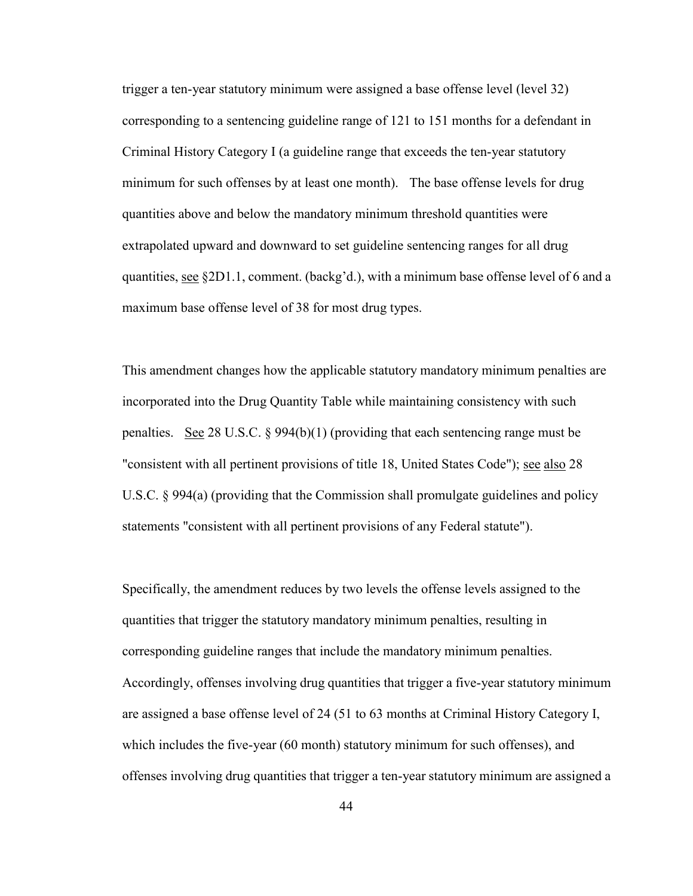trigger a ten-year statutory minimum were assigned a base offense level (level 32) corresponding to a sentencing guideline range of 121 to 151 months for a defendant in Criminal History Category I (a guideline range that exceeds the ten-year statutory minimum for such offenses by at least one month). The base offense levels for drug quantities above and below the mandatory minimum threshold quantities were extrapolated upward and downward to set guideline sentencing ranges for all drug quantities, see §2D1.1, comment. (backg'd.), with a minimum base offense level of 6 and a maximum base offense level of 38 for most drug types.

This amendment changes how the applicable statutory mandatory minimum penalties are incorporated into the Drug Quantity Table while maintaining consistency with such penalties. See 28 U.S.C. § 994(b)(1) (providing that each sentencing range must be "consistent with all pertinent provisions of title 18, United States Code"); see also 28 U.S.C. § 994(a) (providing that the Commission shall promulgate guidelines and policy statements "consistent with all pertinent provisions of any Federal statute").

Specifically, the amendment reduces by two levels the offense levels assigned to the quantities that trigger the statutory mandatory minimum penalties, resulting in corresponding guideline ranges that include the mandatory minimum penalties. Accordingly, offenses involving drug quantities that trigger a five-year statutory minimum are assigned a base offense level of 24 (51 to 63 months at Criminal History Category I, which includes the five-year (60 month) statutory minimum for such offenses), and offenses involving drug quantities that trigger a ten-year statutory minimum are assigned a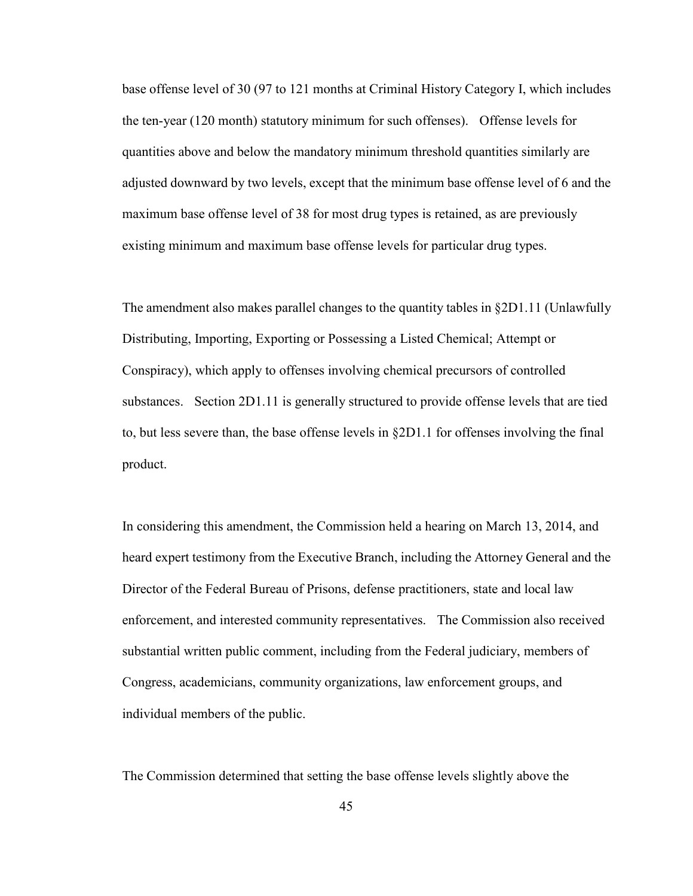base offense level of 30 (97 to 121 months at Criminal History Category I, which includes the ten-year (120 month) statutory minimum for such offenses). Offense levels for quantities above and below the mandatory minimum threshold quantities similarly are adjusted downward by two levels, except that the minimum base offense level of 6 and the maximum base offense level of 38 for most drug types is retained, as are previously existing minimum and maximum base offense levels for particular drug types.

The amendment also makes parallel changes to the quantity tables in §2D1.11 (Unlawfully Distributing, Importing, Exporting or Possessing a Listed Chemical; Attempt or Conspiracy), which apply to offenses involving chemical precursors of controlled substances. Section 2D1.11 is generally structured to provide offense levels that are tied to, but less severe than, the base offense levels in §2D1.1 for offenses involving the final product.

In considering this amendment, the Commission held a hearing on March 13, 2014, and heard expert testimony from the Executive Branch, including the Attorney General and the Director of the Federal Bureau of Prisons, defense practitioners, state and local law enforcement, and interested community representatives. The Commission also received substantial written public comment, including from the Federal judiciary, members of Congress, academicians, community organizations, law enforcement groups, and individual members of the public.

The Commission determined that setting the base offense levels slightly above the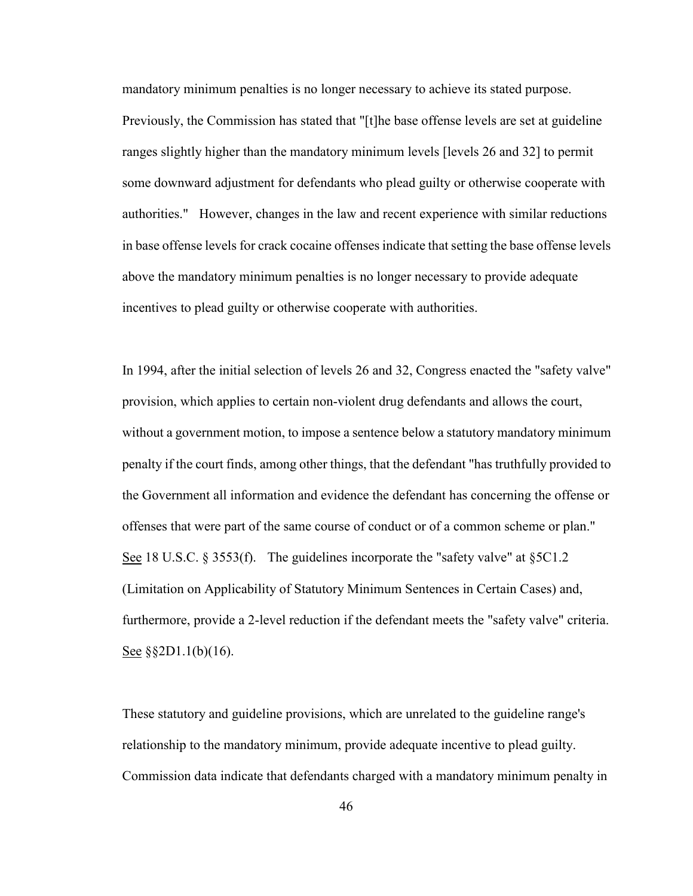mandatory minimum penalties is no longer necessary to achieve its stated purpose. Previously, the Commission has stated that "[t]he base offense levels are set at guideline ranges slightly higher than the mandatory minimum levels [levels 26 and 32] to permit some downward adjustment for defendants who plead guilty or otherwise cooperate with authorities." However, changes in the law and recent experience with similar reductions in base offense levels for crack cocaine offenses indicate that setting the base offense levels above the mandatory minimum penalties is no longer necessary to provide adequate incentives to plead guilty or otherwise cooperate with authorities.

In 1994, after the initial selection of levels 26 and 32, Congress enacted the "safety valve" provision, which applies to certain non-violent drug defendants and allows the court, without a government motion, to impose a sentence below a statutory mandatory minimum penalty if the court finds, among other things, that the defendant "has truthfully provided to the Government all information and evidence the defendant has concerning the offense or offenses that were part of the same course of conduct or of a common scheme or plan." See 18 U.S.C. § 3553(f). The guidelines incorporate the "safety valve" at §5C1.2 (Limitation on Applicability of Statutory Minimum Sentences in Certain Cases) and, furthermore, provide a 2-level reduction if the defendant meets the "safety valve" criteria. See  $\S$ \$2D1.1(b)(16).

These statutory and guideline provisions, which are unrelated to the guideline range's relationship to the mandatory minimum, provide adequate incentive to plead guilty. Commission data indicate that defendants charged with a mandatory minimum penalty in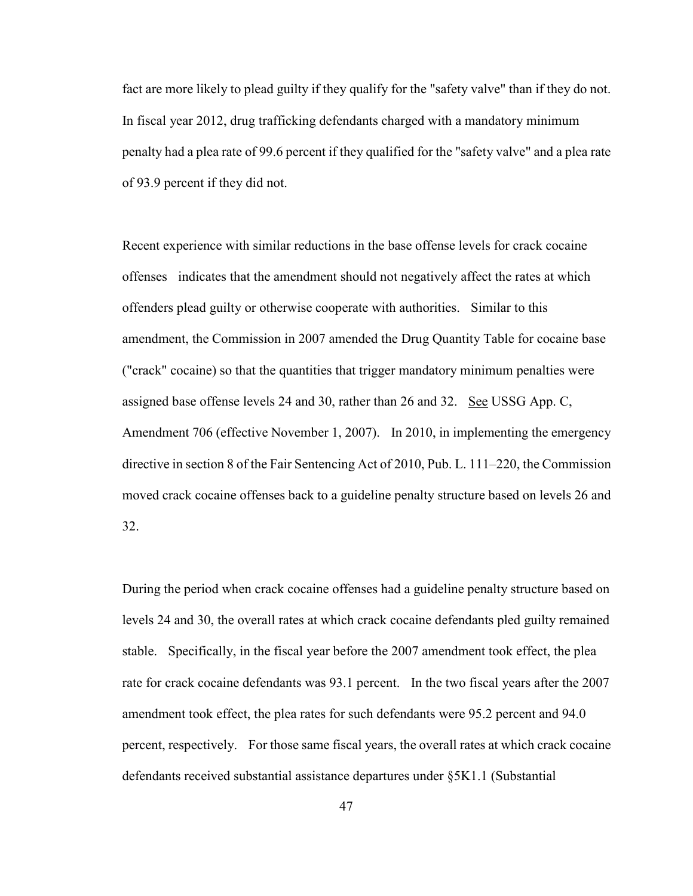fact are more likely to plead guilty if they qualify for the "safety valve" than if they do not. In fiscal year 2012, drug trafficking defendants charged with a mandatory minimum penalty had a plea rate of 99.6 percent if they qualified for the "safety valve" and a plea rate of 93.9 percent if they did not.

Recent experience with similar reductions in the base offense levels for crack cocaine offenses indicates that the amendment should not negatively affect the rates at which offenders plead guilty or otherwise cooperate with authorities. Similar to this amendment, the Commission in 2007 amended the Drug Quantity Table for cocaine base ("crack" cocaine) so that the quantities that trigger mandatory minimum penalties were assigned base offense levels 24 and 30, rather than 26 and 32. See USSG App. C, Amendment 706 (effective November 1, 2007). In 2010, in implementing the emergency directive in section 8 of the Fair Sentencing Act of 2010, Pub. L. 111–220, the Commission moved crack cocaine offenses back to a guideline penalty structure based on levels 26 and 32.

During the period when crack cocaine offenses had a guideline penalty structure based on levels 24 and 30, the overall rates at which crack cocaine defendants pled guilty remained stable. Specifically, in the fiscal year before the 2007 amendment took effect, the plea rate for crack cocaine defendants was 93.1 percent. In the two fiscal years after the 2007 amendment took effect, the plea rates for such defendants were 95.2 percent and 94.0 percent, respectively. For those same fiscal years, the overall rates at which crack cocaine defendants received substantial assistance departures under §5K1.1 (Substantial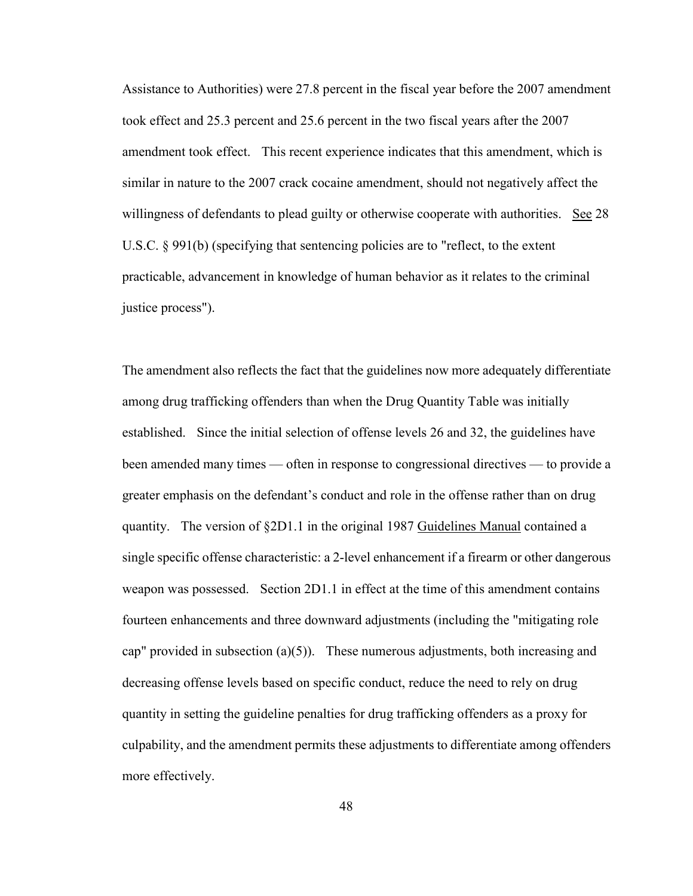Assistance to Authorities) were 27.8 percent in the fiscal year before the 2007 amendment took effect and 25.3 percent and 25.6 percent in the two fiscal years after the 2007 amendment took effect. This recent experience indicates that this amendment, which is similar in nature to the 2007 crack cocaine amendment, should not negatively affect the willingness of defendants to plead guilty or otherwise cooperate with authorities. See 28 U.S.C. § 991(b) (specifying that sentencing policies are to "reflect, to the extent practicable, advancement in knowledge of human behavior as it relates to the criminal justice process").

The amendment also reflects the fact that the guidelines now more adequately differentiate among drug trafficking offenders than when the Drug Quantity Table was initially established. Since the initial selection of offense levels 26 and 32, the guidelines have been amended many times — often in response to congressional directives — to provide a greater emphasis on the defendant's conduct and role in the offense rather than on drug quantity. The version of §2D1.1 in the original 1987 Guidelines Manual contained a single specific offense characteristic: a 2-level enhancement if a firearm or other dangerous weapon was possessed. Section 2D1.1 in effect at the time of this amendment contains fourteen enhancements and three downward adjustments (including the "mitigating role cap" provided in subsection  $(a)(5)$ . These numerous adjustments, both increasing and decreasing offense levels based on specific conduct, reduce the need to rely on drug quantity in setting the guideline penalties for drug trafficking offenders as a proxy for culpability, and the amendment permits these adjustments to differentiate among offenders more effectively.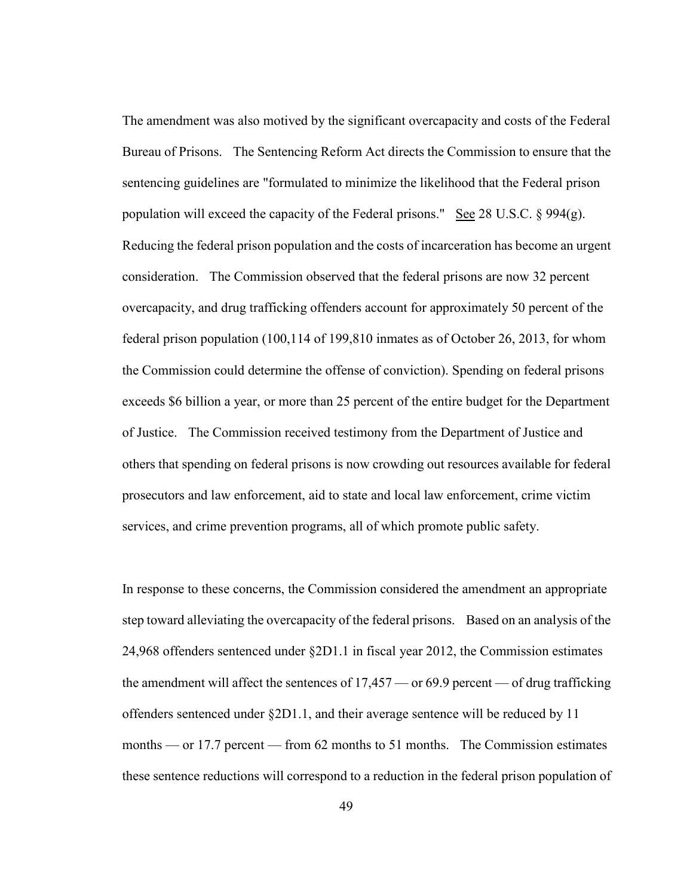The amendment was also motived by the significant overcapacity and costs of the Federal Bureau of Prisons. The Sentencing Reform Act directs the Commission to ensure that the sentencing guidelines are "formulated to minimize the likelihood that the Federal prison population will exceed the capacity of the Federal prisons." See 28 U.S.C.  $\S 994(g)$ . Reducing the federal prison population and the costs of incarceration has become an urgent consideration. The Commission observed that the federal prisons are now 32 percent overcapacity, and drug trafficking offenders account for approximately 50 percent of the federal prison population (100,114 of 199,810 inmates as of October 26, 2013, for whom the Commission could determine the offense of conviction). Spending on federal prisons exceeds \$6 billion a year, or more than 25 percent of the entire budget for the Department of Justice. The Commission received testimony from the Department of Justice and others that spending on federal prisons is now crowding out resources available for federal prosecutors and law enforcement, aid to state and local law enforcement, crime victim services, and crime prevention programs, all of which promote public safety.

In response to these concerns, the Commission considered the amendment an appropriate step toward alleviating the overcapacity of the federal prisons. Based on an analysis of the 24,968 offenders sentenced under §2D1.1 in fiscal year 2012, the Commission estimates the amendment will affect the sentences of 17,457 — or 69.9 percent — of drug trafficking offenders sentenced under §2D1.1, and their average sentence will be reduced by 11 months — or 17.7 percent — from 62 months to 51 months. The Commission estimates these sentence reductions will correspond to a reduction in the federal prison population of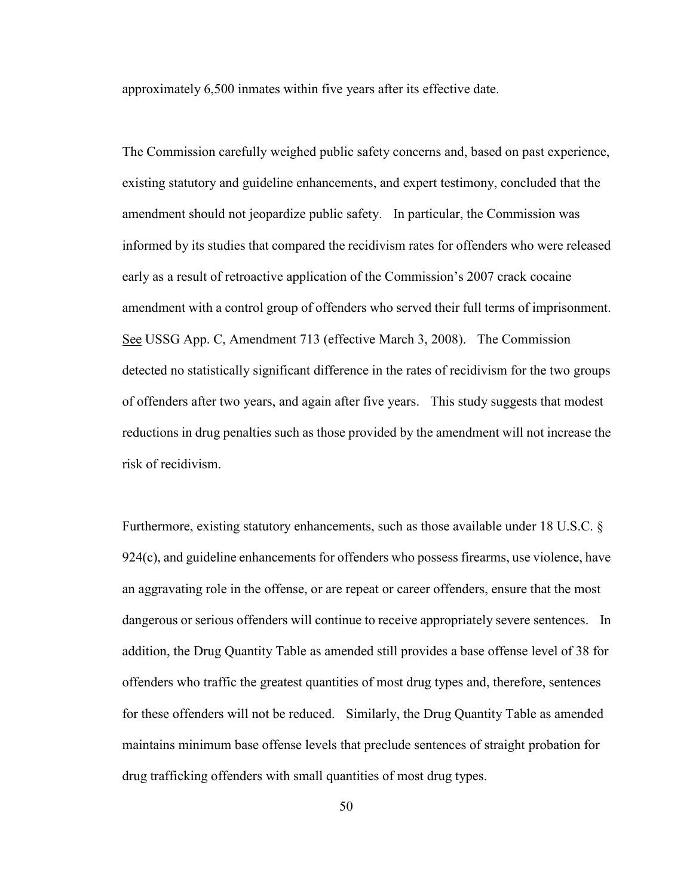approximately 6,500 inmates within five years after its effective date.

The Commission carefully weighed public safety concerns and, based on past experience, existing statutory and guideline enhancements, and expert testimony, concluded that the amendment should not jeopardize public safety. In particular, the Commission was informed by its studies that compared the recidivism rates for offenders who were released early as a result of retroactive application of the Commission's 2007 crack cocaine amendment with a control group of offenders who served their full terms of imprisonment. See USSG App. C, Amendment 713 (effective March 3, 2008). The Commission detected no statistically significant difference in the rates of recidivism for the two groups of offenders after two years, and again after five years. This study suggests that modest reductions in drug penalties such as those provided by the amendment will not increase the risk of recidivism.

Furthermore, existing statutory enhancements, such as those available under 18 U.S.C. §  $924(c)$ , and guideline enhancements for offenders who possess firearms, use violence, have an aggravating role in the offense, or are repeat or career offenders, ensure that the most dangerous or serious offenders will continue to receive appropriately severe sentences. In addition, the Drug Quantity Table as amended still provides a base offense level of 38 for offenders who traffic the greatest quantities of most drug types and, therefore, sentences for these offenders will not be reduced. Similarly, the Drug Quantity Table as amended maintains minimum base offense levels that preclude sentences of straight probation for drug trafficking offenders with small quantities of most drug types.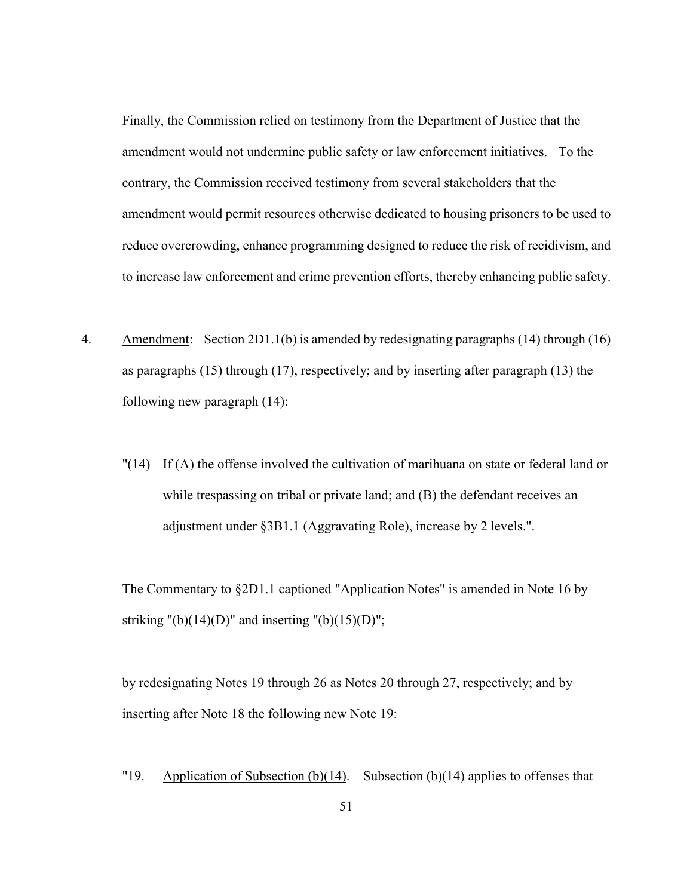Finally, the Commission relied on testimony from the Department of Justice that the amendment would not undermine public safety or law enforcement initiatives. To the contrary, the Commission received testimony from several stakeholders that the amendment would permit resources otherwise dedicated to housing prisoners to be used to reduce overcrowding, enhance programming designed to reduce the risk of recidivism, and to increase law enforcement and crime prevention efforts, thereby enhancing public safety.

- 4. Amendment: Section 2D1.1(b) is amended by redesignating paragraphs (14) through (16) as paragraphs (15) through (17), respectively; and by inserting after paragraph (13) the following new paragraph (14):
	- "(14) If (A) the offense involved the cultivation of marihuana on state or federal land or while trespassing on tribal or private land; and (B) the defendant receives an adjustment under §3B1.1 (Aggravating Role), increase by 2 levels.".

The Commentary to §2D1.1 captioned "Application Notes" is amended in Note 16 by striking "(b)(14)(D)" and inserting "(b)(15)(D)";

by redesignating Notes 19 through 26 as Notes 20 through 27, respectively; and by inserting after Note 18 the following new Note 19:

"19. Application of Subsection  $(b)(14)$ . -Subsection  $(b)(14)$  applies to offenses that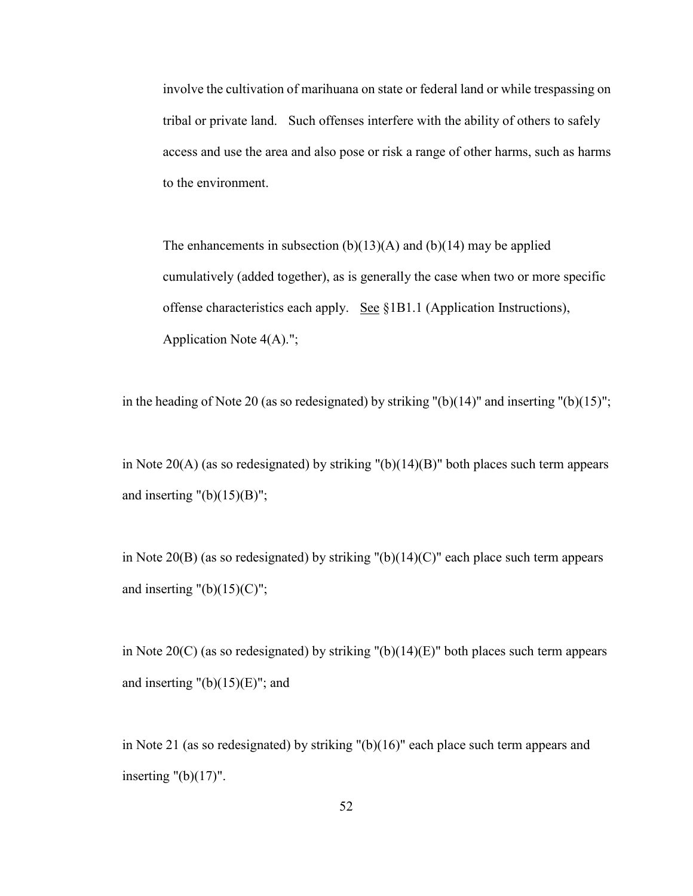involve the cultivation of marihuana on state or federal land or while trespassing on tribal or private land. Such offenses interfere with the ability of others to safely access and use the area and also pose or risk a range of other harms, such as harms to the environment.

The enhancements in subsection  $(b)(13)(A)$  and  $(b)(14)$  may be applied cumulatively (added together), as is generally the case when two or more specific offense characteristics each apply. See  $\S 1B1.1$  (Application Instructions), Application Note 4(A).";

in the heading of Note 20 (as so redesignated) by striking " $(b)(14)$ " and inserting " $(b)(15)$ ";

in Note 20(A) (as so redesignated) by striking "(b)(14)(B)" both places such term appears and inserting  $"({b})(15)(B)";$ 

in Note 20(B) (as so redesignated) by striking  $"(b)(14)(C)"$  each place such term appears and inserting  $"({b})(15)(C)";$ 

in Note 20(C) (as so redesignated) by striking "(b)(14)(E)" both places such term appears and inserting  $"({\rm b})(15)({\rm E})"$ ; and

in Note 21 (as so redesignated) by striking "(b)(16)" each place such term appears and inserting  $"({b})(17)"$ .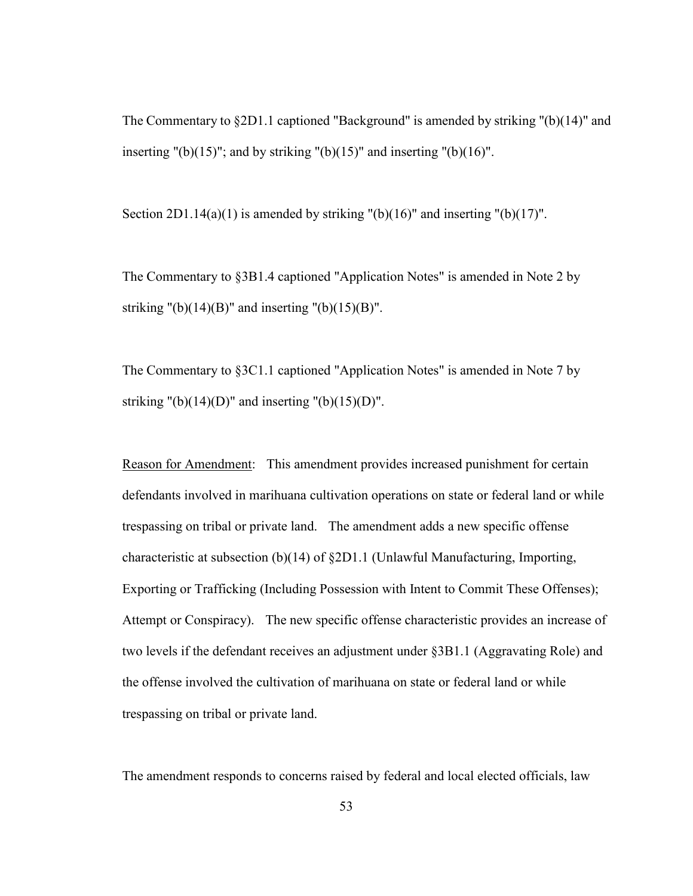The Commentary to §2D1.1 captioned "Background" is amended by striking "(b)(14)" and inserting "(b)(15)"; and by striking "(b)(15)" and inserting "(b)(16)".

Section  $2D1.14(a)(1)$  is amended by striking "(b)(16)" and inserting "(b)(17)".

The Commentary to §3B1.4 captioned "Application Notes" is amended in Note 2 by striking "(b)(14)(B)" and inserting "(b)(15)(B)".

The Commentary to §3C1.1 captioned "Application Notes" is amended in Note 7 by striking "(b)(14)(D)" and inserting "(b)(15)(D)".

Reason for Amendment: This amendment provides increased punishment for certain defendants involved in marihuana cultivation operations on state or federal land or while trespassing on tribal or private land. The amendment adds a new specific offense characteristic at subsection (b)(14) of §2D1.1 (Unlawful Manufacturing, Importing, Exporting or Trafficking (Including Possession with Intent to Commit These Offenses); Attempt or Conspiracy). The new specific offense characteristic provides an increase of two levels if the defendant receives an adjustment under §3B1.1 (Aggravating Role) and the offense involved the cultivation of marihuana on state or federal land or while trespassing on tribal or private land.

The amendment responds to concerns raised by federal and local elected officials, law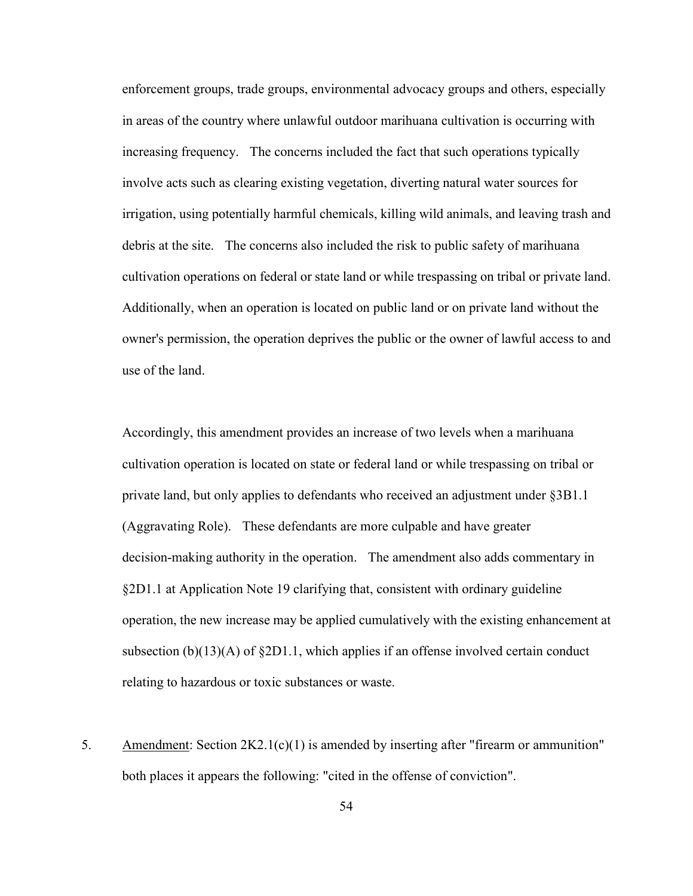enforcement groups, trade groups, environmental advocacy groups and others, especially in areas of the country where unlawful outdoor marihuana cultivation is occurring with increasing frequency. The concerns included the fact that such operations typically involve acts such as clearing existing vegetation, diverting natural water sources for irrigation, using potentially harmful chemicals, killing wild animals, and leaving trash and debris at the site. The concerns also included the risk to public safety of marihuana cultivation operations on federal or state land or while trespassing on tribal or private land. Additionally, when an operation is located on public land or on private land without the owner's permission, the operation deprives the public or the owner of lawful access to and use of the land.

Accordingly, this amendment provides an increase of two levels when a marihuana cultivation operation is located on state or federal land or while trespassing on tribal or private land, but only applies to defendants who received an adjustment under §3B1.1 (Aggravating Role). These defendants are more culpable and have greater decision-making authority in the operation. The amendment also adds commentary in §2D1.1 at Application Note 19 clarifying that, consistent with ordinary guideline operation, the new increase may be applied cumulatively with the existing enhancement at subsection  $(b)(13)(A)$  of §2D1.1, which applies if an offense involved certain conduct relating to hazardous or toxic substances or waste.

5. Amendment: Section 2K2.1(c)(1) is amended by inserting after "firearm or ammunition" both places it appears the following: "cited in the offense of conviction".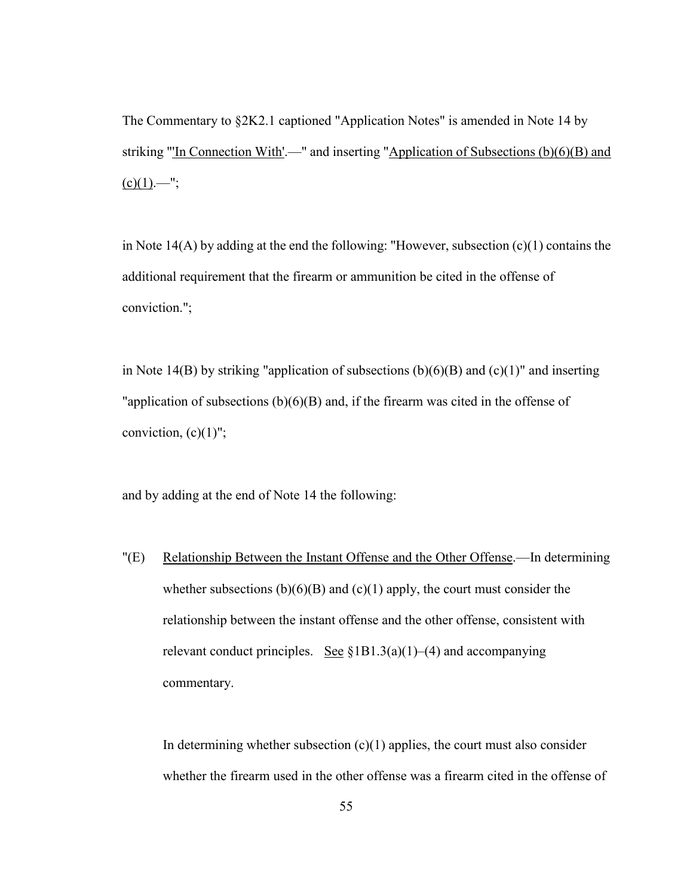The Commentary to §2K2.1 captioned "Application Notes" is amended in Note 14 by striking "'In Connection With'.—" and inserting "Application of Subsections (b)(6)(B) and  $(c)(1)$ .—";

in Note 14(A) by adding at the end the following: "However, subsection (c)(1) contains the additional requirement that the firearm or ammunition be cited in the offense of conviction.";

in Note 14(B) by striking "application of subsections  $(b)(6)(B)$  and  $(c)(1)$ " and inserting "application of subsections  $(b)(6)(B)$  and, if the firearm was cited in the offense of conviction,  $(c)(1)$ ";

and by adding at the end of Note 14 the following:

"(E) Relationship Between the Instant Offense and the Other Offense.—In determining whether subsections  $(b)(6)(B)$  and  $(c)(1)$  apply, the court must consider the relationship between the instant offense and the other offense, consistent with relevant conduct principles. See  $$1B1.3(a)(1)–(4)$  and accompanying commentary.

In determining whether subsection  $(c)(1)$  applies, the court must also consider whether the firearm used in the other offense was a firearm cited in the offense of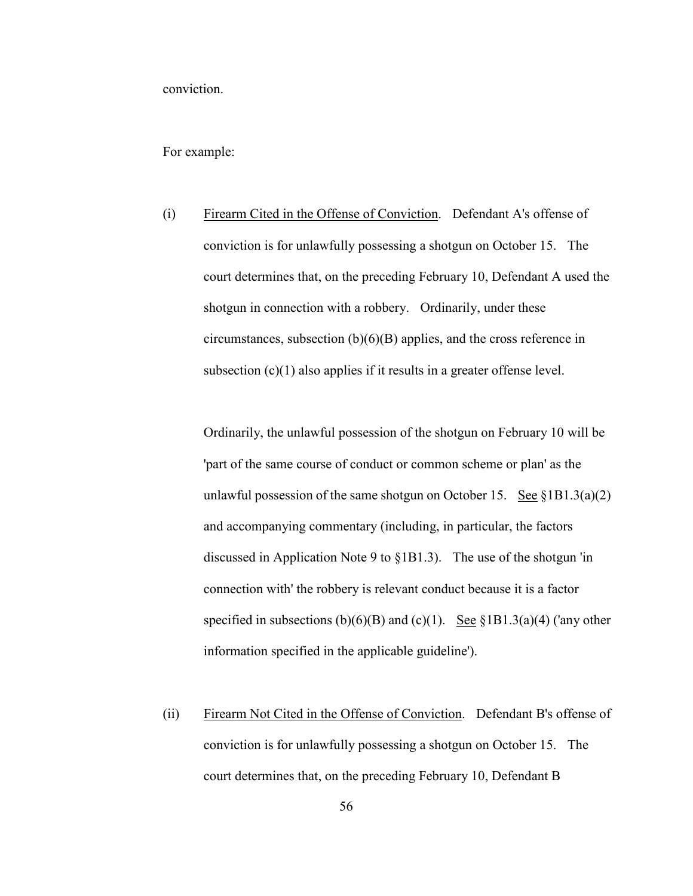conviction.

For example:

(i) Firearm Cited in the Offense of Conviction. Defendant A's offense of conviction is for unlawfully possessing a shotgun on October 15. The court determines that, on the preceding February 10, Defendant A used the shotgun in connection with a robbery. Ordinarily, under these circumstances, subsection (b)(6)(B) applies, and the cross reference in subsection  $(c)(1)$  also applies if it results in a greater offense level.

Ordinarily, the unlawful possession of the shotgun on February 10 will be 'part of the same course of conduct or common scheme or plan' as the unlawful possession of the same shotgun on October 15. See  $\S 1B1.3(a)(2)$ and accompanying commentary (including, in particular, the factors discussed in Application Note 9 to §1B1.3). The use of the shotgun 'in connection with' the robbery is relevant conduct because it is a factor specified in subsections (b)(6)(B) and (c)(1). <u>See</u> §1B1.3(a)(4) ('any other information specified in the applicable guideline').

(ii) Firearm Not Cited in the Offense of Conviction. Defendant B's offense of conviction is for unlawfully possessing a shotgun on October 15. The court determines that, on the preceding February 10, Defendant B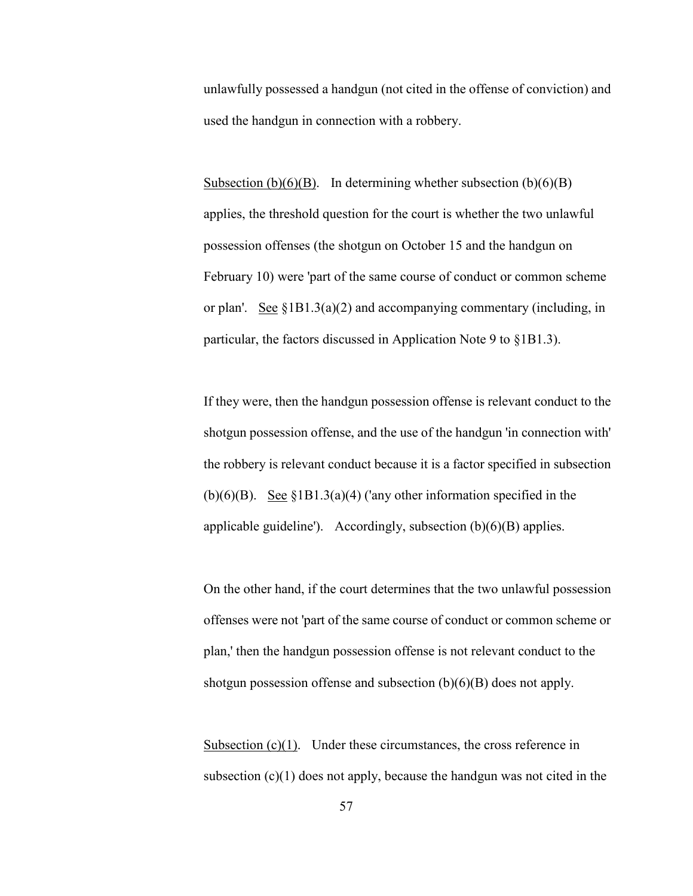unlawfully possessed a handgun (not cited in the offense of conviction) and used the handgun in connection with a robbery.

Subsection  $(b)(6)(B)$ . In determining whether subsection  $(b)(6)(B)$ applies, the threshold question for the court is whether the two unlawful possession offenses (the shotgun on October 15 and the handgun on February 10) were 'part of the same course of conduct or common scheme or plan'. See  $\S 1B1.3(a)(2)$  and accompanying commentary (including, in particular, the factors discussed in Application Note 9 to §1B1.3).

If they were, then the handgun possession offense is relevant conduct to the shotgun possession offense, and the use of the handgun 'in connection with' the robbery is relevant conduct because it is a factor specified in subsection (b)(6)(B). <u>See §1B1.3(a)</u>(4) ('any other information specified in the applicable guideline'). Accordingly, subsection  $(b)(6)(B)$  applies.

On the other hand, if the court determines that the two unlawful possession offenses were not 'part of the same course of conduct or common scheme or plan,' then the handgun possession offense is not relevant conduct to the shotgun possession offense and subsection (b)(6)(B) does not apply.

Subsection  $(c)(1)$ . Under these circumstances, the cross reference in subsection  $(c)(1)$  does not apply, because the handgun was not cited in the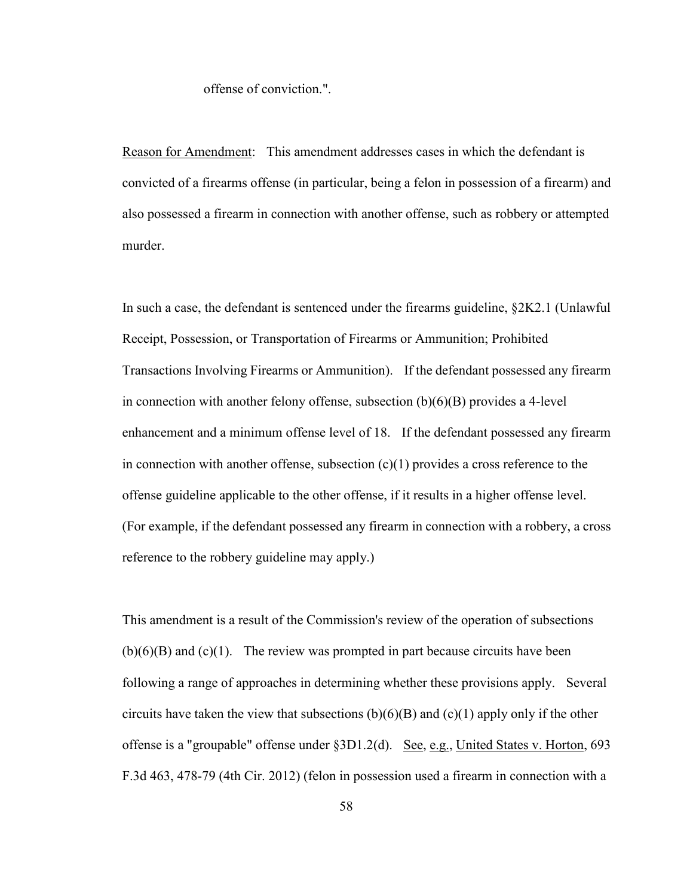#### offense of conviction.".

Reason for Amendment: This amendment addresses cases in which the defendant is convicted of a firearms offense (in particular, being a felon in possession of a firearm) and also possessed a firearm in connection with another offense, such as robbery or attempted murder.

In such a case, the defendant is sentenced under the firearms guideline, §2K2.1 (Unlawful Receipt, Possession, or Transportation of Firearms or Ammunition; Prohibited Transactions Involving Firearms or Ammunition). If the defendant possessed any firearm in connection with another felony offense, subsection (b)(6)(B) provides a 4-level enhancement and a minimum offense level of 18. If the defendant possessed any firearm in connection with another offense, subsection  $(c)(1)$  provides a cross reference to the offense guideline applicable to the other offense, if it results in a higher offense level. (For example, if the defendant possessed any firearm in connection with a robbery, a cross reference to the robbery guideline may apply.)

This amendment is a result of the Commission's review of the operation of subsections  $(b)(6)(B)$  and  $(c)(1)$ . The review was prompted in part because circuits have been following a range of approaches in determining whether these provisions apply. Several circuits have taken the view that subsections  $(b)(6)(B)$  and  $(c)(1)$  apply only if the other offense is a "groupable" offense under §3D1.2(d). See, e.g., United States v. Horton, 693 F.3d 463, 478-79 (4th Cir. 2012) (felon in possession used a firearm in connection with a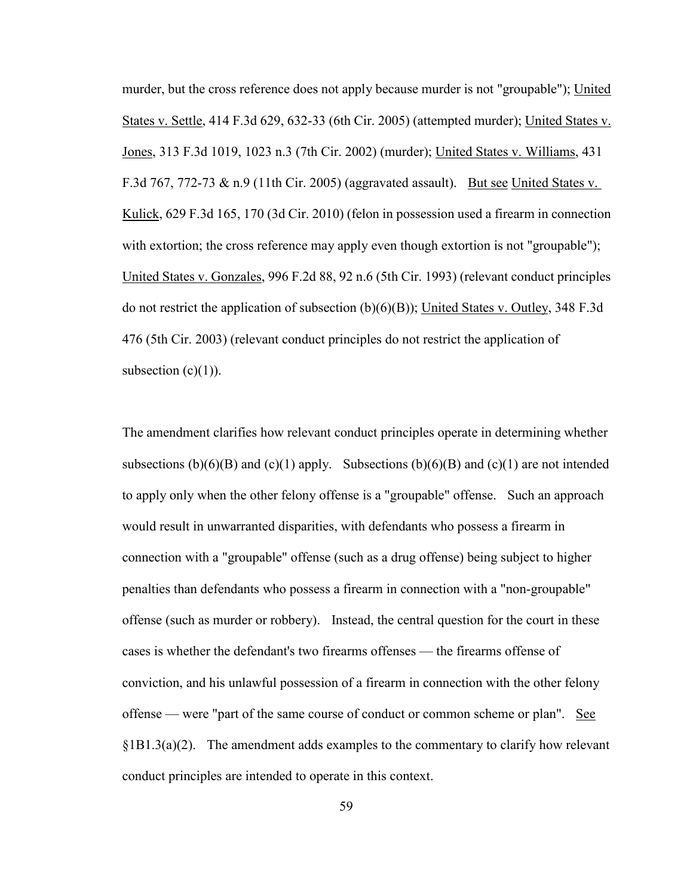murder, but the cross reference does not apply because murder is not "groupable"); United States v. Settle, 414 F.3d 629, 632-33 (6th Cir. 2005) (attempted murder); United States v. Jones, 313 F.3d 1019, 1023 n.3 (7th Cir. 2002) (murder); United States v. Williams, 431 F.3d 767, 772-73  $\&$  n.9 (11th Cir. 2005) (aggravated assault). But see United States v. Kulick, 629 F.3d 165, 170 (3d Cir. 2010) (felon in possession used a firearm in connection with extortion; the cross reference may apply even though extortion is not "groupable"); United States v. Gonzales, 996 F.2d 88, 92 n.6 (5th Cir. 1993) (relevant conduct principles do not restrict the application of subsection  $(b)(6)(B)$ ; United States v. Outley, 348 F.3d 476 (5th Cir. 2003) (relevant conduct principles do not restrict the application of subsection  $(c)(1)$ ).

The amendment clarifies how relevant conduct principles operate in determining whether subsections  $(b)(6)(B)$  and  $(c)(1)$  apply. Subsections  $(b)(6)(B)$  and  $(c)(1)$  are not intended to apply only when the other felony offense is a "groupable" offense. Such an approach would result in unwarranted disparities, with defendants who possess a firearm in connection with a "groupable" offense (such as a drug offense) being subject to higher penalties than defendants who possess a firearm in connection with a "non-groupable" offense (such as murder or robbery). Instead, the central question for the court in these cases is whether the defendant's two firearms offenses — the firearms offense of conviction, and his unlawful possession of a firearm in connection with the other felony offense — were "part of the same course of conduct or common scheme or plan". See  $\S 1B1.3(a)(2)$ . The amendment adds examples to the commentary to clarify how relevant conduct principles are intended to operate in this context.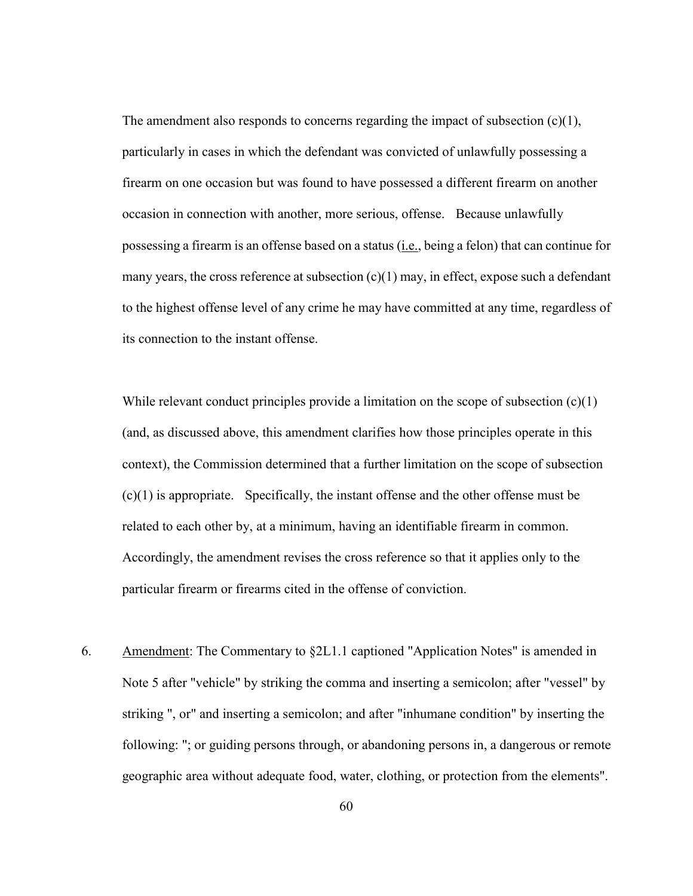The amendment also responds to concerns regarding the impact of subsection (c)(1), particularly in cases in which the defendant was convicted of unlawfully possessing a firearm on one occasion but was found to have possessed a different firearm on another occasion in connection with another, more serious, offense. Because unlawfully possessing a firearm is an offense based on a status (i.e., being a felon) that can continue for many years, the cross reference at subsection  $(c)(1)$  may, in effect, expose such a defendant to the highest offense level of any crime he may have committed at any time, regardless of its connection to the instant offense.

While relevant conduct principles provide a limitation on the scope of subsection  $(c)(1)$ (and, as discussed above, this amendment clarifies how those principles operate in this context), the Commission determined that a further limitation on the scope of subsection (c)(1) is appropriate. Specifically, the instant offense and the other offense must be related to each other by, at a minimum, having an identifiable firearm in common. Accordingly, the amendment revises the cross reference so that it applies only to the particular firearm or firearms cited in the offense of conviction.

6. Amendment: The Commentary to §2L1.1 captioned "Application Notes" is amended in Note 5 after "vehicle" by striking the comma and inserting a semicolon; after "vessel" by striking ", or" and inserting a semicolon; and after "inhumane condition" by inserting the following: "; or guiding persons through, or abandoning persons in, a dangerous or remote geographic area without adequate food, water, clothing, or protection from the elements".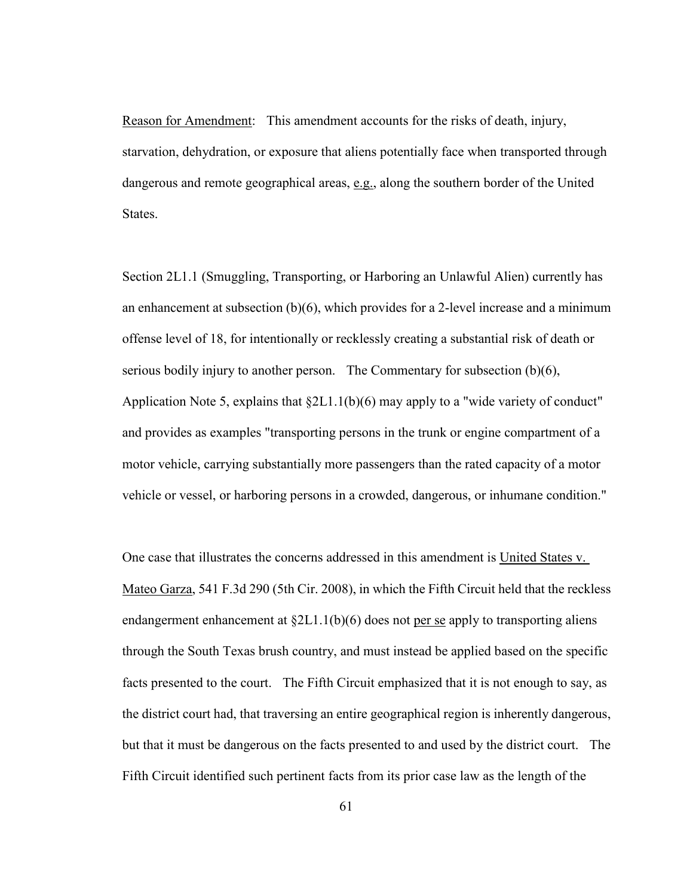Reason for Amendment: This amendment accounts for the risks of death, injury, starvation, dehydration, or exposure that aliens potentially face when transported through dangerous and remote geographical areas, e.g., along the southern border of the United States.

Section 2L1.1 (Smuggling, Transporting, or Harboring an Unlawful Alien) currently has an enhancement at subsection (b)(6), which provides for a 2-level increase and a minimum offense level of 18, for intentionally or recklessly creating a substantial risk of death or serious bodily injury to another person. The Commentary for subsection (b)(6), Application Note 5, explains that §2L1.1(b)(6) may apply to a "wide variety of conduct" and provides as examples "transporting persons in the trunk or engine compartment of a motor vehicle, carrying substantially more passengers than the rated capacity of a motor vehicle or vessel, or harboring persons in a crowded, dangerous, or inhumane condition."

One case that illustrates the concerns addressed in this amendment is United States v. Mateo Garza, 541 F.3d 290 (5th Cir. 2008), in which the Fifth Circuit held that the reckless endangerment enhancement at  $\S 2L1.1(b)(6)$  does not per se apply to transporting aliens through the South Texas brush country, and must instead be applied based on the specific facts presented to the court. The Fifth Circuit emphasized that it is not enough to say, as the district court had, that traversing an entire geographical region is inherently dangerous, but that it must be dangerous on the facts presented to and used by the district court. The Fifth Circuit identified such pertinent facts from its prior case law as the length of the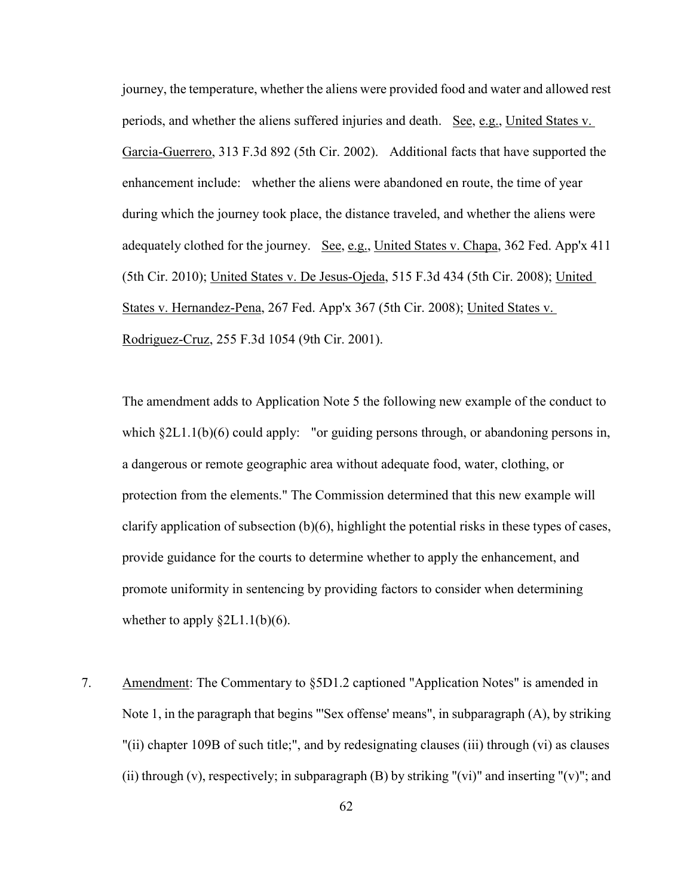journey, the temperature, whether the aliens were provided food and water and allowed rest periods, and whether the aliens suffered injuries and death. See, e.g., United States v. Garcia-Guerrero, 313 F.3d 892 (5th Cir. 2002). Additional facts that have supported the enhancement include: whether the aliens were abandoned en route, the time of year during which the journey took place, the distance traveled, and whether the aliens were adequately clothed for the journey. See, e.g., United States v. Chapa, 362 Fed. App'x 411 (5th Cir. 2010); United States v. De Jesus-Ojeda, 515 F.3d 434 (5th Cir. 2008); United States v. Hernandez-Pena, 267 Fed. App'x 367 (5th Cir. 2008); United States v. Rodriguez-Cruz, 255 F.3d 1054 (9th Cir. 2001).

The amendment adds to Application Note 5 the following new example of the conduct to which §2L1.1(b)(6) could apply: "or guiding persons through, or abandoning persons in, a dangerous or remote geographic area without adequate food, water, clothing, or protection from the elements." The Commission determined that this new example will clarify application of subsection (b)(6), highlight the potential risks in these types of cases, provide guidance for the courts to determine whether to apply the enhancement, and promote uniformity in sentencing by providing factors to consider when determining whether to apply  $\S 2L1.1(b)(6)$ .

7. Amendment: The Commentary to §5D1.2 captioned "Application Notes" is amended in Note 1, in the paragraph that begins "'Sex offense' means", in subparagraph (A), by striking "(ii) chapter 109B of such title;", and by redesignating clauses (iii) through (vi) as clauses (ii) through (v), respectively; in subparagraph  $(B)$  by striking "(vi)" and inserting "(v)"; and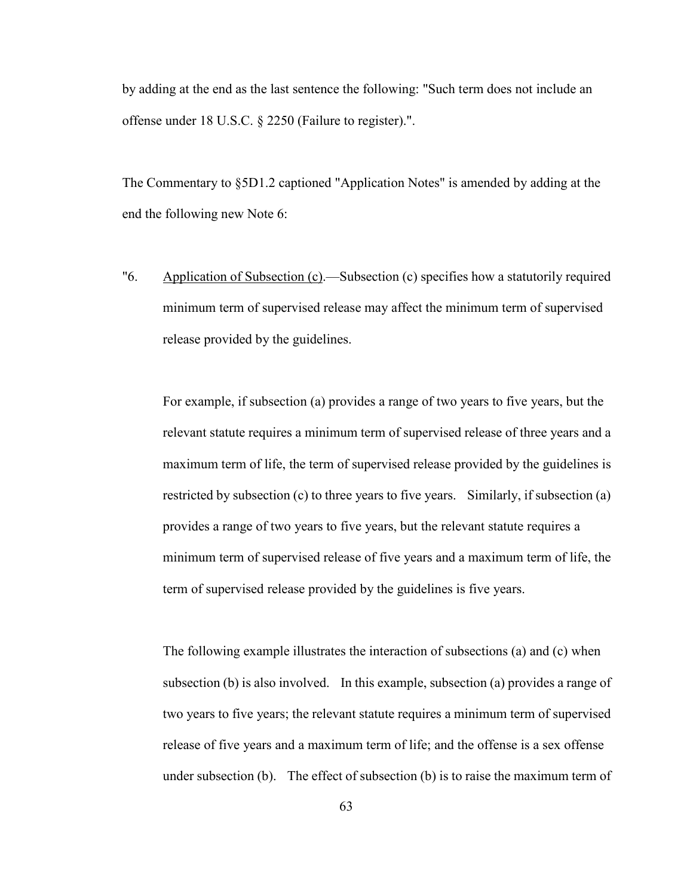by adding at the end as the last sentence the following: "Such term does not include an offense under 18 U.S.C. § 2250 (Failure to register).".

The Commentary to §5D1.2 captioned "Application Notes" is amended by adding at the end the following new Note 6:

"6. Application of Subsection (c).—Subsection (c) specifies how a statutorily required minimum term of supervised release may affect the minimum term of supervised release provided by the guidelines.

For example, if subsection (a) provides a range of two years to five years, but the relevant statute requires a minimum term of supervised release of three years and a maximum term of life, the term of supervised release provided by the guidelines is restricted by subsection (c) to three years to five years. Similarly, if subsection (a) provides a range of two years to five years, but the relevant statute requires a minimum term of supervised release of five years and a maximum term of life, the term of supervised release provided by the guidelines is five years.

The following example illustrates the interaction of subsections (a) and (c) when subsection (b) is also involved. In this example, subsection (a) provides a range of two years to five years; the relevant statute requires a minimum term of supervised release of five years and a maximum term of life; and the offense is a sex offense under subsection (b). The effect of subsection (b) is to raise the maximum term of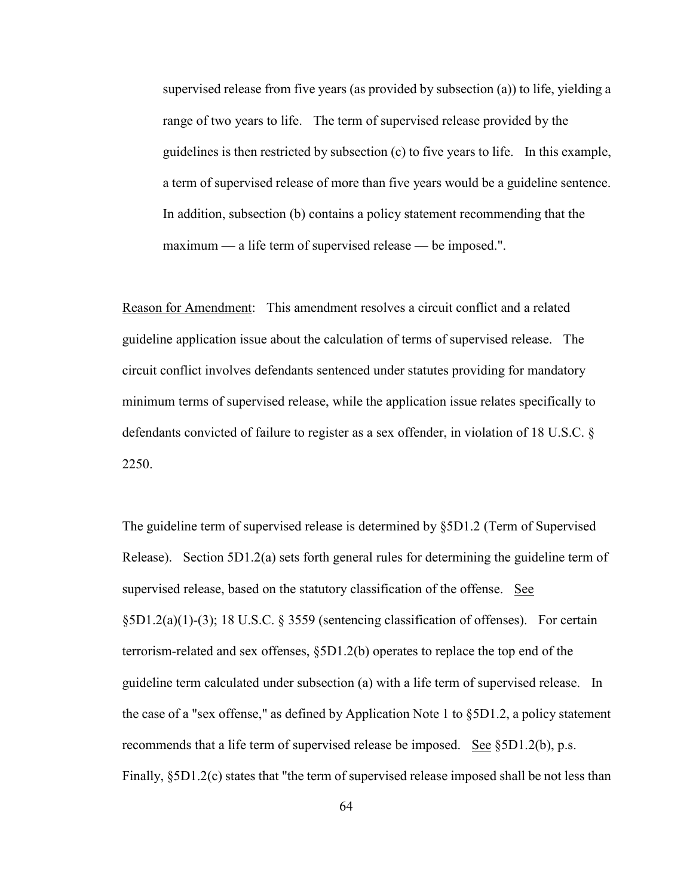supervised release from five years (as provided by subsection (a)) to life, yielding a range of two years to life. The term of supervised release provided by the guidelines is then restricted by subsection (c) to five years to life. In this example, a term of supervised release of more than five years would be a guideline sentence. In addition, subsection (b) contains a policy statement recommending that the maximum — a life term of supervised release — be imposed.".

Reason for Amendment: This amendment resolves a circuit conflict and a related guideline application issue about the calculation of terms of supervised release. The circuit conflict involves defendants sentenced under statutes providing for mandatory minimum terms of supervised release, while the application issue relates specifically to defendants convicted of failure to register as a sex offender, in violation of 18 U.S.C. § 2250.

The guideline term of supervised release is determined by §5D1.2 (Term of Supervised Release). Section 5D1.2(a) sets forth general rules for determining the guideline term of supervised release, based on the statutory classification of the offense. See §5D1.2(a)(1)-(3); 18 U.S.C. § 3559 (sentencing classification of offenses). For certain terrorism-related and sex offenses, §5D1.2(b) operates to replace the top end of the guideline term calculated under subsection (a) with a life term of supervised release. In the case of a "sex offense," as defined by Application Note 1 to §5D1.2, a policy statement recommends that a life term of supervised release be imposed. See §5D1.2(b), p.s. Finally, §5D1.2(c) states that "the term of supervised release imposed shall be not less than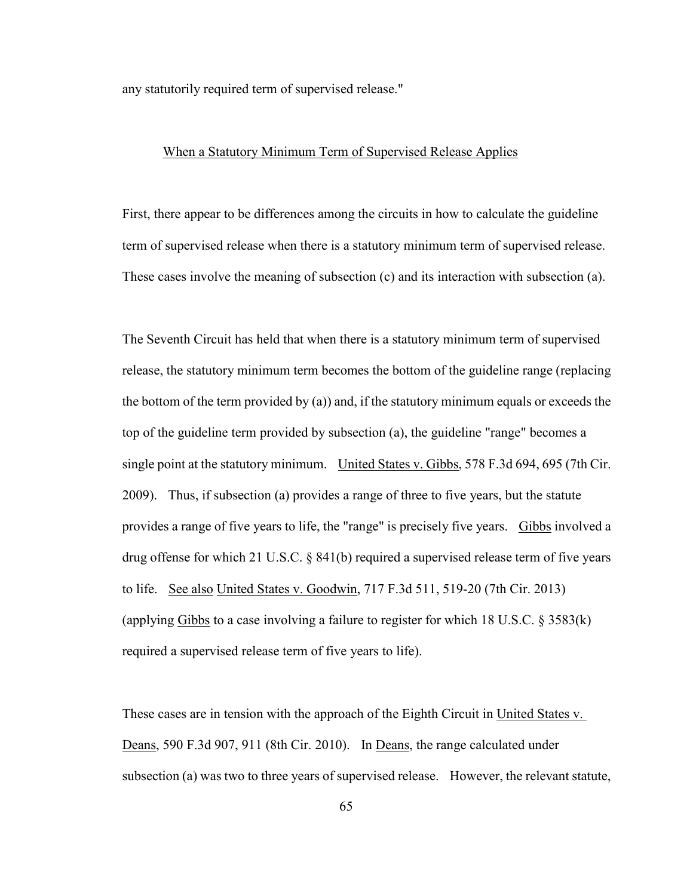any statutorily required term of supervised release."

### When a Statutory Minimum Term of Supervised Release Applies

First, there appear to be differences among the circuits in how to calculate the guideline term of supervised release when there is a statutory minimum term of supervised release. These cases involve the meaning of subsection (c) and its interaction with subsection (a).

The Seventh Circuit has held that when there is a statutory minimum term of supervised release, the statutory minimum term becomes the bottom of the guideline range (replacing the bottom of the term provided by (a)) and, if the statutory minimum equals or exceeds the top of the guideline term provided by subsection (a), the guideline "range" becomes a single point at the statutory minimum. United States v. Gibbs, 578 F.3d 694, 695 (7th Cir. 2009). Thus, if subsection (a) provides a range of three to five years, but the statute provides a range of five years to life, the "range" is precisely five years. Gibbs involved a drug offense for which 21 U.S.C. § 841(b) required a supervised release term of five years to life. See also United States v. Goodwin, 717 F.3d 511, 519-20 (7th Cir. 2013) (applying  $Gibbs$  to a case involving a failure to register for which 18 U.S.C. § 3583(k) required a supervised release term of five years to life).

These cases are in tension with the approach of the Eighth Circuit in United States v. Deans, 590 F.3d 907, 911 (8th Cir. 2010). In Deans, the range calculated under subsection (a) was two to three years of supervised release. However, the relevant statute,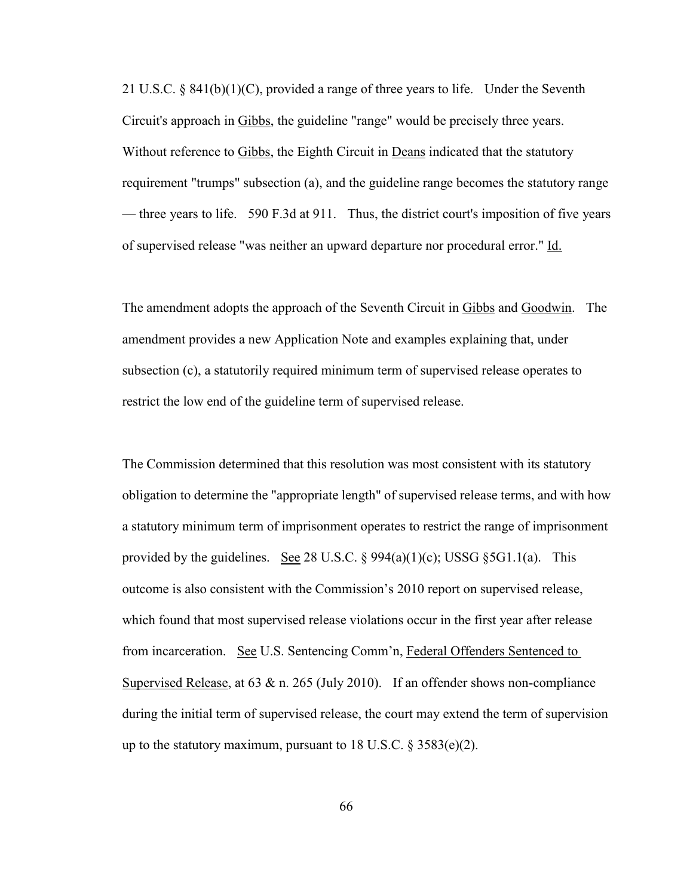21 U.S.C. § 841(b)(1)(C), provided a range of three years to life. Under the Seventh Circuit's approach in Gibbs, the guideline "range" would be precisely three years. Without reference to Gibbs, the Eighth Circuit in Deans indicated that the statutory requirement "trumps" subsection (a), and the guideline range becomes the statutory range — three years to life. 590 F.3d at 911. Thus, the district court's imposition of five years of supervised release "was neither an upward departure nor procedural error." Id.

The amendment adopts the approach of the Seventh Circuit in Gibbs and Goodwin. The amendment provides a new Application Note and examples explaining that, under subsection (c), a statutorily required minimum term of supervised release operates to restrict the low end of the guideline term of supervised release.

The Commission determined that this resolution was most consistent with its statutory obligation to determine the "appropriate length" of supervised release terms, and with how a statutory minimum term of imprisonment operates to restrict the range of imprisonment provided by the guidelines. See 28 U.S.C.  $\S 994(a)(1)(c)$ ; USSG  $\S 5G1.1(a)$ . This outcome is also consistent with the Commission's 2010 report on supervised release, which found that most supervised release violations occur in the first year after release from incarceration. See U.S. Sentencing Comm'n, Federal Offenders Sentenced to Supervised Release, at  $63 \& n$ . 265 (July 2010). If an offender shows non-compliance during the initial term of supervised release, the court may extend the term of supervision up to the statutory maximum, pursuant to 18 U.S.C.  $\S 3583(e)(2)$ .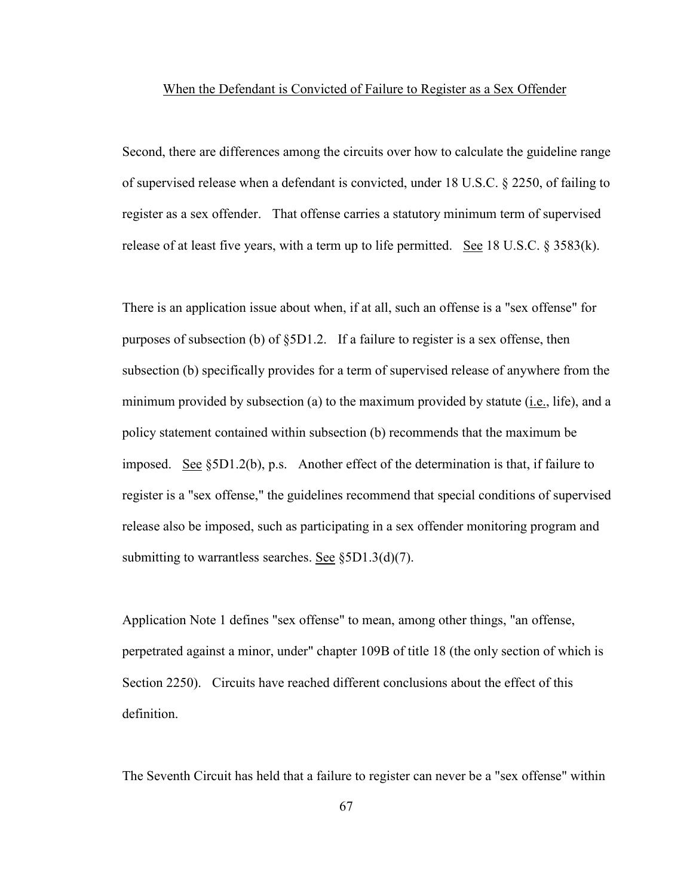#### When the Defendant is Convicted of Failure to Register as a Sex Offender

Second, there are differences among the circuits over how to calculate the guideline range of supervised release when a defendant is convicted, under 18 U.S.C. § 2250, of failing to register as a sex offender. That offense carries a statutory minimum term of supervised release of at least five years, with a term up to life permitted. See 18 U.S.C. § 3583(k).

There is an application issue about when, if at all, such an offense is a "sex offense" for purposes of subsection (b) of  $\S5D1.2$ . If a failure to register is a sex offense, then subsection (b) specifically provides for a term of supervised release of anywhere from the minimum provided by subsection (a) to the maximum provided by statute (i.e., life), and a policy statement contained within subsection (b) recommends that the maximum be imposed. See §5D1.2(b), p.s. Another effect of the determination is that, if failure to register is a "sex offense," the guidelines recommend that special conditions of supervised release also be imposed, such as participating in a sex offender monitoring program and submitting to warrantless searches. See §5D1.3(d)(7).

Application Note 1 defines "sex offense" to mean, among other things, "an offense, perpetrated against a minor, under" chapter 109B of title 18 (the only section of which is Section 2250). Circuits have reached different conclusions about the effect of this definition.

The Seventh Circuit has held that a failure to register can never be a "sex offense" within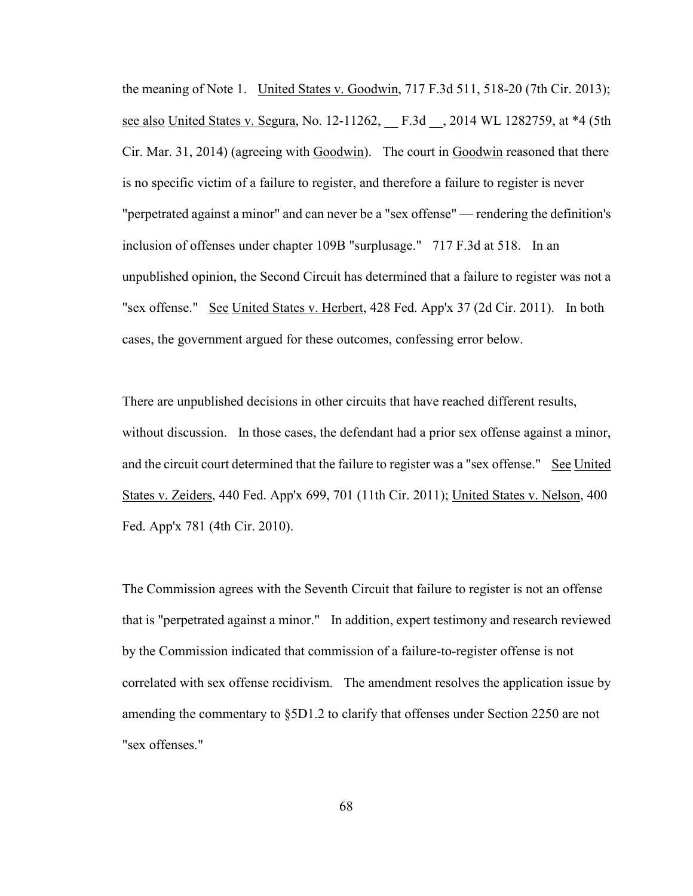the meaning of Note 1. United States v. Goodwin, 717 F.3d 511, 518-20 (7th Cir. 2013); see also United States v. Segura, No. 12-11262, F.3d , 2014 WL 1282759, at \*4 (5th Cir. Mar. 31, 2014) (agreeing with Goodwin). The court in Goodwin reasoned that there is no specific victim of a failure to register, and therefore a failure to register is never "perpetrated against a minor" and can never be a "sex offense" — rendering the definition's inclusion of offenses under chapter 109B "surplusage." 717 F.3d at 518. In an unpublished opinion, the Second Circuit has determined that a failure to register was not a "sex offense." See United States v. Herbert, 428 Fed. App'x 37 (2d Cir. 2011). In both cases, the government argued for these outcomes, confessing error below.

There are unpublished decisions in other circuits that have reached different results, without discussion. In those cases, the defendant had a prior sex offense against a minor, and the circuit court determined that the failure to register was a "sex offense." See United States v. Zeiders, 440 Fed. App'x 699, 701 (11th Cir. 2011); United States v. Nelson, 400 Fed. App'x 781 (4th Cir. 2010).

The Commission agrees with the Seventh Circuit that failure to register is not an offense that is "perpetrated against a minor." In addition, expert testimony and research reviewed by the Commission indicated that commission of a failure-to-register offense is not correlated with sex offense recidivism. The amendment resolves the application issue by amending the commentary to §5D1.2 to clarify that offenses under Section 2250 are not "sex offenses."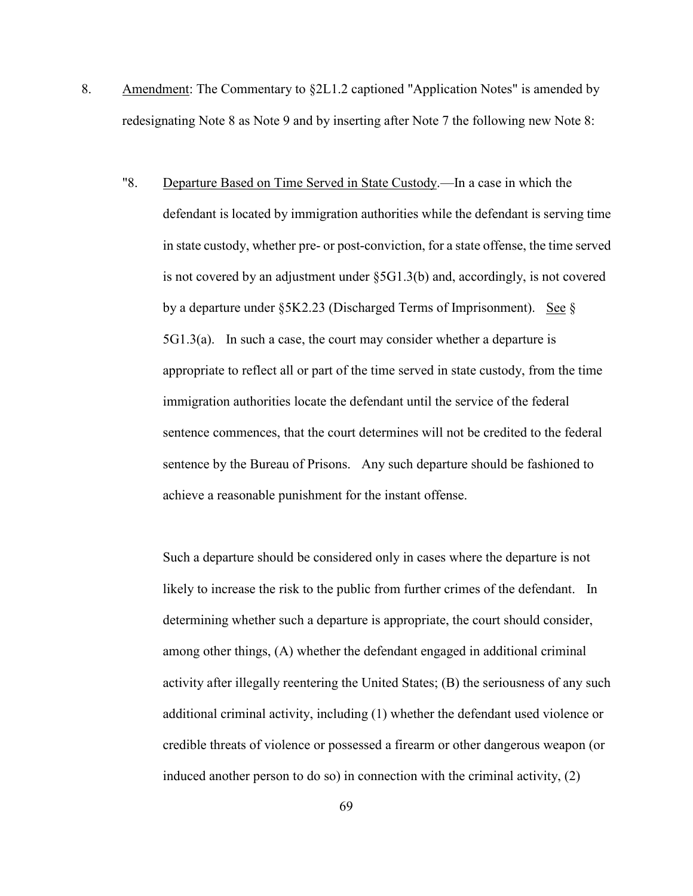- 8. Amendment: The Commentary to §2L1.2 captioned "Application Notes" is amended by redesignating Note 8 as Note 9 and by inserting after Note 7 the following new Note 8:
	- "8. Departure Based on Time Served in State Custody.—In a case in which the defendant is located by immigration authorities while the defendant is serving time in state custody, whether pre- or post-conviction, for a state offense, the time served is not covered by an adjustment under §5G1.3(b) and, accordingly, is not covered by a departure under  $\S 5K2.23$  (Discharged Terms of Imprisonment). See  $\S$ 5G1.3(a). In such a case, the court may consider whether a departure is appropriate to reflect all or part of the time served in state custody, from the time immigration authorities locate the defendant until the service of the federal sentence commences, that the court determines will not be credited to the federal sentence by the Bureau of Prisons. Any such departure should be fashioned to achieve a reasonable punishment for the instant offense.

Such a departure should be considered only in cases where the departure is not likely to increase the risk to the public from further crimes of the defendant. In determining whether such a departure is appropriate, the court should consider, among other things, (A) whether the defendant engaged in additional criminal activity after illegally reentering the United States; (B) the seriousness of any such additional criminal activity, including (1) whether the defendant used violence or credible threats of violence or possessed a firearm or other dangerous weapon (or induced another person to do so) in connection with the criminal activity, (2)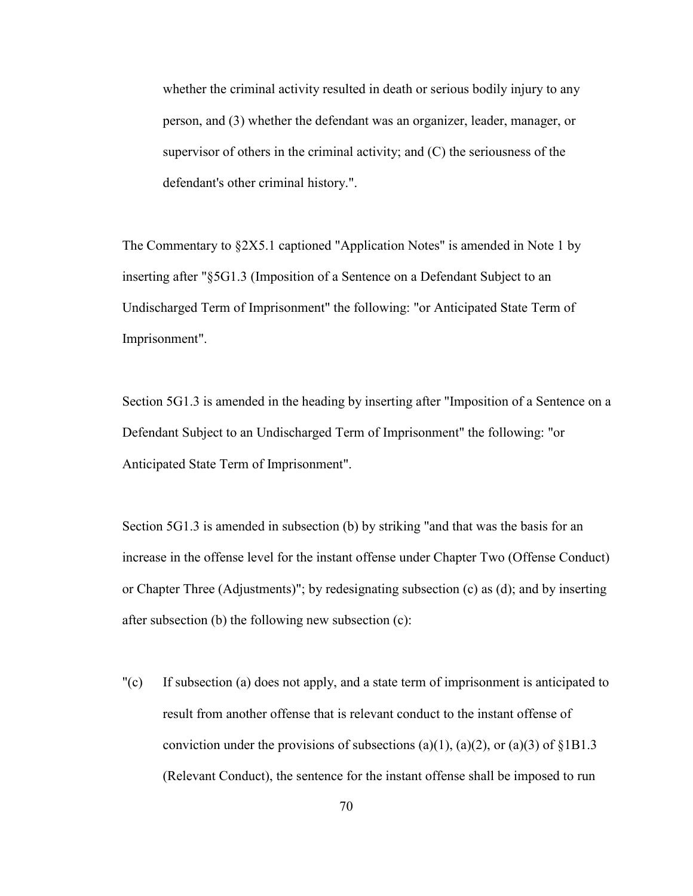whether the criminal activity resulted in death or serious bodily injury to any person, and (3) whether the defendant was an organizer, leader, manager, or supervisor of others in the criminal activity; and (C) the seriousness of the defendant's other criminal history.".

The Commentary to §2X5.1 captioned "Application Notes" is amended in Note 1 by inserting after "§5G1.3 (Imposition of a Sentence on a Defendant Subject to an Undischarged Term of Imprisonment" the following: "or Anticipated State Term of Imprisonment".

Section 5G1.3 is amended in the heading by inserting after "Imposition of a Sentence on a Defendant Subject to an Undischarged Term of Imprisonment" the following: "or Anticipated State Term of Imprisonment".

Section 5G1.3 is amended in subsection (b) by striking "and that was the basis for an increase in the offense level for the instant offense under Chapter Two (Offense Conduct) or Chapter Three (Adjustments)"; by redesignating subsection (c) as (d); and by inserting after subsection (b) the following new subsection (c):

"(c) If subsection (a) does not apply, and a state term of imprisonment is anticipated to result from another offense that is relevant conduct to the instant offense of conviction under the provisions of subsections (a)(1), (a)(2), or (a)(3) of  $\S 1B1.3$ (Relevant Conduct), the sentence for the instant offense shall be imposed to run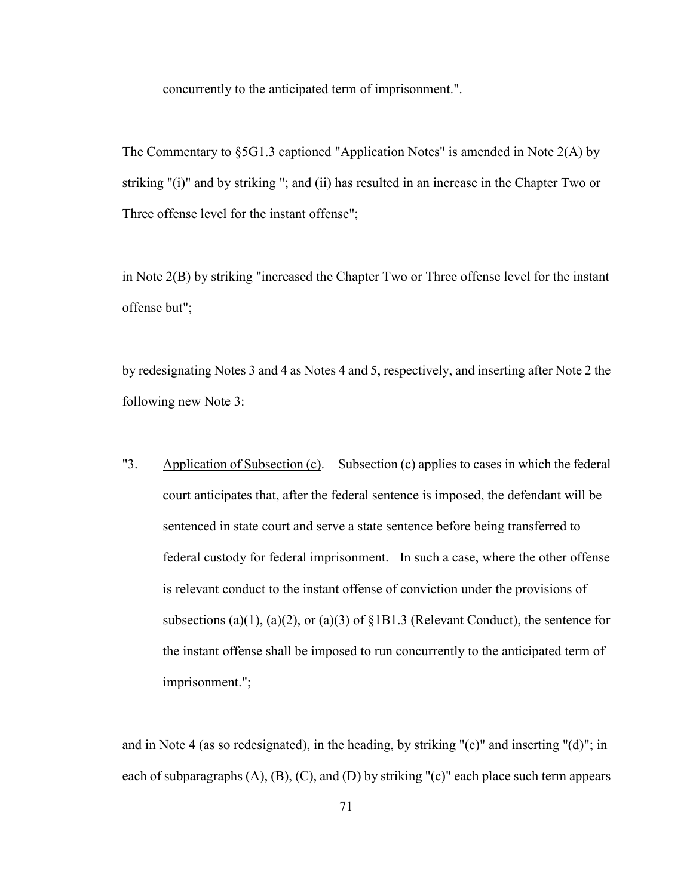concurrently to the anticipated term of imprisonment.".

The Commentary to §5G1.3 captioned "Application Notes" is amended in Note 2(A) by striking "(i)" and by striking "; and (ii) has resulted in an increase in the Chapter Two or Three offense level for the instant offense";

in Note 2(B) by striking "increased the Chapter Two or Three offense level for the instant offense but";

by redesignating Notes 3 and 4 as Notes 4 and 5, respectively, and inserting after Note 2 the following new Note 3:

"3. Application of Subsection (c).—Subsection (c) applies to cases in which the federal court anticipates that, after the federal sentence is imposed, the defendant will be sentenced in state court and serve a state sentence before being transferred to federal custody for federal imprisonment. In such a case, where the other offense is relevant conduct to the instant offense of conviction under the provisions of subsections (a)(1), (a)(2), or (a)(3) of  $\S 1B1.3$  (Relevant Conduct), the sentence for the instant offense shall be imposed to run concurrently to the anticipated term of imprisonment.";

and in Note 4 (as so redesignated), in the heading, by striking "(c)" and inserting "(d)"; in each of subparagraphs  $(A)$ ,  $(B)$ ,  $(C)$ , and  $(D)$  by striking " $(c)$ " each place such term appears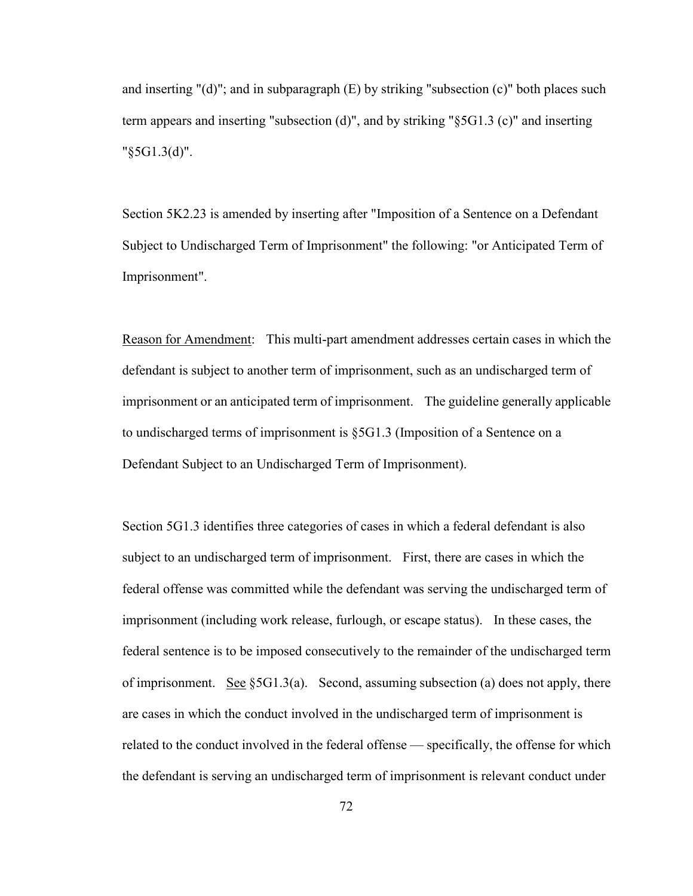and inserting " $(d)$ "; and in subparagraph  $(E)$  by striking "subsection  $(c)$ " both places such term appears and inserting "subsection (d)", and by striking "§5G1.3 (c)" and inserting "§5G1.3(d)".

Section 5K2.23 is amended by inserting after "Imposition of a Sentence on a Defendant Subject to Undischarged Term of Imprisonment" the following: "or Anticipated Term of Imprisonment".

Reason for Amendment: This multi-part amendment addresses certain cases in which the defendant is subject to another term of imprisonment, such as an undischarged term of imprisonment or an anticipated term of imprisonment. The guideline generally applicable to undischarged terms of imprisonment is §5G1.3 (Imposition of a Sentence on a Defendant Subject to an Undischarged Term of Imprisonment).

Section 5G1.3 identifies three categories of cases in which a federal defendant is also subject to an undischarged term of imprisonment. First, there are cases in which the federal offense was committed while the defendant was serving the undischarged term of imprisonment (including work release, furlough, or escape status). In these cases, the federal sentence is to be imposed consecutively to the remainder of the undischarged term of imprisonment. See  $\S 5G1.3(a)$ . Second, assuming subsection (a) does not apply, there are cases in which the conduct involved in the undischarged term of imprisonment is related to the conduct involved in the federal offense — specifically, the offense for which the defendant is serving an undischarged term of imprisonment is relevant conduct under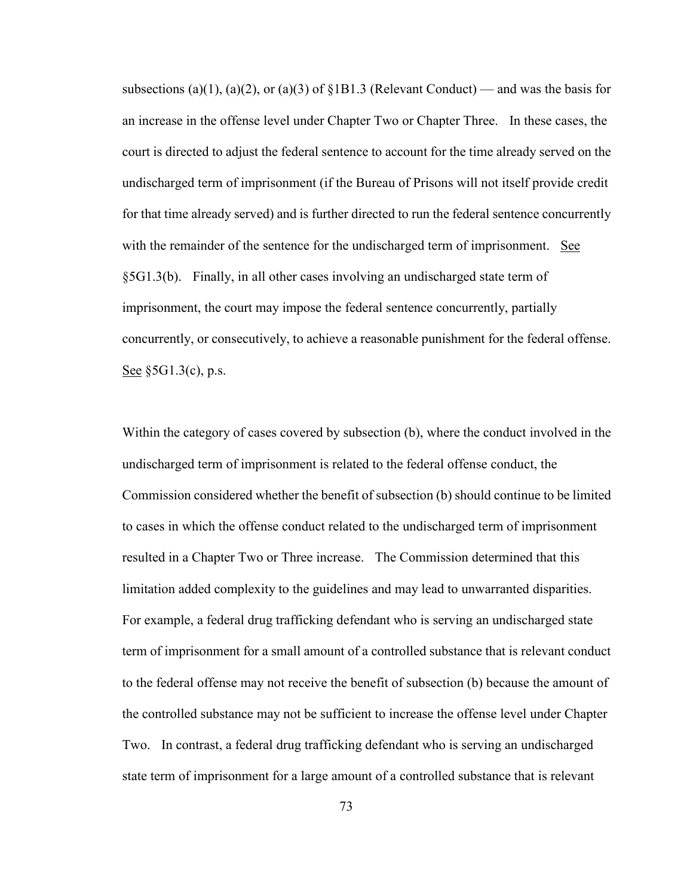subsections (a)(1), (a)(2), or (a)(3) of  $\S 1B1.3$  (Relevant Conduct) — and was the basis for an increase in the offense level under Chapter Two or Chapter Three. In these cases, the court is directed to adjust the federal sentence to account for the time already served on the undischarged term of imprisonment (if the Bureau of Prisons will not itself provide credit for that time already served) and is further directed to run the federal sentence concurrently with the remainder of the sentence for the undischarged term of imprisonment. See §5G1.3(b). Finally, in all other cases involving an undischarged state term of imprisonment, the court may impose the federal sentence concurrently, partially concurrently, or consecutively, to achieve a reasonable punishment for the federal offense. See §5G1.3(c), p.s.

Within the category of cases covered by subsection (b), where the conduct involved in the undischarged term of imprisonment is related to the federal offense conduct, the Commission considered whether the benefit of subsection (b) should continue to be limited to cases in which the offense conduct related to the undischarged term of imprisonment resulted in a Chapter Two or Three increase. The Commission determined that this limitation added complexity to the guidelines and may lead to unwarranted disparities. For example, a federal drug trafficking defendant who is serving an undischarged state term of imprisonment for a small amount of a controlled substance that is relevant conduct to the federal offense may not receive the benefit of subsection (b) because the amount of the controlled substance may not be sufficient to increase the offense level under Chapter Two. In contrast, a federal drug trafficking defendant who is serving an undischarged state term of imprisonment for a large amount of a controlled substance that is relevant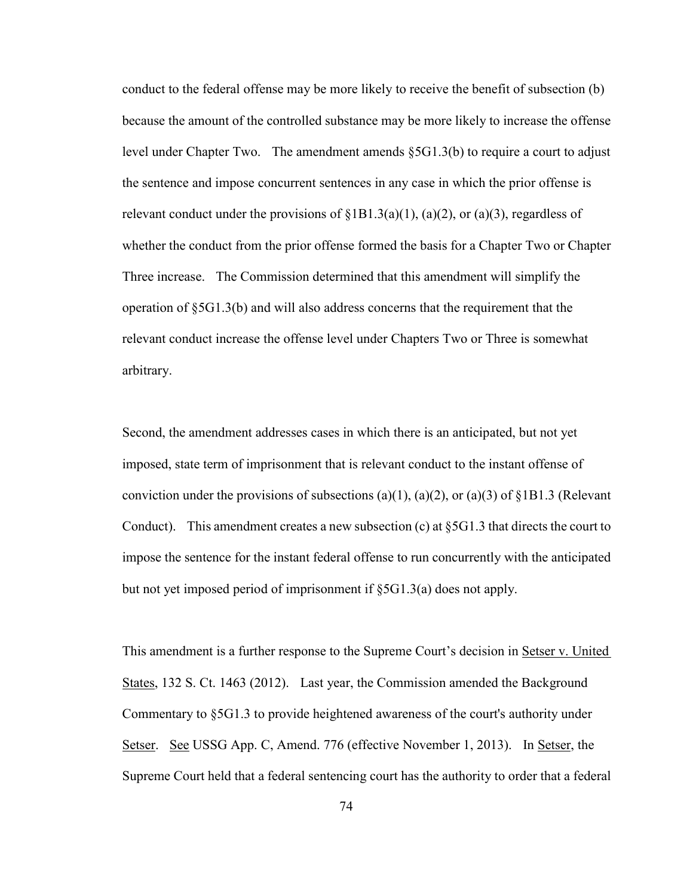conduct to the federal offense may be more likely to receive the benefit of subsection (b) because the amount of the controlled substance may be more likely to increase the offense level under Chapter Two. The amendment amends  $\S 5G1.3(b)$  to require a court to adjust the sentence and impose concurrent sentences in any case in which the prior offense is relevant conduct under the provisions of  $\S 1B1.3(a)(1)$ ,  $(a)(2)$ , or  $(a)(3)$ , regardless of whether the conduct from the prior offense formed the basis for a Chapter Two or Chapter Three increase. The Commission determined that this amendment will simplify the operation of §5G1.3(b) and will also address concerns that the requirement that the relevant conduct increase the offense level under Chapters Two or Three is somewhat arbitrary.

Second, the amendment addresses cases in which there is an anticipated, but not yet imposed, state term of imprisonment that is relevant conduct to the instant offense of conviction under the provisions of subsections (a)(1), (a)(2), or (a)(3) of  $\S 1B1.3$  (Relevant Conduct). This amendment creates a new subsection (c) at  $\S 5G1.3$  that directs the court to impose the sentence for the instant federal offense to run concurrently with the anticipated but not yet imposed period of imprisonment if §5G1.3(a) does not apply.

This amendment is a further response to the Supreme Court's decision in Setser v. United States, 132 S. Ct. 1463 (2012). Last year, the Commission amended the Background Commentary to §5G1.3 to provide heightened awareness of the court's authority under Setser. See USSG App. C, Amend. 776 (effective November 1, 2013). In Setser, the Supreme Court held that a federal sentencing court has the authority to order that a federal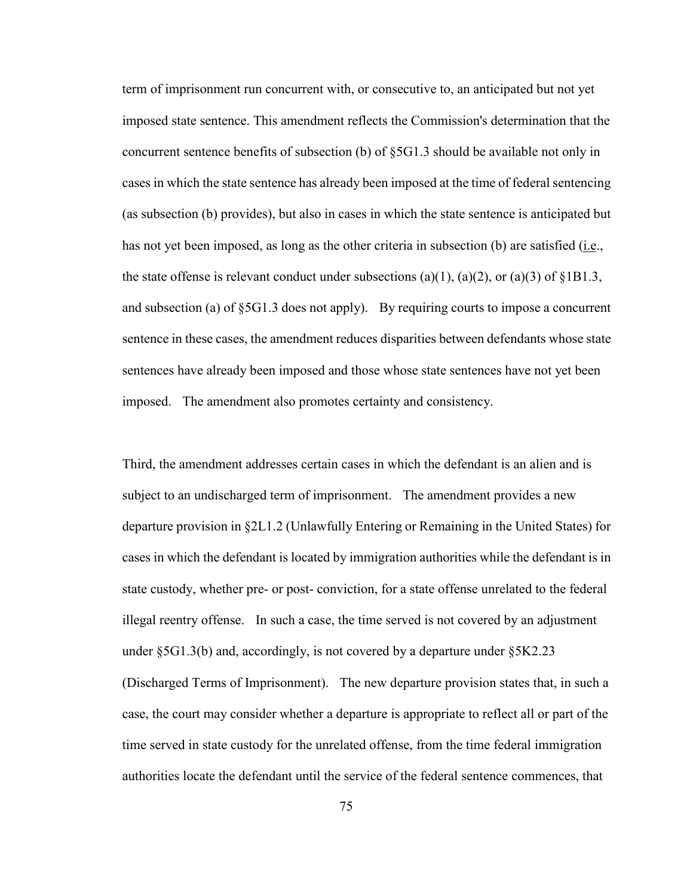term of imprisonment run concurrent with, or consecutive to, an anticipated but not yet imposed state sentence. This amendment reflects the Commission's determination that the concurrent sentence benefits of subsection (b) of §5G1.3 should be available not only in cases in which the state sentence has already been imposed at the time of federal sentencing (as subsection (b) provides), but also in cases in which the state sentence is anticipated but has not yet been imposed, as long as the other criteria in subsection (b) are satisfied (i.e., the state offense is relevant conduct under subsections (a)(1), (a)(2), or (a)(3) of  $\S 1B1.3$ , and subsection (a) of §5G1.3 does not apply). By requiring courts to impose a concurrent sentence in these cases, the amendment reduces disparities between defendants whose state sentences have already been imposed and those whose state sentences have not yet been imposed. The amendment also promotes certainty and consistency.

Third, the amendment addresses certain cases in which the defendant is an alien and is subject to an undischarged term of imprisonment. The amendment provides a new departure provision in §2L1.2 (Unlawfully Entering or Remaining in the United States) for cases in which the defendant is located by immigration authorities while the defendant is in state custody, whether pre- or post- conviction, for a state offense unrelated to the federal illegal reentry offense. In such a case, the time served is not covered by an adjustment under  $\S 5G1.3(b)$  and, accordingly, is not covered by a departure under  $\S 5K2.23$ (Discharged Terms of Imprisonment). The new departure provision states that, in such a case, the court may consider whether a departure is appropriate to reflect all or part of the time served in state custody for the unrelated offense, from the time federal immigration authorities locate the defendant until the service of the federal sentence commences, that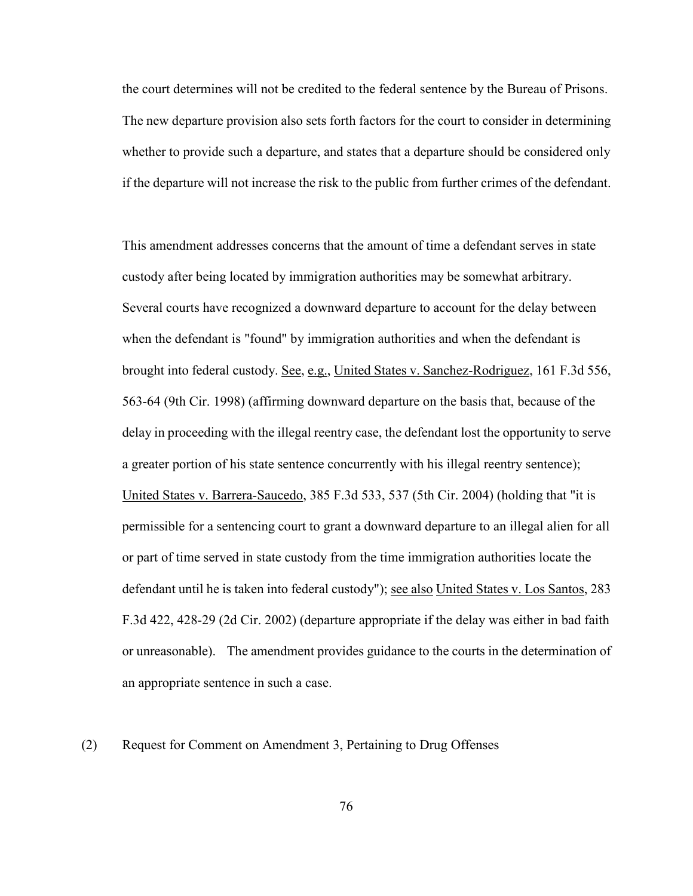the court determines will not be credited to the federal sentence by the Bureau of Prisons. The new departure provision also sets forth factors for the court to consider in determining whether to provide such a departure, and states that a departure should be considered only if the departure will not increase the risk to the public from further crimes of the defendant.

This amendment addresses concerns that the amount of time a defendant serves in state custody after being located by immigration authorities may be somewhat arbitrary. Several courts have recognized a downward departure to account for the delay between when the defendant is "found" by immigration authorities and when the defendant is brought into federal custody. See, e.g., United States v. Sanchez-Rodriguez, 161 F.3d 556, 563-64 (9th Cir. 1998) (affirming downward departure on the basis that, because of the delay in proceeding with the illegal reentry case, the defendant lost the opportunity to serve a greater portion of his state sentence concurrently with his illegal reentry sentence); United States v. Barrera-Saucedo, 385 F.3d 533, 537 (5th Cir. 2004) (holding that "it is permissible for a sentencing court to grant a downward departure to an illegal alien for all or part of time served in state custody from the time immigration authorities locate the defendant until he is taken into federal custody"); see also United States v. Los Santos, 283 F.3d 422, 428-29 (2d Cir. 2002) (departure appropriate if the delay was either in bad faith or unreasonable). The amendment provides guidance to the courts in the determination of an appropriate sentence in such a case.

(2) Request for Comment on Amendment 3, Pertaining to Drug Offenses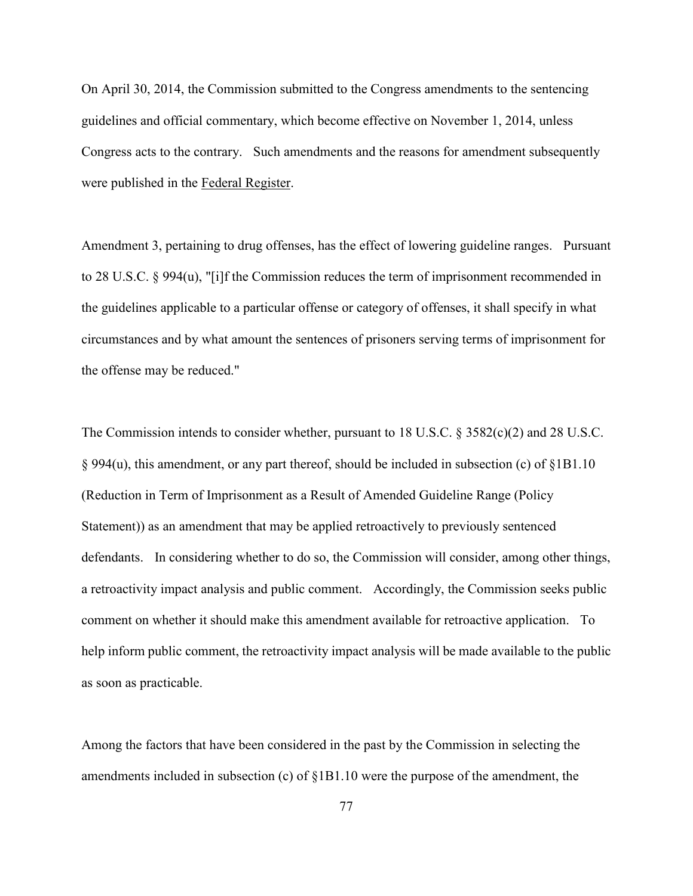On April 30, 2014, the Commission submitted to the Congress amendments to the sentencing guidelines and official commentary, which become effective on November 1, 2014, unless Congress acts to the contrary. Such amendments and the reasons for amendment subsequently were published in the Federal Register.

Amendment 3, pertaining to drug offenses, has the effect of lowering guideline ranges. Pursuant to 28 U.S.C. § 994(u), "[i]f the Commission reduces the term of imprisonment recommended in the guidelines applicable to a particular offense or category of offenses, it shall specify in what circumstances and by what amount the sentences of prisoners serving terms of imprisonment for the offense may be reduced."

The Commission intends to consider whether, pursuant to 18 U.S.C. § 3582(c)(2) and 28 U.S.C. § 994(u), this amendment, or any part thereof, should be included in subsection (c) of §1B1.10 (Reduction in Term of Imprisonment as a Result of Amended Guideline Range (Policy Statement)) as an amendment that may be applied retroactively to previously sentenced defendants. In considering whether to do so, the Commission will consider, among other things, a retroactivity impact analysis and public comment. Accordingly, the Commission seeks public comment on whether it should make this amendment available for retroactive application. To help inform public comment, the retroactivity impact analysis will be made available to the public as soon as practicable.

Among the factors that have been considered in the past by the Commission in selecting the amendments included in subsection (c) of §1B1.10 were the purpose of the amendment, the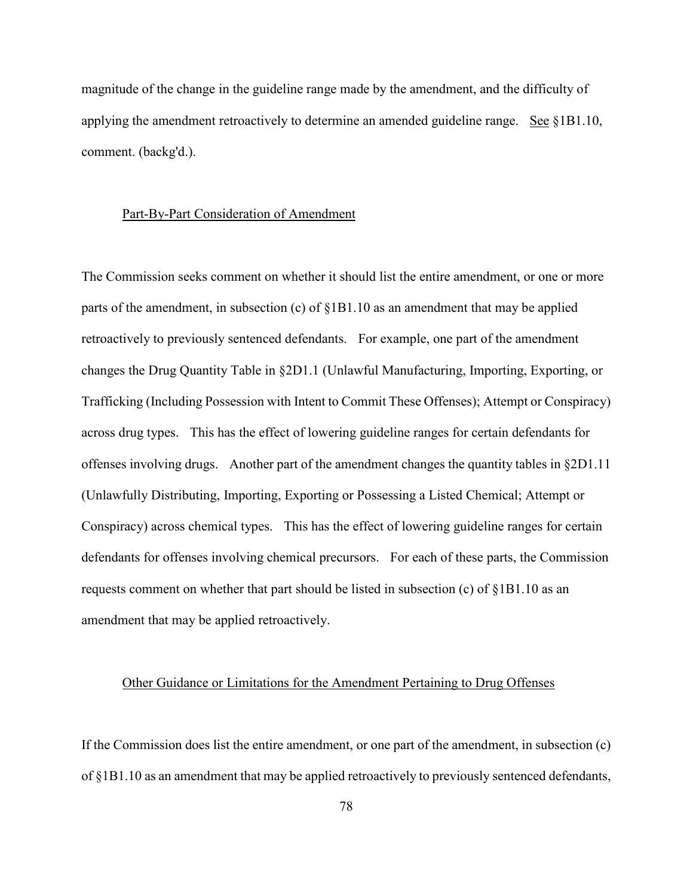magnitude of the change in the guideline range made by the amendment, and the difficulty of applying the amendment retroactively to determine an amended guideline range. See §1B1.10, comment. (backg'd.).

## Part-By-Part Consideration of Amendment

The Commission seeks comment on whether it should list the entire amendment, or one or more parts of the amendment, in subsection (c) of  $\S 1B1.10$  as an amendment that may be applied retroactively to previously sentenced defendants. For example, one part of the amendment changes the Drug Quantity Table in §2D1.1 (Unlawful Manufacturing, Importing, Exporting, or Trafficking (Including Possession with Intent to Commit These Offenses); Attempt or Conspiracy) across drug types. This has the effect of lowering guideline ranges for certain defendants for offenses involving drugs. Another part of the amendment changes the quantity tables in §2D1.11 (Unlawfully Distributing, Importing, Exporting or Possessing a Listed Chemical; Attempt or Conspiracy) across chemical types. This has the effect of lowering guideline ranges for certain defendants for offenses involving chemical precursors. For each of these parts, the Commission requests comment on whether that part should be listed in subsection (c) of §1B1.10 as an amendment that may be applied retroactively.

## Other Guidance or Limitations for the Amendment Pertaining to Drug Offenses

If the Commission does list the entire amendment, or one part of the amendment, in subsection (c) of §1B1.10 as an amendment that may be applied retroactively to previously sentenced defendants,